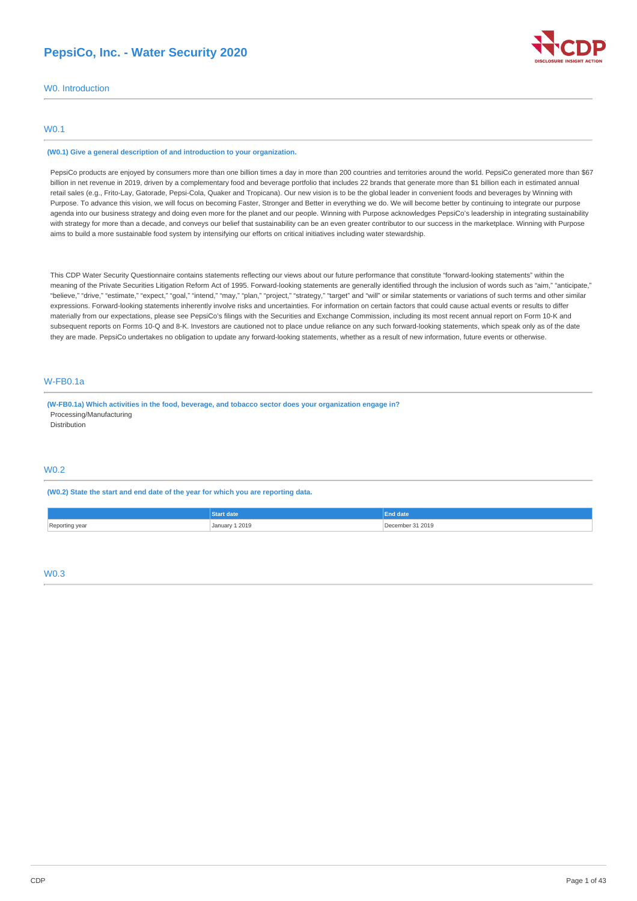## **PepsiCo, Inc. - Water Security 2020**



W0. Introduction

## W0.1

#### **(W0.1) Give a general description of and introduction to your organization.**

PepsiCo products are enjoyed by consumers more than one billion times a day in more than 200 countries and territories around the world. PepsiCo generated more than \$67 billion in net revenue in 2019, driven by a complementary food and beverage portfolio that includes 22 brands that generate more than \$1 billion each in estimated annual retail sales (e.g., Frito-Lay, Gatorade, Pepsi-Cola, Quaker and Tropicana). Our new vision is to be the global leader in convenient foods and beverages by Winning with Purpose. To advance this vision, we will focus on becoming Faster, Stronger and Better in everything we do. We will become better by continuing to integrate our purpose agenda into our business strategy and doing even more for the planet and our people. Winning with Purpose acknowledges PepsiCo's leadership in integrating sustainability with strategy for more than a decade, and conveys our belief that sustainability can be an even greater contributor to our success in the marketplace. Winning with Purpose aims to build a more sustainable food system by intensifying our efforts on critical initiatives including water stewardship.

This CDP Water Security Questionnaire contains statements reflecting our views about our future performance that constitute "forward-looking statements" within the meaning of the Private Securities Litigation Reform Act of 1995. Forward-looking statements are generally identified through the inclusion of words such as "aim," "anticipate," "believe," "drive," "estimate," "expect," "goal," "intend," "may," "plan," "project," "strategy," "target" and "will" or similar statements or variations of such terms and other similar expressions. Forward-looking statements inherently involve risks and uncertainties. For information on certain factors that could cause actual events or results to differ materially from our expectations, please see PepsiCo's filings with the Securities and Exchange Commission, including its most recent annual report on Form 10-K and subsequent reports on Forms 10-Q and 8-K. Investors are cautioned not to place undue reliance on any such forward-looking statements, which speak only as of the date they are made. PepsiCo undertakes no obligation to update any forward-looking statements, whether as a result of new information, future events or otherwise.

## W-FB0.1a

**(W-FB0.1a) Which activities in the food, beverage, and tobacco sector does your organization engage in?** Processing/Manufacturing Distribution

## W0.2

**(W0.2) State the start and end date of the year for which you are reporting data.**

|                | Start date     | End date         |
|----------------|----------------|------------------|
| Reporting year | January 1 2019 | December 31 2019 |

#### W0.3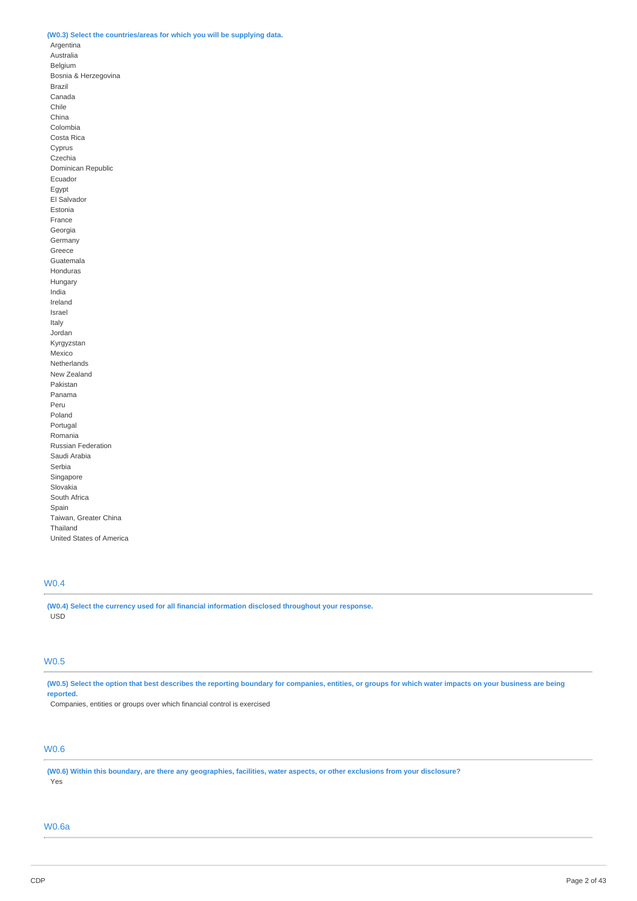## **(W0.3) Select the countries/areas for which you will be supplying data.**

Argentina Australia Belgium Bosnia & Herzegovina Brazil Canada Chile China Colombia Costa Rica Cyprus Czechia Dominican Republic Ecuador Egypt El Salvador Estonia France Georgia **Germany** Greece Guatemala Honduras Hungary India Ireland Israel Italy Jordan Kyrgyzstan Mexico Netherlands New Zealand Pakistan Panama Peru Poland Portugal Romania Russian Federation Saudi Arabia Serbia Singapore Slovakia South Africa Spain Taiwan, Greater China Thailand United States of America

## W0.4

**(W0.4) Select the currency used for all financial information disclosed throughout your response.** USD

## W0.5

(W0.5) Select the option that best describes the reporting boundary for companies, entities, or groups for which water impacts on your business are being **reported.**

Companies, entities or groups over which financial control is exercised

## W0.6

(W0.6) Within this boundary, are there any geographies, facilities, water aspects, or other exclusions from your disclosure? Yes

## W0.6a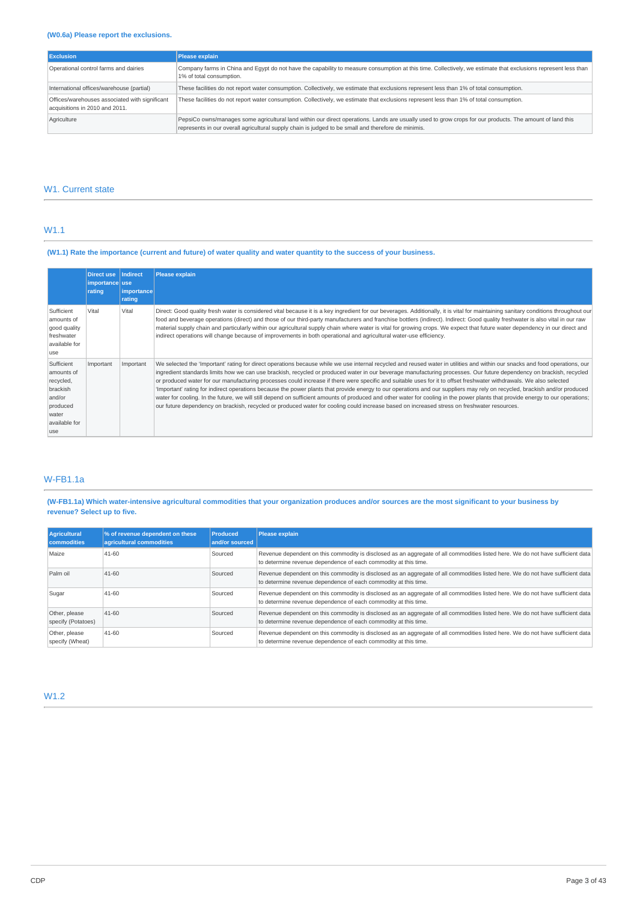| <b>Exclusion</b>                                                                 | Please explain                                                                                                                                                                                                                                                  |
|----------------------------------------------------------------------------------|-----------------------------------------------------------------------------------------------------------------------------------------------------------------------------------------------------------------------------------------------------------------|
| Operational control farms and dairies                                            | Company farms in China and Eqypt do not have the capability to measure consumption at this time. Collectively, we estimate that exclusions represent less than<br>1% of total consumption.                                                                      |
| International offices/warehouse (partial)                                        | These facilities do not report water consumption. Collectively, we estimate that exclusions represent less than 1% of total consumption.                                                                                                                        |
| Offices/warehouses associated with significant<br>acquisitions in 2010 and 2011. | These facilities do not report water consumption. Collectively, we estimate that exclusions represent less than 1% of total consumption.                                                                                                                        |
| Agriculture                                                                      | PepsiCo owns/manages some agricultural land within our direct operations. Lands are usually used to grow crops for our products. The amount of land this<br>represents in our overall agricultural supply chain is judged to be small and therefore de minimis. |

## W1. Current state

## W1.1

## (W1.1) Rate the importance (current and future) of water quality and water quantity to the success of your business.

|                                                                                                          | Direct use   Indirect<br>importance use<br>rating | importance<br>rating | <b>Please explain</b>                                                                                                                                                                                                                                                                                                                                                                                                                                                                                                                                                                                                                                                                                                                                                                                                                                                                                                                                                                                                                       |
|----------------------------------------------------------------------------------------------------------|---------------------------------------------------|----------------------|---------------------------------------------------------------------------------------------------------------------------------------------------------------------------------------------------------------------------------------------------------------------------------------------------------------------------------------------------------------------------------------------------------------------------------------------------------------------------------------------------------------------------------------------------------------------------------------------------------------------------------------------------------------------------------------------------------------------------------------------------------------------------------------------------------------------------------------------------------------------------------------------------------------------------------------------------------------------------------------------------------------------------------------------|
| Sufficient<br>amounts of<br>good quality<br>freshwater<br>available for<br>use                           | Vital                                             | Vital                | Direct: Good quality fresh water is considered vital because it is a key ingredient for our beverages. Additionally, it is vital for maintaining sanitary conditions throughout our<br>food and beverage operations (direct) and those of our third-party manufacturers and franchise bottlers (indirect). Indirect: Good quality freshwater is also vital in our raw<br>material supply chain and particularly within our agricultural supply chain where water is vital for growing crops. We expect that future water dependency in our direct and<br>indirect operations will change because of improvements in both operational and agricultural water-use efficiency.                                                                                                                                                                                                                                                                                                                                                                 |
| Sufficient<br>amounts of<br>recycled,<br>brackish<br>and/or<br>produced<br>water<br>available for<br>use | Important                                         | Important            | We selected the 'Important' rating for direct operations because while we use internal recycled and reused water in utilities and within our snacks and food operations, our<br>ingredient standards limits how we can use brackish, recycled or produced water in our beverage manufacturing processes. Our future dependency on brackish, recycled<br>or produced water for our manufacturing processes could increase if there were specific and suitable uses for it to offset freshwater withdrawals. We also selected<br>'Important' rating for indirect operations because the power plants that provide energy to our operations and our suppliers may rely on recycled, brackish and/or produced<br>water for cooling. In the future, we will still depend on sufficient amounts of produced and other water for cooling in the power plants that provide energy to our operations;<br>our future dependency on brackish, recycled or produced water for cooling could increase based on increased stress on freshwater resources. |

## W-FB1.1a

## (W-FB1.1a) Which water-intensive agricultural commodities that your organization produces and/or sources are the most significant to your business by **revenue? Select up to five.**

| Agricultural<br><b>commodities</b>  | % of revenue dependent on these<br>agricultural commodities | <b>Produced</b><br>and/or sourced | Please explain                                                                                                                                                                                     |
|-------------------------------------|-------------------------------------------------------------|-----------------------------------|----------------------------------------------------------------------------------------------------------------------------------------------------------------------------------------------------|
| Maize                               | 41-60                                                       | Sourced                           | Revenue dependent on this commodity is disclosed as an aggregate of all commodities listed here. We do not have sufficient data<br>to determine revenue dependence of each commodity at this time. |
| Palm oil                            | $41 - 60$                                                   | Sourced                           | Revenue dependent on this commodity is disclosed as an aggregate of all commodities listed here. We do not have sufficient data<br>to determine revenue dependence of each commodity at this time. |
| Sugar                               | $41 - 60$                                                   | Sourced                           | Revenue dependent on this commodity is disclosed as an aggregate of all commodities listed here. We do not have sufficient data<br>to determine revenue dependence of each commodity at this time. |
| Other, please<br>specify (Potatoes) | $41 - 60$                                                   | Sourced                           | Revenue dependent on this commodity is disclosed as an aggregate of all commodities listed here. We do not have sufficient data<br>to determine revenue dependence of each commodity at this time. |
| Other, please<br>specify (Wheat)    | 41-60                                                       | Sourced                           | Revenue dependent on this commodity is disclosed as an aggregate of all commodities listed here. We do not have sufficient data<br>to determine revenue dependence of each commodity at this time. |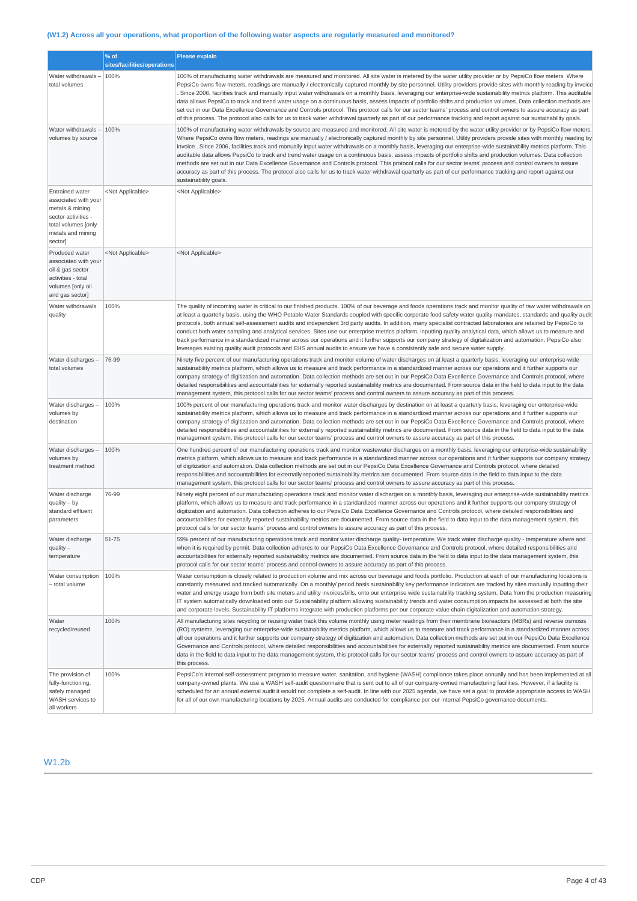## (W1.2) Across all your operations, what proportion of the following water aspects are regularly measured and monitored?

|                                                                                                                                                 | % of<br>sites/facilities/operations | <b>Please explain</b>                                                                                                                                                                                                                                                                                                                                                                                                                                                                                                                                                                                                                                                                                                                                                                                                                                                                                                                                                                                                                      |
|-------------------------------------------------------------------------------------------------------------------------------------------------|-------------------------------------|--------------------------------------------------------------------------------------------------------------------------------------------------------------------------------------------------------------------------------------------------------------------------------------------------------------------------------------------------------------------------------------------------------------------------------------------------------------------------------------------------------------------------------------------------------------------------------------------------------------------------------------------------------------------------------------------------------------------------------------------------------------------------------------------------------------------------------------------------------------------------------------------------------------------------------------------------------------------------------------------------------------------------------------------|
| Water withdrawals<br>total volumes                                                                                                              | 100%                                | 100% of manufacturing water withdrawals are measured and monitored. All site water is metered by the water utility provider or by PepsiCo flow meters. Where<br>PepsiCo owns flow meters, readings are manually / electronically captured monthly by site personnel. Utility providers provide sites with monthly reading by invoice<br>Since 2006, facilities track and manually input water withdrawals on a monthly basis, leveraging our enterprise-wide sustainability metrics platform. This auditable<br>data allows PepsiCo to track and trend water usage on a continuous basis, assess impacts of portfolio shifts and production volumes. Data collection methods are<br>set out in our Data Excellence Governance and Controls protocol. This protocol calls for our sector teams' process and control owners to assure accuracy as part<br>of this process. The protocol also calls for us to track water withdrawal quarterly as part of our performance tracking and report against our sustainability goals.               |
| Water withdrawals -<br>volumes by source                                                                                                        | 100%                                | 100% of manufacturing water withdrawals by source are measured and monitored. All site water is metered by the water utility provider or by PepsiCo flow meters.<br>Where PepsiCo owns flow meters, readings are manually / electronically captured monthly by site personnel. Utility providers provide sites with monthly reading by<br>invoice. Since 2006, facilities track and manually input water withdrawals on a monthly basis, leveraging our enterprise-wide sustainability metrics platform. This<br>auditable data allows PepsiCo to track and trend water usage on a continuous basis, assess impacts of portfolio shifts and production volumes. Data collection<br>methods are set out in our Data Excellence Governance and Controls protocol. This protocol calls for our sector teams' process and control owners to assure<br>accuracy as part of this process. The protocol also calls for us to track water withdrawal quarterly as part of our performance tracking and report against our<br>sustainability goals. |
| <b>Entrained water</b><br>associated with your<br>metals & mining<br>sector activities -<br>total volumes [only<br>metals and mining<br>sector] | <not applicable=""></not>           | <not applicable=""></not>                                                                                                                                                                                                                                                                                                                                                                                                                                                                                                                                                                                                                                                                                                                                                                                                                                                                                                                                                                                                                  |
| Produced water<br>associated with your<br>oil & gas sector<br>activities - total<br>volumes [only oil<br>and gas sector]                        | <not applicable=""></not>           | <not applicable=""></not>                                                                                                                                                                                                                                                                                                                                                                                                                                                                                                                                                                                                                                                                                                                                                                                                                                                                                                                                                                                                                  |
| Water withdrawals<br>quality                                                                                                                    | 100%                                | The quality of incoming water is critical to our finished products. 100% of our beverage and foods operations track and monitor quality of raw water withdrawals on<br>at least a quarterly basis, using the WHO Potable Water Standards coupled with specific corporate food safety water quality mandates, standards and quality audit<br>protocols, both annual self-assessment audits and independent 3rd party audits. In addition, many specialist contracted laboratories are retained by PepsiCo to<br>conduct both water sampling and analytical services. Sites use our enterprise metrics platform, inputting quality analytical data, which allows us to measure and<br>track performance in a standardized manner across our operations and it further supports our company strategy of digitalization and automation. PepsiCo also<br>leverages existing quality audit protocols and EHS annual audits to ensure we have a consistently safe and secure water supply.                                                        |
| Water discharges -<br>total volumes                                                                                                             | 76-99                               | Ninety five percent of our manufacturing operations track and monitor volume of water discharges on at least a quarterly basis, leveraging our enterprise-wide<br>sustainability metrics platform, which allows us to measure and track performance in a standardized manner across our operations and it further supports our<br>company strategy of digitization and automation. Data collection methods are set out in our PepsiCo Data Excellence Governance and Controls protocol, where<br>detailed responsibilities and accountabilities for externally reported sustainability metrics are documented. From source data in the field to data input to the data<br>management system, this protocol calls for our sector teams' process and control owners to assure accuracy as part of this process.                                                                                                                                                                                                                              |
| Water discharges -<br>volumes by<br>destination                                                                                                 | 100%                                | 100% percent of our manufacturing operations track and monitor water discharges by destination on at least a quarterly basis, leveraging our enterprise-wide<br>sustainability metrics platform, which allows us to measure and track performance in a standardized manner across our operations and it further supports our<br>company strategy of digitization and automation. Data collection methods are set out in our PepsiCo Data Excellence Governance and Controls protocol, where<br>detailed responsibilities and accountabilities for externally reported sustainability metrics are documented. From source data in the field to data input to the data<br>management system, this protocol calls for our sector teams' process and control owners to assure accuracy as part of this process.                                                                                                                                                                                                                                |
| Water discharges<br>volumes by<br>treatment method                                                                                              | 100%                                | One hundred percent of our manufacturing operations track and monitor wastewater discharges on a monthly basis, leveraging our enterprise-wide sustainability<br>metrics platform, which allows us to measure and track performance in a standardized manner across our operations and it further supports our company strategy<br>of digitization and automation. Data collection methods are set out in our PepsiCo Data Excellence Governance and Controls protocol, where detailed<br>responsibilities and accountabilities for externally reported sustainability metrics are documented. From source data in the field to data input to the data<br>management system, this protocol calls for our sector teams' process and control owners to assure accuracy as part of this process.                                                                                                                                                                                                                                              |
| Water discharge<br>$quality - by$<br>standard effluent<br>parameters                                                                            | 76-99                               | Ninety eight percent of our manufacturing operations track and monitor water discharges on a monthly basis, leveraging our enterprise-wide sustainability metrics<br>platform, which allows us to measure and track performance in a standardized manner across our operations and it further supports our company strategy of<br>digitization and automation. Data collection adheres to our PepsiCo Data Excellence Governance and Controls protocol, where detailed responsibilities and<br>accountabilities for externally reported sustainability metrics are documented. From source data in the field to data input to the data management system, this<br>protocol calls for our sector teams' process and control owners to assure accuracy as part of this process.                                                                                                                                                                                                                                                              |
| Water discharge<br>$quality -$<br>temperature                                                                                                   | 51-75                               | 59% percent of our manufacturing operations track and monitor water discharge quality- temperature. We track water discharge quality - temperature where and<br>when it is required by permit. Data collection adheres to our PepsiCo Data Excellence Governance and Controls protocol, where detailed responsibilities and<br>accountabilities for externally reported sustainability metrics are documented. From source data in the field to data input to the data management system, this<br>protocol calls for our sector teams' process and control owners to assure accuracy as part of this process.                                                                                                                                                                                                                                                                                                                                                                                                                              |
| Water consumption<br>- total volume                                                                                                             | 100%                                | Water consumption is closely related to production volume and mix across our beverage and foods portfolio. Production at each of our manufacturing locations is<br>constantly measured and tracked automatically. On a monthly/ period basis sustainability key performance indicators are tracked by sites manually inputting their<br>water and energy usage from both site meters and utility invoices/bills, onto our enterprise wide sustainability tracking system. Data from the production measuring<br>IT system automatically downloaded onto our Sustainability platform allowing sustainability trends and water consumption impacts be assessed at both the site<br>and corporate levels. Sustainability IT platforms integrate with production platforms per our corporate value chain digitalization and automation strategy.                                                                                                                                                                                               |
| Water<br>recycled/reused                                                                                                                        | 100%                                | All manufacturing sites recycling or reusing water track this volume monthly using meter readings from their membrane bioreactors (MBRs) and reverse osmosis<br>(RO) systems, leveraging our enterprise-wide sustainability metrics platform, which allows us to measure and track performance in a standardized manner across<br>all our operations and it further supports our company strategy of digitization and automation. Data collection methods are set out in our PepsiCo Data Excellence<br>Governance and Controls protocol, where detailed responsibilities and accountabilities for externally reported sustainability metrics are documented. From source<br>data in the field to data input to the data management system, this protocol calls for our sector teams' process and control owners to assure accuracy as part of<br>this process.                                                                                                                                                                            |
| The provision of<br>fully-functioning,<br>safely managed<br>WASH services to<br>all workers                                                     | 100%                                | PepsiCo's internal self-assessment program to measure water, sanitation, and hygiene (WASH) compliance takes place annually and has been implemented at all<br>company-owned plants. We use a WASH self-audit questionnaire that is sent out to all of our company-owned manufacturing facilities. However, if a facility is<br>scheduled for an annual external audit it would not complete a self-audit. In line with our 2025 agenda, we have set a goal to provide appropriate access to WASH<br>for all of our own manufacturing locations by 2025. Annual audits are conducted for compliance per our internal PepsiCo governance documents.                                                                                                                                                                                                                                                                                                                                                                                         |

## W1.2b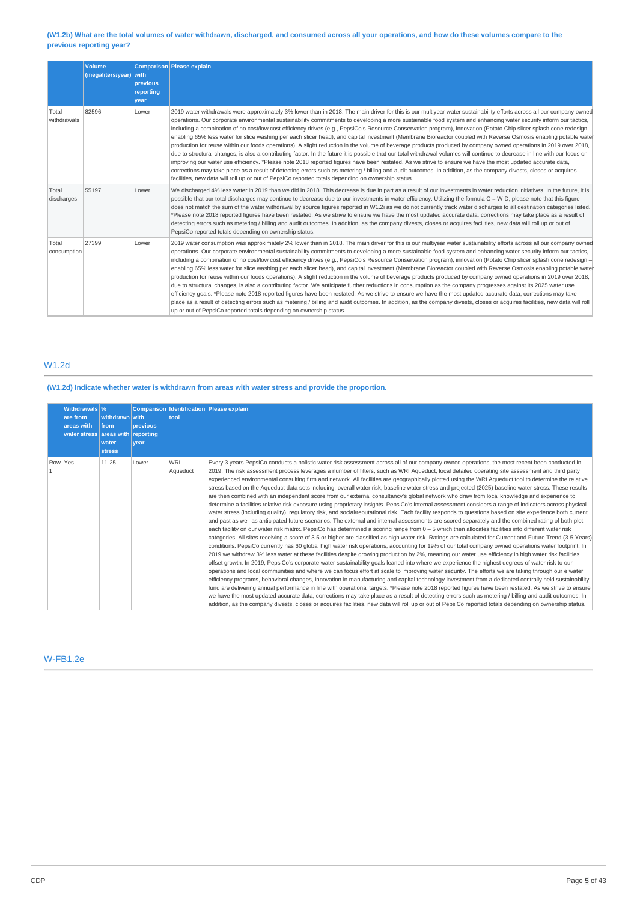## (W1.2b) What are the total volumes of water withdrawn, discharged, and consumed across all your operations, and how do these volumes compare to the **previous reporting year?**

|                      | <b>Volume</b><br>(megaliters/year) with | previous<br>reporting<br>year | Comparison Please explain                                                                                                                                                                                                                                                                                                                                                                                                                                                                                                                                                                                                                                                                                                                                                                                                                                                                                                                                                                                                                                                                                                                                                                                                                                                                                                                                                                                                                                                        |
|----------------------|-----------------------------------------|-------------------------------|----------------------------------------------------------------------------------------------------------------------------------------------------------------------------------------------------------------------------------------------------------------------------------------------------------------------------------------------------------------------------------------------------------------------------------------------------------------------------------------------------------------------------------------------------------------------------------------------------------------------------------------------------------------------------------------------------------------------------------------------------------------------------------------------------------------------------------------------------------------------------------------------------------------------------------------------------------------------------------------------------------------------------------------------------------------------------------------------------------------------------------------------------------------------------------------------------------------------------------------------------------------------------------------------------------------------------------------------------------------------------------------------------------------------------------------------------------------------------------|
| Total<br>withdrawals | 82596                                   | Lower                         | 2019 water withdrawals were approximately 3% lower than in 2018. The main driver for this is our multiyear water sustainability efforts across all our company owned<br>operations. Our corporate environmental sustainability commitments to developing a more sustainable food system and enhancing water security inform our tactics,<br>including a combination of no cost/low cost efficiency drives (e.g., PepsiCo's Resource Conservation program), innovation (Potato Chip slicer splash cone redesign -<br>enabling 65% less water for slice washing per each slicer head), and capital investment (Membrane Bioreactor coupled with Reverse Osmosis enabling potable water<br>production for reuse within our foods operations). A slight reduction in the volume of beverage products produced by company owned operations in 2019 over 2018,<br>due to structural changes, is also a contributing factor. In the future it is possible that our total withdrawal volumes will continue to decrease in line with our focus on<br>improving our water use efficiency. *Please note 2018 reported figures have been restated. As we strive to ensure we have the most updated accurate data,<br>corrections may take place as a result of detecting errors such as metering / billing and audit outcomes. In addition, as the company divests, closes or acquires<br>facilities, new data will roll up or out of PepsiCo reported totals depending on ownership status. |
| Total<br>discharges  | 55197                                   | Lower                         | We discharged 4% less water in 2019 than we did in 2018. This decrease is due in part as a result of our investments in water reduction initiatives. In the future, it is<br>possible that our total discharges may continue to decrease due to our investments in water efficiency. Utilizing the formula C = W-D, please note that this figure<br>does not match the sum of the water withdrawal by source figures reported in W1.2i as we do not currently track water discharges to all destination categories listed.<br>*Please note 2018 reported figures have been restated. As we strive to ensure we have the most updated accurate data, corrections may take place as a result of<br>detecting errors such as metering / billing and audit outcomes. In addition, as the company divests, closes or acquires facilities, new data will roll up or out of<br>PepsiCo reported totals depending on ownership status.                                                                                                                                                                                                                                                                                                                                                                                                                                                                                                                                                   |
| Total<br>consumption | 27399                                   | Lower                         | 2019 water consumption was approximately 2% lower than in 2018. The main driver for this is our multiyear water sustainability efforts across all our company owned<br>operations. Our corporate environmental sustainability commitments to developing a more sustainable food system and enhancing water security inform our tactics,<br>including a combination of no cost/low cost efficiency drives (e.g., PepsiCo's Resource Conservation program), innovation (Potato Chip slicer splash cone redesign -<br>enabling 65% less water for slice washing per each slicer head), and capital investment (Membrane Bioreactor coupled with Reverse Osmosis enabling potable water<br>production for reuse within our foods operations). A slight reduction in the volume of beverage products produced by company owned operations in 2019 over 2018,<br>due to structural changes, is also a contributing factor. We anticipate further reductions in consumption as the company progresses against its 2025 water use<br>efficiency goals. *Please note 2018 reported figures have been restated. As we strive to ensure we have the most updated accurate data, corrections may take<br>place as a result of detecting errors such as metering / billing and audit outcomes. In addition, as the company divests, closes or acquires facilities, new data will roll<br>up or out of PepsiCo reported totals depending on ownership status.                                  |

## W1.2d

## **(W1.2d) Indicate whether water is withdrawn from areas with water stress and provide the proportion.**

|         | Withdrawals \%<br>are from<br>areas with<br>water stress areas with reporting | withdrawn with<br>from<br>water<br><b>stress</b> | previous<br>vear | tool                   | Comparison Identification Please explain                                                                                                                                                                                                                                                                                                                                                                                                                                                                                                                                                                                                                                                                                                                                                                                                                                                                                                                                                                                                                                                                                                                                                                                                                                                                                                                                                                                                                                                                                                                                                                                                                                                                                                                                                                                                                                                                                                                                                                                                                                                                                                                                                                                                                                                                                                                                                                                                                                                                                                                                                                                                                                                                                                                                                                                             |
|---------|-------------------------------------------------------------------------------|--------------------------------------------------|------------------|------------------------|--------------------------------------------------------------------------------------------------------------------------------------------------------------------------------------------------------------------------------------------------------------------------------------------------------------------------------------------------------------------------------------------------------------------------------------------------------------------------------------------------------------------------------------------------------------------------------------------------------------------------------------------------------------------------------------------------------------------------------------------------------------------------------------------------------------------------------------------------------------------------------------------------------------------------------------------------------------------------------------------------------------------------------------------------------------------------------------------------------------------------------------------------------------------------------------------------------------------------------------------------------------------------------------------------------------------------------------------------------------------------------------------------------------------------------------------------------------------------------------------------------------------------------------------------------------------------------------------------------------------------------------------------------------------------------------------------------------------------------------------------------------------------------------------------------------------------------------------------------------------------------------------------------------------------------------------------------------------------------------------------------------------------------------------------------------------------------------------------------------------------------------------------------------------------------------------------------------------------------------------------------------------------------------------------------------------------------------------------------------------------------------------------------------------------------------------------------------------------------------------------------------------------------------------------------------------------------------------------------------------------------------------------------------------------------------------------------------------------------------------------------------------------------------------------------------------------------------|
| Row Yes |                                                                               | 11-25                                            | Lower            | <b>WRI</b><br>Aqueduct | Every 3 years PepsiCo conducts a holistic water risk assessment across all of our company owned operations, the most recent been conducted in<br>2019. The risk assessment process leverages a number of filters, such as WRI Aqueduct, local detailed operating site assessment and third party<br>experienced environmental consulting firm and network. All facilities are geographically plotted using the WRI Aqueduct tool to determine the relative<br>stress based on the Aqueduct data sets including: overall water risk, baseline water stress and projected (2025) baseline water stress. These results<br>are then combined with an independent score from our external consultancy's global network who draw from local knowledge and experience to<br>determine a facilities relative risk exposure using proprietary insights. PepsiCo's internal assessment considers a range of indicators across physical<br>water stress (including quality), regulatory risk, and social/reputational risk. Each facility responds to questions based on site experience both current<br>and past as well as anticipated future scenarios. The external and internal assessments are scored separately and the combined rating of both plot<br>each facility on our water risk matrix. PepsiCo has determined a scoring range from 0 - 5 which then allocates facilities into different water risk<br>categories. All sites receiving a score of 3.5 or higher are classified as high water risk. Ratings are calculated for Current and Future Trend (3-5 Years)<br>conditions. PepsiCo currently has 60 global high water risk operations, accounting for 19% of our total company owned operations water footprint. In<br>2019 we withdrew 3% less water at these facilities despite growing production by 2%, meaning our water use efficiency in high water risk facilities<br>offset growth. In 2019, PepsiCo's corporate water sustainability goals leaned into where we experience the highest degrees of water risk to our<br>operations and local communities and where we can focus effort at scale to improving water security. The efforts we are taking through our e water<br>efficiency programs, behavioral changes, innovation in manufacturing and capital technology investment from a dedicated centrally held sustainability<br>fund are delivering annual performance in line with operational targets. *Please note 2018 reported figures have been restated. As we strive to ensure<br>we have the most updated accurate data, corrections may take place as a result of detecting errors such as metering / billing and audit outcomes. In<br>addition, as the company divests, closes or acquires facilities, new data will roll up or out of PepsiCo reported totals depending on ownership status. |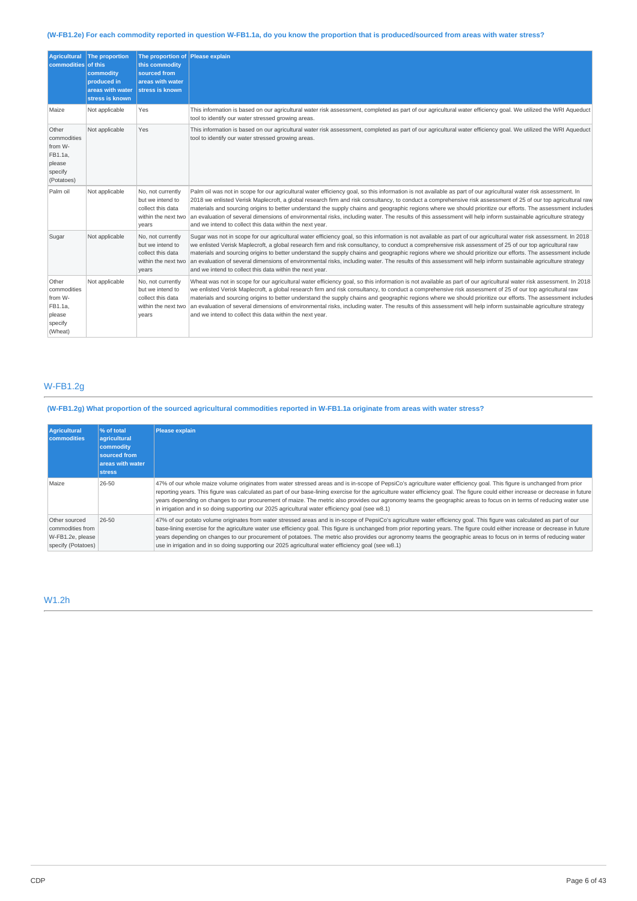## (W-FB1.2e) For each commodity reported in question W-FB1.1a, do you know the proportion that is produced/sourced from areas with water stress?

| <b>Agricultural</b><br>commodities of this                                    | The proportion<br>commodity<br>produced in<br>areas with water<br>stress is known | The proportion of Please explain<br>this commodity<br>sourced from<br>areas with water<br>stress is known |                                                                                                                                                                                                                                                                                                                                                                                                                                                                                                                                                                                                                                                                                                                                |
|-------------------------------------------------------------------------------|-----------------------------------------------------------------------------------|-----------------------------------------------------------------------------------------------------------|--------------------------------------------------------------------------------------------------------------------------------------------------------------------------------------------------------------------------------------------------------------------------------------------------------------------------------------------------------------------------------------------------------------------------------------------------------------------------------------------------------------------------------------------------------------------------------------------------------------------------------------------------------------------------------------------------------------------------------|
| Maize                                                                         | Not applicable                                                                    | Yes                                                                                                       | This information is based on our agricultural water risk assessment, completed as part of our agricultural water efficiency goal. We utilized the WRI Aqueduct<br>tool to identify our water stressed growing areas.                                                                                                                                                                                                                                                                                                                                                                                                                                                                                                           |
| Other<br>commodities<br>from W-<br>FB1.1a,<br>please<br>specify<br>(Potatoes) | Not applicable                                                                    | Yes                                                                                                       | This information is based on our agricultural water risk assessment, completed as part of our agricultural water efficiency goal. We utilized the WRI Aqueduct<br>tool to identify our water stressed growing areas.                                                                                                                                                                                                                                                                                                                                                                                                                                                                                                           |
| Palm oil                                                                      | Not applicable                                                                    | No, not currently<br>but we intend to<br>collect this data<br>within the next two<br>years                | Palm oil was not in scope for our agricultural water efficiency goal, so this information is not available as part of our agricultural water risk assessment. In<br>2018 we enlisted Verisk Maplecroft, a global research firm and risk consultancy, to conduct a comprehensive risk assessment of 25 of our top agricultural raw<br>materials and sourcing origins to better understand the supply chains and geographic regions where we should prioritize our efforts. The assessment includes<br>an evaluation of several dimensions of environmental risks, including water. The results of this assessment will help inform sustainable agriculture strategy<br>and we intend to collect this data within the next year. |
| Sugar                                                                         | Not applicable                                                                    | No, not currently<br>but we intend to<br>collect this data<br>within the next two<br>years                | Sugar was not in scope for our agricultural water efficiency goal, so this information is not available as part of our agricultural water risk assessment. In 2018<br>we enlisted Verisk Maplecroft, a global research firm and risk consultancy, to conduct a comprehensive risk assessment of 25 of our top agricultural raw<br>materials and sourcing origins to better understand the supply chains and geographic regions where we should prioritize our efforts. The assessment include<br>an evaluation of several dimensions of environmental risks, including water. The results of this assessment will help inform sustainable agriculture strategy<br>and we intend to collect this data within the next year.     |
| Other<br>commodities<br>from W-<br>FB1.1a,<br>please<br>specify<br>(Wheat)    | Not applicable                                                                    | No, not currently<br>but we intend to<br>collect this data<br>within the next two<br>years                | Wheat was not in scope for our agricultural water efficiency goal, so this information is not available as part of our agricultural water risk assessment. In 2018<br>we enlisted Verisk Maplecroft, a global research firm and risk consultancy, to conduct a comprehensive risk assessment of 25 of our top agricultural raw<br>materials and sourcing origins to better understand the supply chains and geographic regions where we should prioritize our efforts. The assessment includes<br>an evaluation of several dimensions of environmental risks, including water. The results of this assessment will help inform sustainable agriculture strategy<br>and we intend to collect this data within the next year.    |

## W-FB1.2g

(W-FB1.2g) What proportion of the sourced agricultural commodities reported in W-FB1.1a originate from areas with water stress?

| Agricultural<br><b>commodities</b>                                          | % of total<br>agricultural<br>commodity<br>sourced from<br>areas with water<br><b>stress</b> | <b>Please explain</b>                                                                                                                                                                                                                                                                                                                                                                                                                                                                                                                                                                                                                   |
|-----------------------------------------------------------------------------|----------------------------------------------------------------------------------------------|-----------------------------------------------------------------------------------------------------------------------------------------------------------------------------------------------------------------------------------------------------------------------------------------------------------------------------------------------------------------------------------------------------------------------------------------------------------------------------------------------------------------------------------------------------------------------------------------------------------------------------------------|
| Maize                                                                       | 26-50                                                                                        | 47% of our whole maize volume originates from water stressed areas and is in-scope of PepsiCo's agriculture water efficiency goal. This figure is unchanged from prior<br>reporting years. This figure was calculated as part of our base-lining exercise for the agriculture water efficiency goal. The figure could either increase or decrease in future<br>years depending on changes to our procurement of maize. The metric also provides our agronomy teams the geographic areas to focus on in terms of reducing water use<br>in irrigation and in so doing supporting our 2025 agricultural water efficiency goal (see w8.1)   |
| Other sourced<br>commodities from<br>W-FB1.2e, please<br>specify (Potatoes) | 26-50                                                                                        | 47% of our potato volume originates from water stressed areas and is in-scope of PepsiCo's agriculture water efficiency goal. This figure was calculated as part of our<br>base-lining exercise for the agriculture water use efficiency goal. This figure is unchanged from prior reporting years. The figure could either increase or decrease in future<br>years depending on changes to our procurement of potatoes. The metric also provides our agronomy teams the geographic areas to focus on in terms of reducing water<br>use in irrigation and in so doing supporting our 2025 agricultural water efficiency goal (see w8.1) |

## W1.2h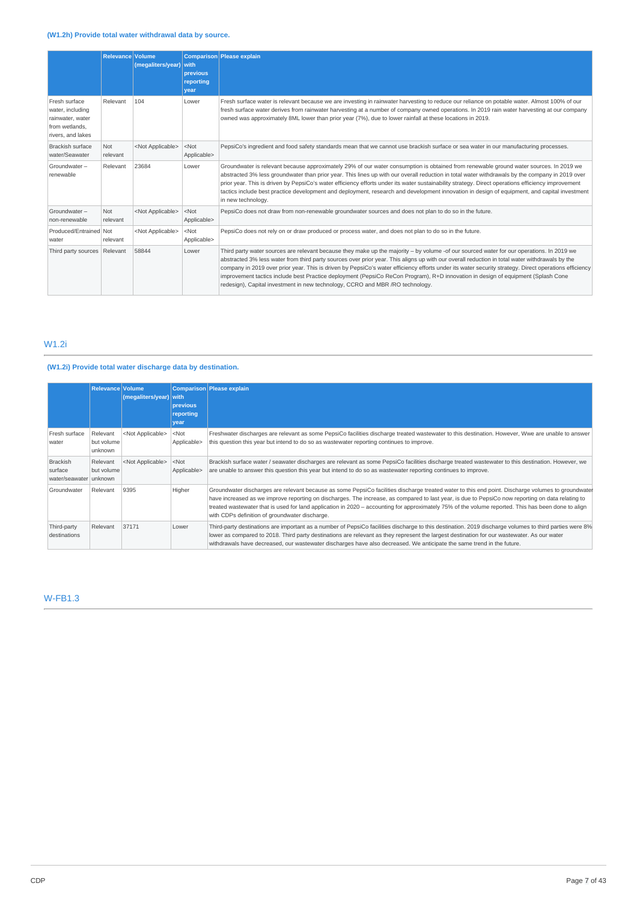## **(W1.2h) Provide total water withdrawal data by source.**

|                                                                                              | <b>Relevance Volume</b> | (megaliters/year)         | <b>with</b><br>previous<br>reporting<br>year | <b>Comparison Please explain</b>                                                                                                                                                                                                                                                                                                                                                                                                                                                                                                                                                                                                                                           |
|----------------------------------------------------------------------------------------------|-------------------------|---------------------------|----------------------------------------------|----------------------------------------------------------------------------------------------------------------------------------------------------------------------------------------------------------------------------------------------------------------------------------------------------------------------------------------------------------------------------------------------------------------------------------------------------------------------------------------------------------------------------------------------------------------------------------------------------------------------------------------------------------------------------|
| Fresh surface<br>water, including<br>rainwater, water<br>from wetlands,<br>rivers, and lakes | Relevant                | 104                       | Lower                                        | Fresh surface water is relevant because we are investing in rainwater harvesting to reduce our reliance on potable water. Almost 100% of our<br>fresh surface water derives from rainwater harvesting at a number of company owned operations. In 2019 rain water harvesting at our company<br>owned was approximately 8ML lower than prior year (7%), due to lower rainfall at these locations in 2019.                                                                                                                                                                                                                                                                   |
| <b>Brackish surface</b><br>water/Seawater                                                    | Not<br>relevant         | <not applicable=""></not> | $<$ Not<br>Applicable>                       | PepsiCo's ingredient and food safety standards mean that we cannot use brackish surface or sea water in our manufacturing processes.                                                                                                                                                                                                                                                                                                                                                                                                                                                                                                                                       |
| Groundwater-<br>renewable                                                                    | Relevant                | 23684                     | Lower                                        | Groundwater is relevant because approximately 29% of our water consumption is obtained from renewable ground water sources. In 2019 we<br>abstracted 3% less groundwater than prior year. This lines up with our overall reduction in total water withdrawals by the company in 2019 over<br>prior year. This is driven by PepsiCo's water efficiency efforts under its water sustainability strategy. Direct operations efficiency improvement<br>tactics include best practice development and deployment, research and development innovation in design of equipment, and capital investment<br>in new technology.                                                      |
| Groundwater-<br>non-renewable                                                                | Not<br>relevant         | <not applicable=""></not> | $<$ Not<br>Applicable>                       | PepsiCo does not draw from non-renewable groundwater sources and does not plan to do so in the future.                                                                                                                                                                                                                                                                                                                                                                                                                                                                                                                                                                     |
| Produced/Entrained Not<br>water                                                              | relevant                | <not applicable=""></not> | $<$ Not<br>Applicable>                       | PepsiCo does not rely on or draw produced or process water, and does not plan to do so in the future.                                                                                                                                                                                                                                                                                                                                                                                                                                                                                                                                                                      |
| Third party sources Relevant                                                                 |                         | 58844                     | Lower                                        | Third party water sources are relevant because they make up the majority - by volume -of our sourced water for our operations. In 2019 we<br>abstracted 3% less water from third party sources over prior year. This aligns up with our overall reduction in total water withdrawals by the<br>company in 2019 over prior year. This is driven by PepsiCo's water efficiency efforts under its water security strategy. Direct operations efficiency<br>improvement tactics include best Practice deployment (PepsiCo ReCon Program), R+D innovation in design of equipment (Splash Cone<br>redesign), Capital investment in new technology, CCRO and MBR / RO technology. |

## W1.2i

## **(W1.2i) Provide total water discharge data by destination.**

|                                               | Relevance Volume                  | (megaliters/year) with    | previous<br>reporting<br>year | Comparison Please explain                                                                                                                                                                                                                                                                                                                                                                                                                                                                                        |
|-----------------------------------------------|-----------------------------------|---------------------------|-------------------------------|------------------------------------------------------------------------------------------------------------------------------------------------------------------------------------------------------------------------------------------------------------------------------------------------------------------------------------------------------------------------------------------------------------------------------------------------------------------------------------------------------------------|
| Fresh surface<br>water                        | Relevant<br>but volume<br>unknown | <not applicable=""></not> | $<$ Not<br>Applicable>        | Freshwater discharges are relevant as some PepsiCo facilities discharge treated wastewater to this destination. However, Wwe are unable to answer<br>this question this year but intend to do so as wastewater reporting continues to improve.                                                                                                                                                                                                                                                                   |
| Brackish<br>surface<br>water/seawater unknown | Relevant<br>but volume            | <not applicable=""></not> | $<$ Not<br>Applicable>        | Brackish surface water / seawater discharges are relevant as some PepsiCo facilities discharge treated wastewater to this destination. However, we<br>are unable to answer this question this year but intend to do so as wastewater reporting continues to improve.                                                                                                                                                                                                                                             |
| Groundwater                                   | Relevant                          | 9395                      | Higher                        | Groundwater discharges are relevant because as some PepsiCo facilities discharge treated water to this end point. Discharge volumes to groundwater<br>have increased as we improve reporting on discharges. The increase, as compared to last year, is due to PepsiCo now reporting on data relating to<br>treated wastewater that is used for land application in 2020 – accounting for approximately 75% of the volume reported. This has been done to align<br>with CDPs definition of groundwater discharge. |
| Third-party<br>destinations                   | Relevant                          | 37171                     | Lower                         | Third-party destinations are important as a number of PepsiCo facilities discharge to this destination. 2019 discharge volumes to third parties were 8%<br>lower as compared to 2018. Third party destinations are relevant as they represent the largest destination for our wastewater. As our water<br>withdrawals have decreased, our wastewater discharges have also decreased. We anticipate the same trend in the future.                                                                                 |

## W-FB1.3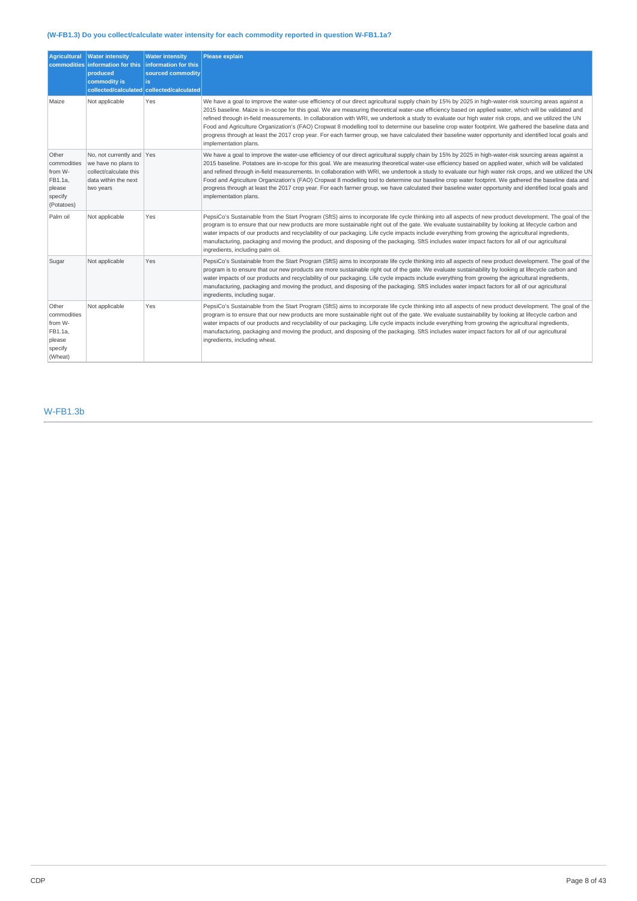## **(W-FB1.3) Do you collect/calculate water intensity for each commodity reported in question W-FB1.1a?**

| <b>Agricultural</b>                                                           | <b>Water intensity</b><br>commodities information for this information for this<br>produced<br>commodity is<br>collected/calculated collected/calculated | <b>Water intensity</b><br>sourced commodity<br>is. | <b>Please explain</b>                                                                                                                                                                                                                                                                                                                                                                                                                                                                                                                                                                                                                                                                                                                                                                                                  |
|-------------------------------------------------------------------------------|----------------------------------------------------------------------------------------------------------------------------------------------------------|----------------------------------------------------|------------------------------------------------------------------------------------------------------------------------------------------------------------------------------------------------------------------------------------------------------------------------------------------------------------------------------------------------------------------------------------------------------------------------------------------------------------------------------------------------------------------------------------------------------------------------------------------------------------------------------------------------------------------------------------------------------------------------------------------------------------------------------------------------------------------------|
| Maize                                                                         | Not applicable                                                                                                                                           | Yes                                                | We have a goal to improve the water-use efficiency of our direct agricultural supply chain by 15% by 2025 in high-water-risk sourcing areas against a<br>2015 baseline. Maize is in-scope for this goal. We are measuring theoretical water-use efficiency based on applied water, which will be validated and<br>refined through in-field measurements. In collaboration with WRI, we undertook a study to evaluate our high water risk crops, and we utilized the UN<br>Food and Agriculture Organization's (FAO) Cropwat 8 modelling tool to determine our baseline crop water footprint. We gathered the baseline data and<br>progress through at least the 2017 crop year. For each farmer group, we have calculated their baseline water opportunity and identified local goals and<br>implementation plans.     |
| Other<br>commodities<br>from W-<br>FB1.1a,<br>please<br>specify<br>(Potatoes) | No, not currently and Yes<br>we have no plans to<br>collect/calculate this<br>data within the next<br>two years                                          |                                                    | We have a goal to improve the water-use efficiency of our direct agricultural supply chain by 15% by 2025 in high-water-risk sourcing areas against a<br>2015 baseline. Potatoes are in-scope for this goal. We are measuring theoretical water-use efficiency based on applied water, which will be validated<br>and refined through in-field measurements. In collaboration with WRI, we undertook a study to evaluate our high water risk crops, and we utilized the UN<br>Food and Agriculture Organization's (FAO) Cropwat 8 modelling tool to determine our baseline crop water footprint. We gathered the baseline data and<br>progress through at least the 2017 crop year. For each farmer group, we have calculated their baseline water opportunity and identified local goals and<br>implementation plans. |
| Palm oil                                                                      | Not applicable                                                                                                                                           | Yes                                                | PepsiCo's Sustainable from the Start Program (SftS) aims to incorporate life cycle thinking into all aspects of new product development. The goal of the<br>program is to ensure that our new products are more sustainable right out of the gate. We evaluate sustainability by looking at lifecycle carbon and<br>water impacts of our products and recyclability of our packaging. Life cycle impacts include everything from growing the agricultural ingredients,<br>manufacturing, packaging and moving the product, and disposing of the packaging. SftS includes water impact factors for all of our agricultural<br>ingredients, including palm oil.                                                                                                                                                          |
| Sugar                                                                         | Not applicable                                                                                                                                           | Yes                                                | PepsiCo's Sustainable from the Start Program (SftS) aims to incorporate life cycle thinking into all aspects of new product development. The goal of the<br>program is to ensure that our new products are more sustainable right out of the gate. We evaluate sustainability by looking at lifecycle carbon and<br>water impacts of our products and recyclability of our packaging. Life cycle impacts include everything from growing the agricultural ingredients,<br>manufacturing, packaging and moving the product, and disposing of the packaging. SftS includes water impact factors for all of our agricultural<br>ingredients, including sugar.                                                                                                                                                             |
| Other<br>commodities<br>from W-<br>FB1.1a,<br>please<br>specify<br>(Wheat)    | Not applicable                                                                                                                                           | Yes                                                | PepsiCo's Sustainable from the Start Program (SftS) aims to incorporate life cycle thinking into all aspects of new product development. The goal of the<br>program is to ensure that our new products are more sustainable right out of the gate. We evaluate sustainability by looking at lifecycle carbon and<br>water impacts of our products and recyclability of our packaging. Life cycle impacts include everything from growing the agricultural ingredients,<br>manufacturing, packaging and moving the product, and disposing of the packaging. SftS includes water impact factors for all of our agricultural<br>ingredients, including wheat.                                                                                                                                                             |

## W-FB1.3b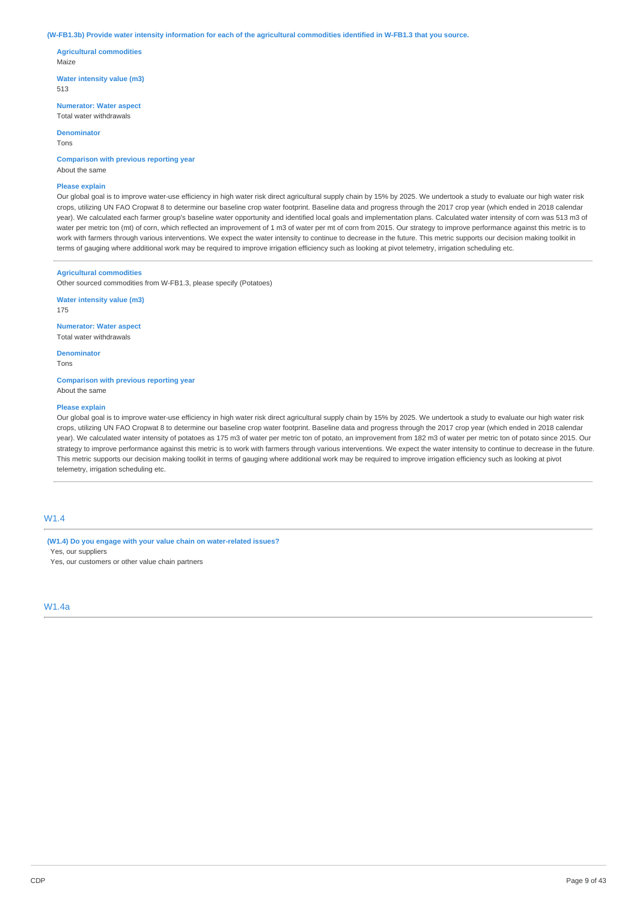#### (W-FB1.3b) Provide water intensity information for each of the agricultural commodities identified in W-FB1.3 that you source.

**Agricultural commodities** Maize

**Water intensity value (m3)** 513

**Numerator: Water aspect** Total water withdrawals

**Denominator**

Tons

**Comparison with previous reporting year** About the same

#### **Please explain**

Our global goal is to improve water-use efficiency in high water risk direct agricultural supply chain by 15% by 2025. We undertook a study to evaluate our high water risk crops, utilizing UN FAO Cropwat 8 to determine our baseline crop water footprint. Baseline data and progress through the 2017 crop year (which ended in 2018 calendar year). We calculated each farmer group's baseline water opportunity and identified local goals and implementation plans. Calculated water intensity of corn was 513 m3 of water per metric ton (mt) of corn, which reflected an improvement of 1 m3 of water per mt of corn from 2015. Our strategy to improve performance against this metric is to work with farmers through various interventions. We expect the water intensity to continue to decrease in the future. This metric supports our decision making toolkit in terms of gauging where additional work may be required to improve irrigation efficiency such as looking at pivot telemetry, irrigation scheduling etc.

#### **Agricultural commodities**

Other sourced commodities from W-FB1.3, please specify (Potatoes)

**Water intensity value (m3)** 175

**Numerator: Water aspect** Total water withdrawals

**Denominator**

Tons

**Comparison with previous reporting year** About the same

#### **Please explain**

Our global goal is to improve water-use efficiency in high water risk direct agricultural supply chain by 15% by 2025. We undertook a study to evaluate our high water risk crops, utilizing UN FAO Cropwat 8 to determine our baseline crop water footprint. Baseline data and progress through the 2017 crop year (which ended in 2018 calendar year). We calculated water intensity of potatoes as 175 m3 of water per metric ton of potato, an improvement from 182 m3 of water per metric ton of potato since 2015. Our strategy to improve performance against this metric is to work with farmers through various interventions. We expect the water intensity to continue to decrease in the future. This metric supports our decision making toolkit in terms of gauging where additional work may be required to improve irrigation efficiency such as looking at pivot telemetry, irrigation scheduling etc.

## W1.4

**(W1.4) Do you engage with your value chain on water-related issues?** Yes, our suppliers Yes, our customers or other value chain partners

W1.4a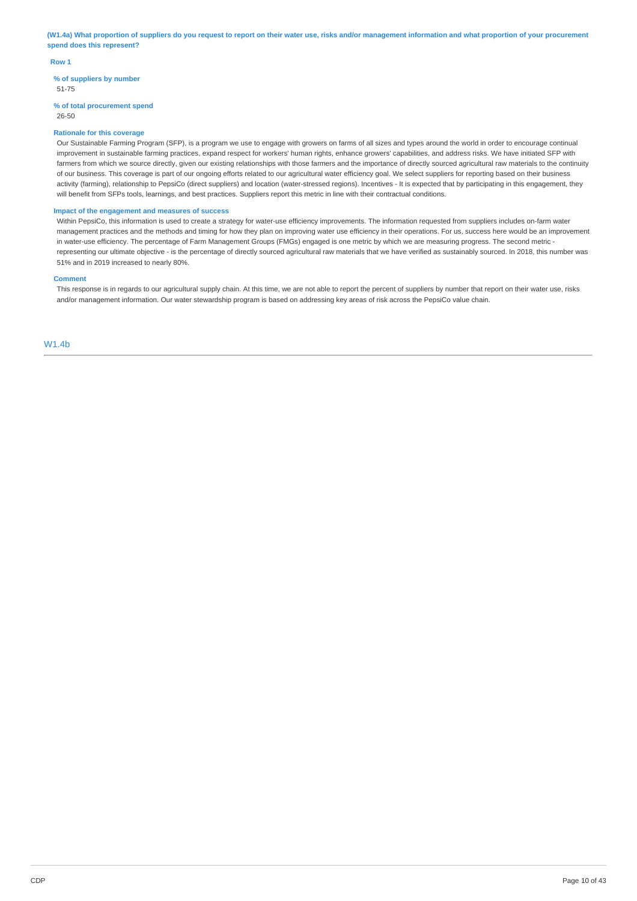(W1.4a) What proportion of suppliers do you request to report on their water use, risks and/or management information and what proportion of your procurement **spend does this represent?**

#### **Row 1**

**% of suppliers by number**

51-75

## **% of total procurement spend**

26-50

#### **Rationale for this coverage**

Our Sustainable Farming Program (SFP), is a program we use to engage with growers on farms of all sizes and types around the world in order to encourage continual improvement in sustainable farming practices, expand respect for workers' human rights, enhance growers' capabilities, and address risks. We have initiated SFP with farmers from which we source directly, given our existing relationships with those farmers and the importance of directly sourced agricultural raw materials to the continuity of our business. This coverage is part of our ongoing efforts related to our agricultural water efficiency goal. We select suppliers for reporting based on their business activity (farming), relationship to PepsiCo (direct suppliers) and location (water-stressed regions). Incentives - It is expected that by participating in this engagement, they will benefit from SFPs tools, learnings, and best practices. Suppliers report this metric in line with their contractual conditions.

#### **Impact of the engagement and measures of success**

Within PepsiCo, this information is used to create a strategy for water-use efficiency improvements. The information requested from suppliers includes on-farm water management practices and the methods and timing for how they plan on improving water use efficiency in their operations. For us, success here would be an improvement in water-use efficiency. The percentage of Farm Management Groups (FMGs) engaged is one metric by which we are measuring progress. The second metric representing our ultimate objective - is the percentage of directly sourced agricultural raw materials that we have verified as sustainably sourced. In 2018, this number was 51% and in 2019 increased to nearly 80%.

#### **Comment**

This response is in regards to our agricultural supply chain. At this time, we are not able to report the percent of suppliers by number that report on their water use, risks and/or management information. Our water stewardship program is based on addressing key areas of risk across the PepsiCo value chain.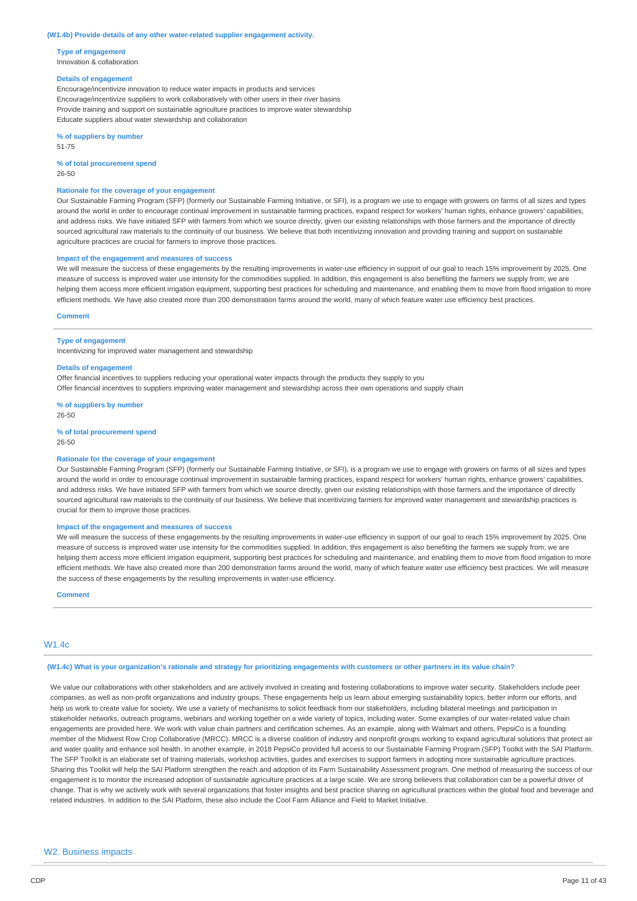#### **(W1.4b) Provide details of any other water-related supplier engagement activity.**

**Type of engagement** Innovation & collaboration

#### **Details of engagement**

Encourage/incentivize innovation to reduce water impacts in products and services Encourage/incentivize suppliers to work collaboratively with other users in their river basins Provide training and support on sustainable agriculture practices to improve water stewardship Educate suppliers about water stewardship and collaboration

**% of suppliers by number** 51-75

**% of total procurement spend** 26-50

#### **Rationale for the coverage of your engagement**

Our Sustainable Farming Program (SFP) (formerly our Sustainable Farming Initiative, or SFI), is a program we use to engage with growers on farms of all sizes and types around the world in order to encourage continual improvement in sustainable farming practices, expand respect for workers' human rights, enhance growers' capabilities, and address risks. We have initiated SFP with farmers from which we source directly, given our existing relationships with those farmers and the importance of directly sourced agricultural raw materials to the continuity of our business. We believe that both incentivizing innovation and providing training and support on sustainable agriculture practices are crucial for farmers to improve those practices.

#### **Impact of the engagement and measures of success**

We will measure the success of these engagements by the resulting improvements in water-use efficiency in support of our goal to reach 15% improvement by 2025. One measure of success is improved water use intensity for the commodities supplied. In addition, this engagement is also benefiting the farmers we supply from; we are helping them access more efficient irrigation equipment, supporting best practices for scheduling and maintenance, and enabling them to move from flood irrigation to more efficient methods. We have also created more than 200 demonstration farms around the world, many of which feature water use efficiency best practices.

#### **Comment**

#### **Type of engagement**

Incentivizing for improved water management and stewardship

#### **Details of engagement**

Offer financial incentives to suppliers reducing your operational water impacts through the products they supply to you Offer financial incentives to suppliers improving water management and stewardship across their own operations and supply chain

**% of suppliers by number** 26-50

**% of total procurement spend** 26-50

#### **Rationale for the coverage of your engagement**

Our Sustainable Farming Program (SFP) (formerly our Sustainable Farming Initiative, or SFI), is a program we use to engage with growers on farms of all sizes and types around the world in order to encourage continual improvement in sustainable farming practices, expand respect for workers' human rights, enhance growers' capabilities, and address risks. We have initiated SFP with farmers from which we source directly, given our existing relationships with those farmers and the importance of directly sourced agricultural raw materials to the continuity of our business. We believe that incentivizing farmers for improved water management and stewardship practices is crucial for them to improve those practices.

#### **Impact of the engagement and measures of success**

We will measure the success of these engagements by the resulting improvements in water-use efficiency in support of our goal to reach 15% improvement by 2025. One measure of success is improved water use intensity for the commodities supplied. In addition, this engagement is also benefiting the farmers we supply from; we are helping them access more efficient irrigation equipment, supporting best practices for scheduling and maintenance, and enabling them to move from flood irrigation to more efficient methods. We have also created more than 200 demonstration farms around the world, many of which feature water use efficiency best practices. We will measure the success of these engagements by the resulting improvements in water-use efficiency.

**Comment**

#### $M1AC$

#### (W1.4c) What is your organization's rationale and strategy for prioritizing engagements with customers or other partners in its value chain?

We value our collaborations with other stakeholders and are actively involved in creating and fostering collaborations to improve water security. Stakeholders include peer companies, as well as non-profit organizations and industry groups. These engagements help us learn about emerging sustainability topics, better inform our efforts, and help us work to create value for society. We use a variety of mechanisms to solicit feedback from our stakeholders, including bilateral meetings and participation in stakeholder networks, outreach programs, webinars and working together on a wide variety of topics, including water. Some examples of our water-related value chain engagements are provided here. We work with value chain partners and certification schemes. As an example, along with Walmart and others, PepsiCo is a founding member of the Midwest Row Crop Collaborative (MRCC). MRCC is a diverse coalition of industry and nonprofit groups working to expand agricultural solutions that protect air and water quality and enhance soil health. In another example, in 2018 PepsiCo provided full access to our Sustainable Farming Program (SFP) Toolkit with the SAI Platform. The SFP Toolkit is an elaborate set of training materials, workshop activities, guides and exercises to support farmers in adopting more sustainable agriculture practices. Sharing this Toolkit will help the SAI Platform strengthen the reach and adoption of its Farm Sustainability Assessment program. One method of measuring the success of our engagement is to monitor the increased adoption of sustainable agriculture practices at a large scale. We are strong believers that collaboration can be a powerful driver of change. That is why we actively work with several organizations that foster insights and best practice sharing on agricultural practices within the global food and beverage and related industries. In addition to the SAI Platform, these also include the Cool Farm Alliance and Field to Market Initiative.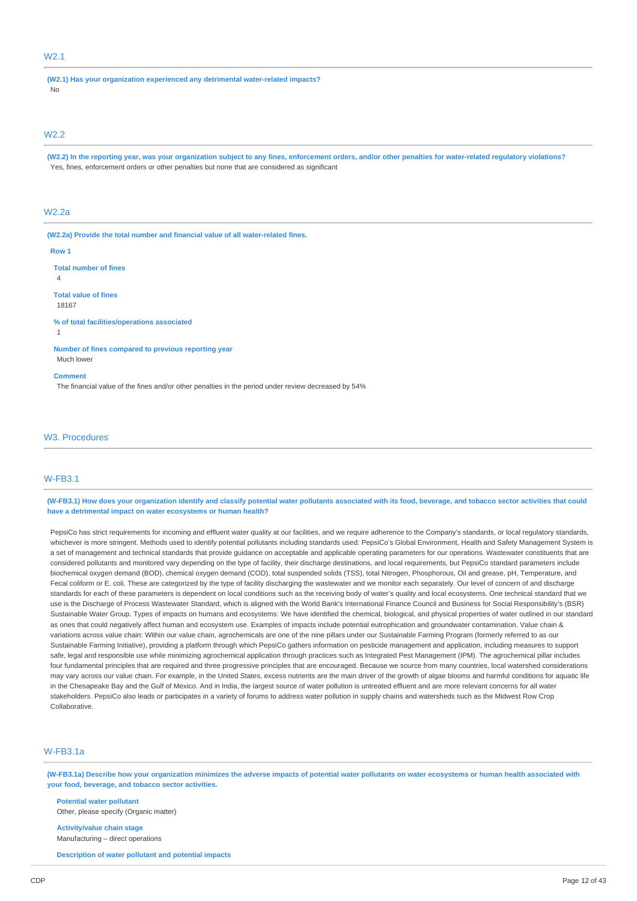## W2.1

**(W2.1) Has your organization experienced any detrimental water-related impacts?** No

### W2.2

(W2.2) In the reporting year, was your organization subject to any fines, enforcement orders, and/or other penalties for water-related regulatory violations? Yes, fines, enforcement orders or other penalties but none that are considered as significant

#### W2.2a

**(W2.2a) Provide the total number and financial value of all water-related fines.**

#### **Row 1**

**Total number of fines**

4

**Total value of fines**

18167

**% of total facilities/operations associated**

1

**Number of fines compared to previous reporting year** Much lower

#### **Comment**

The financial value of the fines and/or other penalties in the period under review decreased by 54%

### W3. Procedures

## W-FB3.1

(W-FB3.1) How does your organization identify and classify potential water pollutants associated with its food, beverage, and tobacco sector activities that could **have a detrimental impact on water ecosystems or human health?**

PepsiCo has strict requirements for incoming and effluent water quality at our facilities, and we require adherence to the Company's standards, or local regulatory standards, whichever is more stringent. Methods used to identify potential pollutants including standards used: PepsiCo's Global Environment, Health and Safety Management System is a set of management and technical standards that provide guidance on acceptable and applicable operating parameters for our operations. Wastewater constituents that are considered pollutants and monitored vary depending on the type of facility, their discharge destinations, and local requirements, but PepsiCo standard parameters include biochemical oxygen demand (BOD), chemical oxygen demand (COD), total suspended solids (TSS), total Nitrogen, Phosphorous, Oil and grease, pH, Temperature, and Fecal coliform or E. coli. These are categorized by the type of facility discharging the wastewater and we monitor each separately. Our level of concern of and discharge standards for each of these parameters is dependent on local conditions such as the receiving body of water's quality and local ecosystems. One technical standard that we use is the Discharge of Process Wastewater Standard, which is aligned with the World Bank's International Finance Council and Business for Social Responsibility's (BSR) Sustainable Water Group. Types of impacts on humans and ecosystems: We have identified the chemical, biological, and physical properties of water outlined in our standard as ones that could negatively affect human and ecosystem use. Examples of impacts include potential eutrophication and groundwater contamination. Value chain & variations across value chain: Within our value chain, agrochemicals are one of the nine pillars under our Sustainable Farming Program (formerly referred to as our Sustainable Farming Initiative), providing a platform through which PepsiCo gathers information on pesticide management and application, including measures to support safe, legal and responsible use while minimizing agrochemical application through practices such as Integrated Pest Management (IPM). The agrochemical pillar includes four fundamental principles that are required and three progressive principles that are encouraged. Because we source from many countries, local watershed considerations may vary across our value chain. For example, in the United States, excess nutrients are the main driver of the growth of algae blooms and harmful conditions for aquatic life in the Chesapeake Bay and the Gulf of Mexico. And in India, the largest source of water pollution is untreated effluent and are more relevant concerns for all water stakeholders. PepsiCo also leads or participates in a variety of forums to address water pollution in supply chains and watersheds such as the Midwest Row Crop Collaborative.

## W-FB3.1a

(W-FB3.1a) Describe how your organization minimizes the adverse impacts of potential water pollutants on water ecosystems or human health associated with **your food, beverage, and tobacco sector activities.**

**Potential water pollutant** Other, please specify (Organic matter)

**Activity/value chain stage** Manufacturing – direct operations

**Description of water pollutant and potential impacts**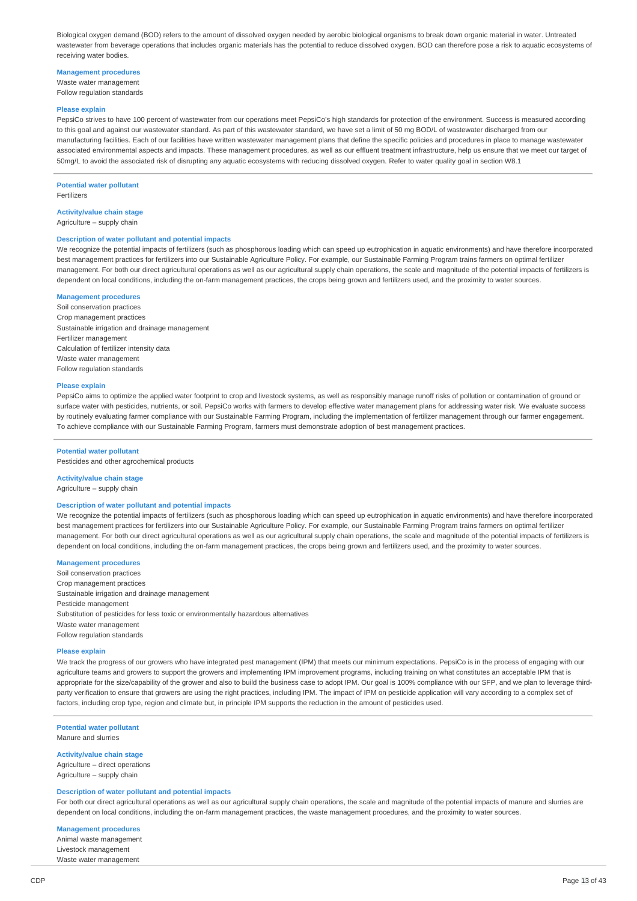Biological oxygen demand (BOD) refers to the amount of dissolved oxygen needed by aerobic biological organisms to break down organic material in water. Untreated wastewater from beverage operations that includes organic materials has the potential to reduce dissolved oxygen. BOD can therefore pose a risk to aquatic ecosystems of receiving water bodies.

#### **Management procedures**

Waste water management Follow regulation standards

#### **Please explain**

PepsiCo strives to have 100 percent of wastewater from our operations meet PepsiCo's high standards for protection of the environment. Success is measured according to this goal and against our wastewater standard. As part of this wastewater standard, we have set a limit of 50 mg BOD/L of wastewater discharged from our manufacturing facilities. Each of our facilities have written wastewater management plans that define the specific policies and procedures in place to manage wastewater associated environmental aspects and impacts. These management procedures, as well as our effluent treatment infrastructure, help us ensure that we meet our target of 50mg/L to avoid the associated risk of disrupting any aquatic ecosystems with reducing dissolved oxygen. Refer to water quality goal in section W8.1

#### **Potential water pollutant** Fertilizers

**Activity/value chain stage**

Agriculture – supply chain

#### **Description of water pollutant and potential impacts**

We recognize the potential impacts of fertilizers (such as phosphorous loading which can speed up eutrophication in aquatic environments) and have therefore incorporated best management practices for fertilizers into our Sustainable Agriculture Policy. For example, our Sustainable Farming Program trains farmers on optimal fertilizer management. For both our direct agricultural operations as well as our agricultural supply chain operations, the scale and magnitude of the potential impacts of fertilizers is dependent on local conditions, including the on-farm management practices, the crops being grown and fertilizers used, and the proximity to water sources

#### **Management procedures**

Soil conservation practices Crop management practices Sustainable irrigation and drainage management Fertilizer management Calculation of fertilizer intensity data Waste water management Follow regulation standards

#### **Please explain**

PepsiCo aims to optimize the applied water footprint to crop and livestock systems, as well as responsibly manage runoff risks of pollution or contamination of ground or surface water with pesticides, nutrients, or soil. PepsiCo works with farmers to develop effective water management plans for addressing water risk. We evaluate success by routinely evaluating farmer compliance with our Sustainable Farming Program, including the implementation of fertilizer management through our farmer engagement. To achieve compliance with our Sustainable Farming Program, farmers must demonstrate adoption of best management practices.

#### **Potential water pollutant**

Pesticides and other agrochemical products

## **Activity/value chain stage**

Agriculture – supply chain

#### **Description of water pollutant and potential impacts**

We recognize the potential impacts of fertilizers (such as phosphorous loading which can speed up eutrophication in aquatic environments) and have therefore incorporated best management practices for fertilizers into our Sustainable Agriculture Policy. For example, our Sustainable Farming Program trains farmers on optimal fertilizer management. For both our direct agricultural operations as well as our agricultural supply chain operations, the scale and magnitude of the potential impacts of fertilizers is dependent on local conditions, including the on-farm management practices, the crops being grown and fertilizers used, and the proximity to water sources.

#### **Management procedures**

Soil conservation practices Crop management practices Sustainable irrigation and drainage management Pesticide management Substitution of pesticides for less toxic or environmentally hazardous alternatives Waste water management Follow regulation standards

#### **Please explain**

We track the progress of our growers who have integrated pest management (IPM) that meets our minimum expectations. PepsiCo is in the process of engaging with our agriculture teams and growers to support the growers and implementing IPM improvement programs, including training on what constitutes an acceptable IPM that is appropriate for the size/capability of the grower and also to build the business case to adopt IPM. Our goal is 100% compliance with our SFP, and we plan to leverage thirdparty verification to ensure that growers are using the right practices, including IPM. The impact of IPM on pesticide application will vary according to a complex set of factors, including crop type, region and climate but, in principle IPM supports the reduction in the amount of pesticides used.

#### **Potential water pollutant**

Manure and slurries

### **Activity/value chain stage**

Agriculture – direct operations Agriculture – supply chain

#### **Description of water pollutant and potential impacts**

For both our direct agricultural operations as well as our agricultural supply chain operations, the scale and magnitude of the potential impacts of manure and slurries are dependent on local conditions, including the on-farm management practices, the waste management procedures, and the proximity to water sources.

## **Management procedures**

Animal waste management Livestock management Waste water management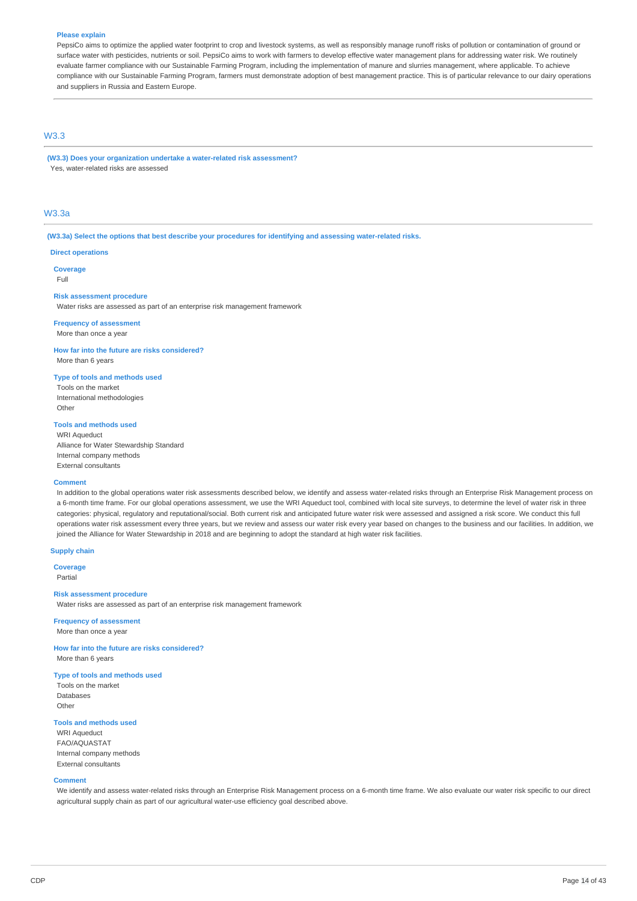#### **Please explain**

PepsiCo aims to optimize the applied water footprint to crop and livestock systems, as well as responsibly manage runoff risks of pollution or contamination of ground or surface water with pesticides, nutrients or soil. PepsiCo aims to work with farmers to develop effective water management plans for addressing water risk. We routinely evaluate farmer compliance with our Sustainable Farming Program, including the implementation of manure and slurries management, where applicable. To achieve compliance with our Sustainable Farming Program, farmers must demonstrate adoption of best management practice. This is of particular relevance to our dairy operations and suppliers in Russia and Eastern Europe.

## W3.3

**(W3.3) Does your organization undertake a water-related risk assessment?** Yes, water-related risks are assessed

## W3.3a

**(W3.3a) Select the options that best describe your procedures for identifying and assessing water-related risks.**

#### **Direct operations**

**Coverage**

Full

#### **Risk assessment procedure**

Water risks are assessed as part of an enterprise risk management framework

## **Frequency of assessment**

More than once a year

## **How far into the future are risks considered?**

More than 6 years

## **Type of tools and methods used**

Tools on the market International methodologies Other

#### **Tools and methods used**

WRI Aqueduct Alliance for Water Stewardship Standard Internal company methods External consultants

#### **Comment**

In addition to the global operations water risk assessments described below, we identify and assess water-related risks through an Enterprise Risk Management process on a 6-month time frame. For our global operations assessment, we use the WRI Aqueduct tool, combined with local site surveys, to determine the level of water risk in three categories: physical, regulatory and reputational/social. Both current risk and anticipated future water risk were assessed and assigned a risk score. We conduct this full operations water risk assessment every three years, but we review and assess our water risk every year based on changes to the business and our facilities. In addition, we joined the Alliance for Water Stewardship in 2018 and are beginning to adopt the standard at high water risk facilities.

#### **Supply chain**

**Coverage** Partial

#### **Risk assessment procedure**

Water risks are assessed as part of an enterprise risk management framework

#### **Frequency of assessment** More than once a year

**How far into the future are risks considered?** More than 6 years

#### **Type of tools and methods used**

Tools on the market Databases **Other** 

#### **Tools and methods used**

WRI Aqueduct FAO/AQUASTAT Internal company methods External consultants

#### **Comment**

We identify and assess water-related risks through an Enterprise Risk Management process on a 6-month time frame. We also evaluate our water risk specific to our direct agricultural supply chain as part of our agricultural water-use efficiency goal described above.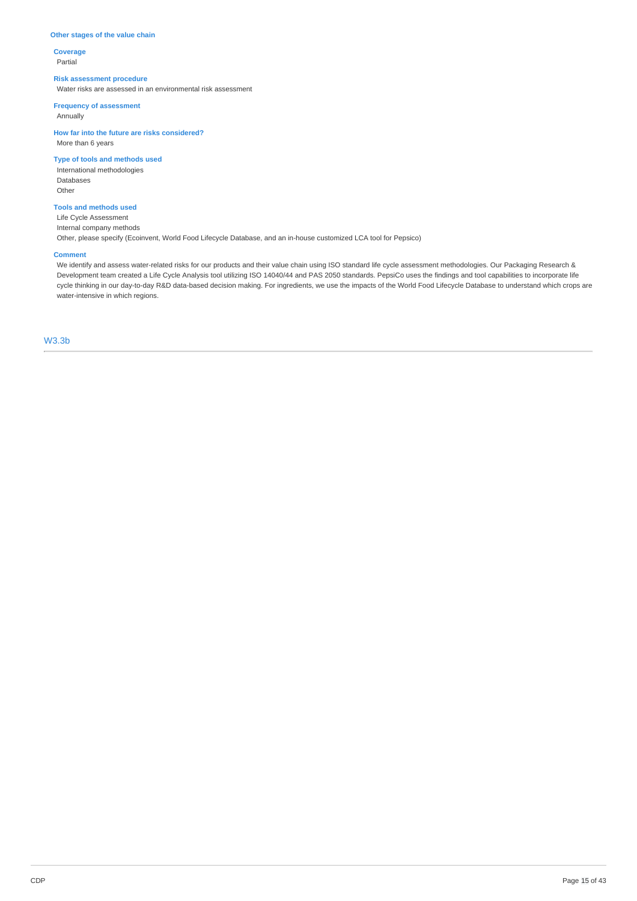## **Other stages of the value chain**

**Coverage** Partial

## **Risk assessment procedure**

Water risks are assessed in an environmental risk assessment

**Frequency of assessment**

Annually

**How far into the future are risks considered?** More than 6 years

**Type of tools and methods used**

International methodologies Databases Other

## **Tools and methods used**

Life Cycle Assessment Internal company methods Other, please specify (Ecoinvent, World Food Lifecycle Database, and an in-house customized LCA tool for Pepsico)

#### **Comment**

We identify and assess water-related risks for our products and their value chain using ISO standard life cycle assessment methodologies. Our Packaging Research & Development team created a Life Cycle Analysis tool utilizing ISO 14040/44 and PAS 2050 standards. PepsiCo uses the findings and tool capabilities to incorporate life cycle thinking in our day-to-day R&D data-based decision making. For ingredients, we use the impacts of the World Food Lifecycle Database to understand which crops are water-intensive in which regions.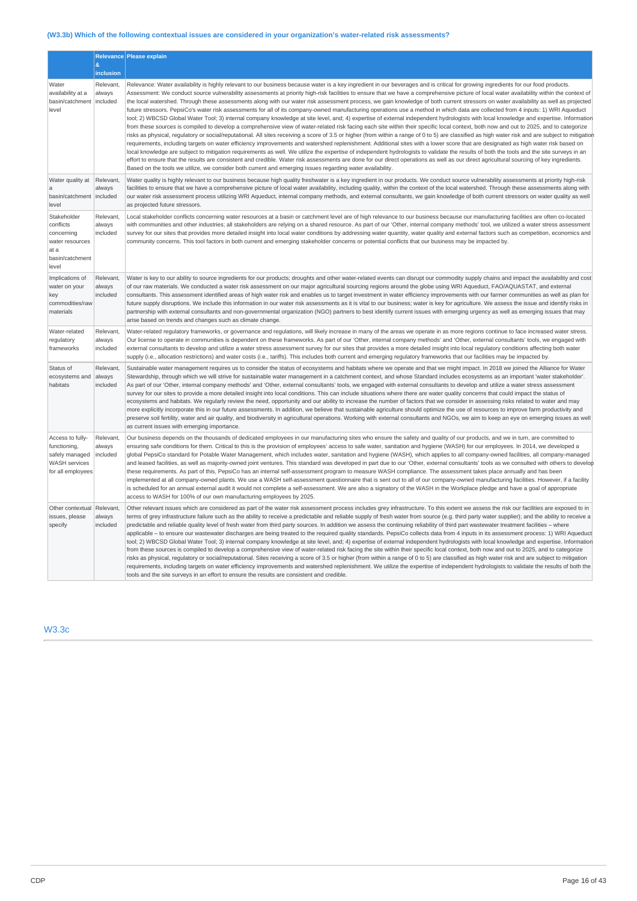## **(W3.3b) Which of the following contextual issues are considered in your organization's water-related risk assessments?**

|                                                                                                 | &<br>inclusion                  | Relevance Please explain                                                                                                                                                                                                                                                                                                                                                                                                                                                                                                                                                                                                                                                                                                                                                                                                                                                                                                                                                                                                                                                                                                                                                                                                                                                                                                                                                                                                                                                                                                                                                                                                                                                                                                                                                                                                                                                                                                                                                                                                                       |
|-------------------------------------------------------------------------------------------------|---------------------------------|------------------------------------------------------------------------------------------------------------------------------------------------------------------------------------------------------------------------------------------------------------------------------------------------------------------------------------------------------------------------------------------------------------------------------------------------------------------------------------------------------------------------------------------------------------------------------------------------------------------------------------------------------------------------------------------------------------------------------------------------------------------------------------------------------------------------------------------------------------------------------------------------------------------------------------------------------------------------------------------------------------------------------------------------------------------------------------------------------------------------------------------------------------------------------------------------------------------------------------------------------------------------------------------------------------------------------------------------------------------------------------------------------------------------------------------------------------------------------------------------------------------------------------------------------------------------------------------------------------------------------------------------------------------------------------------------------------------------------------------------------------------------------------------------------------------------------------------------------------------------------------------------------------------------------------------------------------------------------------------------------------------------------------------------|
| Water<br>availability at a<br>basin/catchment<br>level                                          | Relevant,<br>always<br>included | Relevance: Water availability is highly relevant to our business because water is a key ingredient in our beverages and is critical for growing ingredients for our food products.<br>Assessment: We conduct source vulnerability assessments at priority high-risk facilities to ensure that we have a comprehensive picture of local water availability within the context of<br>the local watershed. Through these assessments along with our water risk assessment process, we gain knowledge of both current stressors on water availability as well as projected<br>future stressors. PepsiCo's water risk assessments for all of its company-owned manufacturing operations use a method in which data are collected from 4 inputs: 1) WRI Aqueduct<br>tool; 2) WBCSD Global Water Tool; 3) internal company knowledge at site level, and; 4) expertise of external independent hydrologists with local knowledge and expertise. Information<br>from these sources is compiled to develop a comprehensive view of water-related risk facing each site within their specific local context, both now and out to 2025, and to categorize<br>risks as physical, regulatory or social/reputational. All sites receiving a score of 3.5 or higher (from within a range of 0 to 5) are classified as high water risk and are subject to mitigation<br>requirements, including targets on water efficiency improvements and watershed replenishment. Additional sites with a lower score that are designated as high water risk based on<br>local knowledge are subject to mitigation requirements as well. We utilize the expertise of independent hydrologists to validate the results of both the tools and the site surveys in an<br>effort to ensure that the results are consistent and credible. Water risk assessments are done for our direct operations as well as our direct agricultural sourcing of key ingredients.<br>Based on the tools we utilize, we consider both current and emerging issues regarding water availability. |
| Water quality at<br>a<br>basin/catchment<br>level                                               | Relevant,<br>always<br>included | Water quality is highly relevant to our business because high quality freshwater is a key ingredient in our products. We conduct source vulnerability assessments at priority high-risk<br>facilities to ensure that we have a comprehensive picture of local water availability, including quality, within the context of the local watershed. Through these assessments along with<br>our water risk assessment process utilizing WRI Aqueduct, internal company methods, and external consultants, we gain knowledge of both current stressors on water quality as well<br>as projected future stressors.                                                                                                                                                                                                                                                                                                                                                                                                                                                                                                                                                                                                                                                                                                                                                                                                                                                                                                                                                                                                                                                                                                                                                                                                                                                                                                                                                                                                                                   |
| Stakeholder<br>conflicts<br>concerning<br>water resources<br>at a<br>basin/catchment<br>level   | Relevant,<br>always<br>included | Local stakeholder conflicts concerning water resources at a basin or catchment level are of high relevance to our business because our manufacturing facilities are often co-located<br>with communities and other industries; all stakeholders are relying on a shared resource. As part of our 'Other, internal company methods' tool, we utilized a water stress assessment<br>survey for our sites that provides more detailed insight into local water conditions by addressing water quantity, water quality and external factors such as competition, economics and<br>community concerns. This tool factors in both current and emerging stakeholder concerns or potential conflicts that our business may be impacted by.                                                                                                                                                                                                                                                                                                                                                                                                                                                                                                                                                                                                                                                                                                                                                                                                                                                                                                                                                                                                                                                                                                                                                                                                                                                                                                             |
| Implications of<br>water on your<br>key<br>commodities/raw<br>materials                         | Relevant,<br>always<br>included | Water is key to our ability to source ingredients for our products; droughts and other water-related events can disrupt our commodity supply chains and impact the availability and cost<br>of our raw materials. We conducted a water risk assessment on our major agricultural sourcing regions around the globe using WRI Aqueduct, FAO/AQUASTAT, and external<br>consultants. This assessment identified areas of high water risk and enables us to target investment in water efficiency improvements with our farmer communities as well as plan for<br>future supply disruptions. We include this information in our water risk assessments as it is vital to our business; water is key for agriculture. We assess the issue and identify risks in<br>partnership with external consultants and non-governmental organization (NGO) partners to best identify current issues with emerging urgency as well as emerging issues that may<br>arise based on trends and changes such as climate change.                                                                                                                                                                                                                                                                                                                                                                                                                                                                                                                                                                                                                                                                                                                                                                                                                                                                                                                                                                                                                                    |
| Water-related<br>regulatory<br>frameworks                                                       | Relevant,<br>always<br>included | Water-related regulatory frameworks, or governance and regulations, will likely increase in many of the areas we operate in as more regions continue to face increased water stress.<br>Our license to operate in communities is dependent on these frameworks. As part of our 'Other, internal company methods' and 'Other, external consultants' tools, we engaged with<br>external consultants to develop and utilize a water stress assessment survey for our sites that provides a more detailed insight into local regulatory conditions affecting both water<br>supply (i.e., allocation restrictions) and water costs (i.e., tariffs). This includes both current and emerging regulatory frameworks that our facilities may be impacted by.                                                                                                                                                                                                                                                                                                                                                                                                                                                                                                                                                                                                                                                                                                                                                                                                                                                                                                                                                                                                                                                                                                                                                                                                                                                                                           |
| Status of<br>ecosystems and<br>habitats                                                         | Relevant,<br>always<br>included | Sustainable water management requires us to consider the status of ecosystems and habitats where we operate and that we might impact. In 2018 we joined the Alliance for Water<br>Stewardship, through which we will strive for sustainable water management in a catchment context, and whose Standard includes ecosystems as an important 'water stakeholder'.<br>As part of our 'Other, internal company methods' and 'Other, external consultants' tools, we engaged with external consultants to develop and utilize a water stress assessment<br>survey for our sites to provide a more detailed insight into local conditions. This can include situations where there are water quality concerns that could impact the status of<br>ecosystems and habitats. We regularly review the need, opportunity and our ability to increase the number of factors that we consider in assessing risks related to water and may<br>more explicitly incorporate this in our future assessments. In addition, we believe that sustainable agriculture should optimize the use of resources to improve farm productivity and<br>preserve soil fertility, water and air quality, and biodiversity in agricultural operations. Working with external consultants and NGOs, we aim to keep an eye on emerging issues as well<br>as current issues with emerging importance.                                                                                                                                                                                                                                                                                                                                                                                                                                                                                                                                                                                                                                                                            |
| Access to fully-<br>functioning,<br>safely managed<br><b>WASH</b> services<br>for all employees | Relevant,<br>always<br>included | Our business depends on the thousands of dedicated employees in our manufacturing sites who ensure the safety and quality of our products, and we in turn, are committed to<br>ensuring safe conditions for them. Critical to this is the provision of employees' access to safe water, sanitation and hygiene (WASH) for our employees. In 2014, we developed a<br>global PepsiCo standard for Potable Water Management, which includes water, sanitation and hygiene (WASH), which applies to all company-owned facilities, all company-managed<br>and leased facilities, as well as majority-owned joint ventures. This standard was developed in part due to our 'Other, external consultants' tools as we consulted with others to develop<br>these requirements. As part of this, PepsiCo has an internal self-assessment program to measure WASH compliance. The assessment takes place annually and has been<br>implemented at all company-owned plants. We use a WASH self-assessment questionnaire that is sent out to all of our company-owned manufacturing facilities. However, if a facility<br>is scheduled for an annual external audit it would not complete a self-assessment. We are also a signatory of the WASH in the Workplace pledge and have a goal of appropriate<br>access to WASH for 100% of our own manufacturing employees by 2025.                                                                                                                                                                                                                                                                                                                                                                                                                                                                                                                                                                                                                                                                             |
| Other contextual<br>issues, please<br>specify                                                   | Relevant,<br>always<br>included | Other relevant issues which are considered as part of the water risk assessment process includes grey infrastructure. To this extent we assess the risk our facilities are exposed to in<br>terms of grey infrastructure failure such as the ability to receive a predictable and reliable supply of fresh water from source (e.g. third party water supplier); and the ability to receive a<br>predictable and reliable quality level of fresh water from third party sources. In addition we assess the continuing reliability of third part wastewater treatment facilities - where<br>applicable - to ensure our wastewater discharges are being treated to the required quality standards. PepsiCo collects data from 4 inputs in its assessment process: 1) WRI Aqueduct<br>tool; 2) WBCSD Global Water Tool; 3) internal company knowledge at site level, and; 4) expertise of external independent hydrologists with local knowledge and expertise. Information<br>from these sources is compiled to develop a comprehensive view of water-related risk facing the site within their specific local context, both now and out to 2025, and to categorize<br>risks as physical, regulatory or social/reputational. Sites receiving a score of 3.5 or higher (from within a range of 0 to 5) are classified as high water risk and are subject to mitigation<br>requirements, including targets on water efficiency improvements and watershed replenishment. We utilize the expertise of independent hydrologists to validate the results of both the<br>tools and the site surveys in an effort to ensure the results are consistent and credible.                                                                                                                                                                                                                                                                                                                                                                                     |

## W3.3c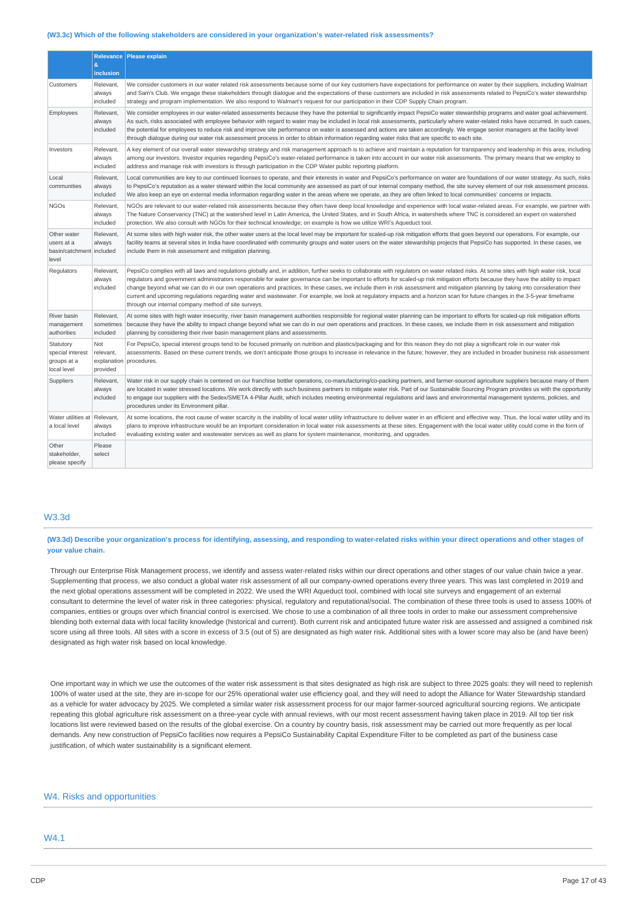#### **(W3.3c) Which of the following stakeholders are considered in your organization's water-related risk assessments?**

|                                                                | $\mathbf{g}$                                | Relevance   Please explain                                                                                                                                                                                                                                                                                                                                                                                                                                                                                                                                                                                                                                                                                                                                                                                |
|----------------------------------------------------------------|---------------------------------------------|-----------------------------------------------------------------------------------------------------------------------------------------------------------------------------------------------------------------------------------------------------------------------------------------------------------------------------------------------------------------------------------------------------------------------------------------------------------------------------------------------------------------------------------------------------------------------------------------------------------------------------------------------------------------------------------------------------------------------------------------------------------------------------------------------------------|
|                                                                | inclusion                                   |                                                                                                                                                                                                                                                                                                                                                                                                                                                                                                                                                                                                                                                                                                                                                                                                           |
| Customers                                                      | Relevant<br>always<br>included              | We consider customers in our water related risk assessments because some of our key customers have expectations for performance on water by their suppliers, including Walmart<br>and Sam's Club. We engage these stakeholders through dialogue and the expectations of these customers are included in risk assessments related to PepsiCo's water stewardship<br>strategy and program implementation. We also respond to Walmart's request for our participation in their CDP Supply Chain program.                                                                                                                                                                                                                                                                                                     |
| Employees                                                      | Relevant.<br>always<br>included             | We consider employees in our water-related assessments because they have the potential to significantly impact PepsiCo water stewardship programs and water goal achievement.<br>As such, risks associated with employee behavior with regard to water may be included in local risk assessments, particularly where water-related risks have occurred. In such cases,<br>the potential for employees to reduce risk and improve site performance on water is assessed and actions are taken accordingly. We engage senior managers at the facility level<br>through dialogue during our water risk assessment process in order to obtain information regarding water risks that are specific to each site.                                                                                               |
| Investors                                                      | Relevant,<br>always<br>included             | A key element of our overall water stewardship strategy and risk management approach is to achieve and maintain a reputation for transparency and leadership in this area, including<br>among our investors. Investor inquiries regarding PepsiCo's water-related performance is taken into account in our water risk assessments. The primary means that we employ to<br>address and manage risk with investors is through participation in the CDP Water public reporting platform.                                                                                                                                                                                                                                                                                                                     |
| Local<br>communities                                           | Relevant,<br>always<br>included             | Local communities are key to our continued licenses to operate, and their interests in water and PepsiCo's performance on water are foundations of our water strategy. As such, risks<br>to PepsiCo's reputation as a water steward within the local community are assessed as part of our internal company method, the site survey element of our risk assessment process.<br>We also keep an eye on external media information regarding water in the areas where we operate, as they are often linked to local communities' concerns or impacts.                                                                                                                                                                                                                                                       |
| <b>NGOs</b>                                                    | Relevant,<br>always<br>included             | NGOs are relevant to our water-related risk assessments because they often have deep local knowledge and experience with local water-related areas. For example, we partner with<br>The Nature Conservancy (TNC) at the watershed level in Latin America, the United States, and in South Africa, in watersheds where TNC is considered an expert on watershed<br>protection. We also consult with NGOs for their technical knowledge; on example is how we utilize WRI's Aqueduct tool.                                                                                                                                                                                                                                                                                                                  |
| Other water<br>users at a<br>basin/catchment included<br>level | Relevant,<br>always                         | At some sites with high water risk, the other water users at the local level may be important for scaled-up risk mitigation efforts that goes beyond our operations. For example, our<br>facility teams at several sites in India have coordinated with community groups and water users on the water stewardship projects that PepsiCo has supported. In these cases, we<br>include them in risk assessment and mitigation planning.                                                                                                                                                                                                                                                                                                                                                                     |
| Regulators                                                     | Relevant,<br>always<br>included             | PepsiCo complies with all laws and regulations globally and, in addition, further seeks to collaborate with regulators on water related risks. At some sites with high water risk, local<br>requlators and government administrators responsible for water governance can be important to efforts for scaled-up risk mitigation efforts because they have the ability to impact<br>change beyond what we can do in our own operations and practices. In these cases, we include them in risk assessment and mitigation planning by taking into consideration their<br>current and upcoming regulations regarding water and wastewater. For example, we look at regulatory impacts and a horizon scan for future changes in the 3-5-year timeframe<br>through our internal company method of site surveys. |
| River basin<br>management<br>authorities                       | Relevant,<br>sometimes<br>included          | At some sites with high water insecurity, river basin management authorities responsible for regional water planning can be important to efforts for scaled-up risk mitigation efforts<br>because they have the ability to impact change beyond what we can do in our own operations and practices. In these cases, we include them in risk assessment and mitigation<br>planning by considering their river basin management plans and assessments.                                                                                                                                                                                                                                                                                                                                                      |
| Statutory<br>special interest<br>groups at a<br>local level    | Not<br>relevant,<br>explanation<br>provided | For PepsiCo, special interest groups tend to be focused primarily on nutrition and plastics/packaging and for this reason they do not play a significant role in our water risk<br>assessments. Based on these current trends, we don't anticipate those groups to increase in relevance in the future; however, they are included in broader business risk assessment<br>procedures.                                                                                                                                                                                                                                                                                                                                                                                                                     |
| Suppliers                                                      | Relevant,<br>always<br>included             | Water risk in our supply chain is centered on our franchise bottler operations, co-manufacturing/co-packing partners, and farmer-sourced agriculture suppliers because many of them<br>are located in water stressed locations. We work directly with such business partners to mitigate water risk. Part of our Sustainable Sourcing Program provides us with the opportunity<br>to engage our suppliers with the Sedex/SMETA 4-Pillar Audit, which includes meeting environmental regulations and laws and environmental management systems, policies, and<br>procedures under its Environment pillar.                                                                                                                                                                                                  |
| Water utilities at<br>a local level                            | Relevant,<br>always<br>included             | At some locations, the root cause of water scarcity is the inability of local water utility infrastructure to deliver water in an efficient and effective way. Thus, the local water utility and its<br>plans to improve infrastructure would be an important consideration in local water risk assessments at these sites. Engagement with the local water utility could come in the form of<br>evaluating existing water and wastewater services as well as plans for system maintenance, monitoring, and upgrades.                                                                                                                                                                                                                                                                                     |
| Other<br>stakeholder,<br>please specify                        | Please<br>select                            |                                                                                                                                                                                                                                                                                                                                                                                                                                                                                                                                                                                                                                                                                                                                                                                                           |

### W3.3d

(W3.3d) Describe your organization's process for identifying, assessing, and responding to water-related risks within your direct operations and other stages of **your value chain.**

Through our Enterprise Risk Management process, we identify and assess water-related risks within our direct operations and other stages of our value chain twice a year. Supplementing that process, we also conduct a global water risk assessment of all our company-owned operations every three years. This was last completed in 2019 and the next global operations assessment will be completed in 2022. We used the WRI Aqueduct tool, combined with local site surveys and engagement of an external consultant to determine the level of water risk in three categories: physical, regulatory and reputational/social. The combination of these three tools is used to assess 100% of companies, entities or groups over which financial control is exercised. We chose to use a combination of all three tools in order to make our assessment comprehensive blending both external data with local facility knowledge (historical and current). Both current risk and anticipated future water risk are assessed and assigned a combined risk score using all three tools. All sites with a score in excess of 3.5 (out of 5) are designated as high water risk. Additional sites with a lower score may also be (and have been) designated as high water risk based on local knowledge.

One important way in which we use the outcomes of the water risk assessment is that sites designated as high risk are subject to three 2025 goals: they will need to replenish 100% of water used at the site, they are in-scope for our 25% operational water use efficiency goal, and they will need to adopt the Alliance for Water Stewardship standard as a vehicle for water advocacy by 2025. We completed a similar water risk assessment process for our major farmer-sourced agricultural sourcing regions. We anticipate repeating this global agriculture risk assessment on a three-year cycle with annual reviews, with our most recent assessment having taken place in 2019. All top tier risk locations list were reviewed based on the results of the global exercise. On a country by country basis, risk assessment may be carried out more frequently as per local demands. Any new construction of PepsiCo facilities now requires a PepsiCo Sustainability Capital Expenditure Filter to be completed as part of the business case justification, of which water sustainability is a significant element.

## W4. Risks and opportunities

## W4.1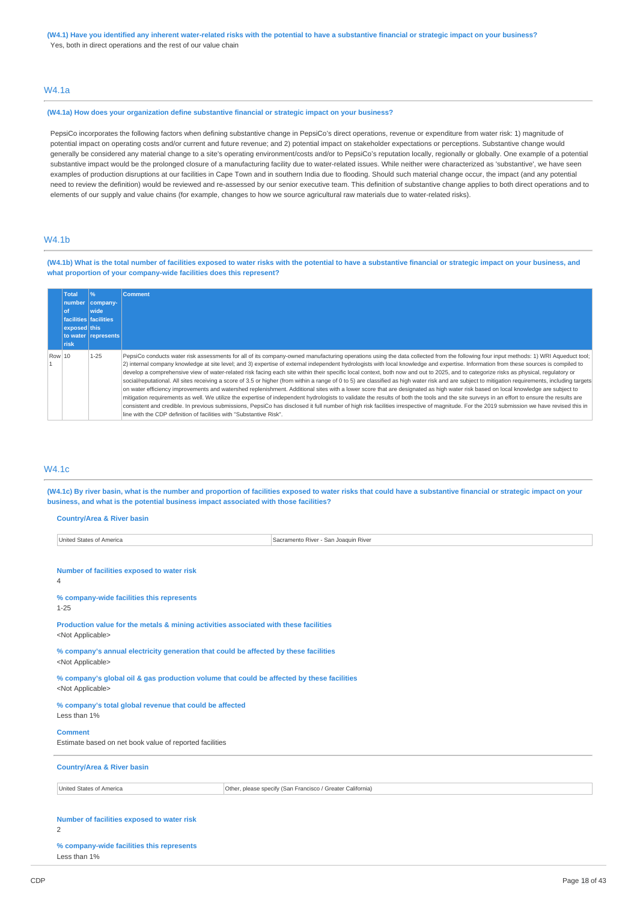#### (W4.1) Have you identified any inherent water-related risks with the potential to have a substantive financial or strategic impact on your business? Yes, both in direct operations and the rest of our value chain

## W4.1a

#### **(W4.1a) How does your organization define substantive financial or strategic impact on your business?**

PepsiCo incorporates the following factors when defining substantive change in PepsiCo's direct operations, revenue or expenditure from water risk: 1) magnitude of potential impact on operating costs and/or current and future revenue; and 2) potential impact on stakeholder expectations or perceptions. Substantive change would generally be considered any material change to a site's operating environment/costs and/or to PepsiCo's reputation locally, regionally or globally. One example of a potential substantive impact would be the prolonged closure of a manufacturing facility due to water-related issues. While neither were characterized as 'substantive', we have seen examples of production disruptions at our facilities in Cape Town and in southern India due to flooding. Should such material change occur, the impact (and any potential need to review the definition) would be reviewed and re-assessed by our senior executive team. This definition of substantive change applies to both direct operations and to elements of our supply and value chains (for example, changes to how we source agricultural raw materials due to water-related risks).

## W4.1b

(W4.1b) What is the total number of facilities exposed to water risks with the potential to have a substantive financial or strategic impact on your business, and **what proportion of your company-wide facilities does this represent?**

|        | <b>Total</b><br><b>of</b> | 96<br>number   company-<br>wide<br>facilities facilities | <b>Comment</b>                                                                                                                                                                                                                                                                                                                                                                                                                                                                                                                                                                                                                                                                                                                                                                                                                                                                                                                                                                                                                                                                                                                                                                                                                                                                                                                                                                                                                   |
|--------|---------------------------|----------------------------------------------------------|----------------------------------------------------------------------------------------------------------------------------------------------------------------------------------------------------------------------------------------------------------------------------------------------------------------------------------------------------------------------------------------------------------------------------------------------------------------------------------------------------------------------------------------------------------------------------------------------------------------------------------------------------------------------------------------------------------------------------------------------------------------------------------------------------------------------------------------------------------------------------------------------------------------------------------------------------------------------------------------------------------------------------------------------------------------------------------------------------------------------------------------------------------------------------------------------------------------------------------------------------------------------------------------------------------------------------------------------------------------------------------------------------------------------------------|
|        | exposed this              |                                                          |                                                                                                                                                                                                                                                                                                                                                                                                                                                                                                                                                                                                                                                                                                                                                                                                                                                                                                                                                                                                                                                                                                                                                                                                                                                                                                                                                                                                                                  |
|        |                           | to water represents                                      |                                                                                                                                                                                                                                                                                                                                                                                                                                                                                                                                                                                                                                                                                                                                                                                                                                                                                                                                                                                                                                                                                                                                                                                                                                                                                                                                                                                                                                  |
|        | risk                      |                                                          |                                                                                                                                                                                                                                                                                                                                                                                                                                                                                                                                                                                                                                                                                                                                                                                                                                                                                                                                                                                                                                                                                                                                                                                                                                                                                                                                                                                                                                  |
| Row 10 |                           | $1 - 25$                                                 | PepsiCo conducts water risk assessments for all of its company-owned manufacturing operations using the data collected from the following four input methods: 1) WRI Aqueduct tool;<br>2) internal company knowledge at site level; and 3) expertise of external independent hydrologists with local knowledge and expertise. Information from these sources is compiled to<br>develop a comprehensive view of water-related risk facing each site within their specific local context, both now and out to 2025, and to categorize risks as physical, requlatory or<br>social/reputational. All sites receiving a score of 3.5 or higher (from within a range of 0 to 5) are classified as high water risk and are subject to mitigation requirements, including targets<br>on water efficiency improvements and watershed replenishment. Additional sites with a lower score that are designated as high water risk based on local knowledge are subject to<br>mitigation requirements as well. We utilize the expertise of independent hydrologists to validate the results of both the tools and the site surveys in an effort to ensure the results are<br>consistent and credible. In previous submissions, PepsiCo has disclosed it full number of high risk facilities irrespective of magnitude. For the 2019 submission we have revised this in<br>line with the CDP definition of facilities with "Substantive Risk". |

## W4.1c

(W4.1c) By river basin, what is the number and proportion of facilities exposed to water risks that could have a substantive financial or strategic impact on your **business, and what is the potential business impact associated with those facilities?**

#### **Country/Area & River basin**

| United States of America                                                                                               |  | Sacramento River - San Joaquin River                       |
|------------------------------------------------------------------------------------------------------------------------|--|------------------------------------------------------------|
|                                                                                                                        |  |                                                            |
| Number of facilities exposed to water risk<br>4                                                                        |  |                                                            |
| % company-wide facilities this represents<br>$1 - 25$                                                                  |  |                                                            |
| Production value for the metals & mining activities associated with these facilities<br><not applicable=""></not>      |  |                                                            |
| % company's annual electricity generation that could be affected by these facilities<br><not applicable=""></not>      |  |                                                            |
| % company's global oil & gas production volume that could be affected by these facilities<br><not applicable=""></not> |  |                                                            |
| % company's total global revenue that could be affected<br>Less than 1%                                                |  |                                                            |
| <b>Comment</b><br>Estimate based on net book value of reported facilities                                              |  |                                                            |
| <b>Country/Area &amp; River basin</b>                                                                                  |  |                                                            |
| United States of America                                                                                               |  | Other, please specify (San Francisco / Greater California) |
|                                                                                                                        |  |                                                            |
| Number of facilities exposed to water risk<br>$\mathcal{P}$                                                            |  |                                                            |

#### **% company-wide facilities this represents** Less than 1%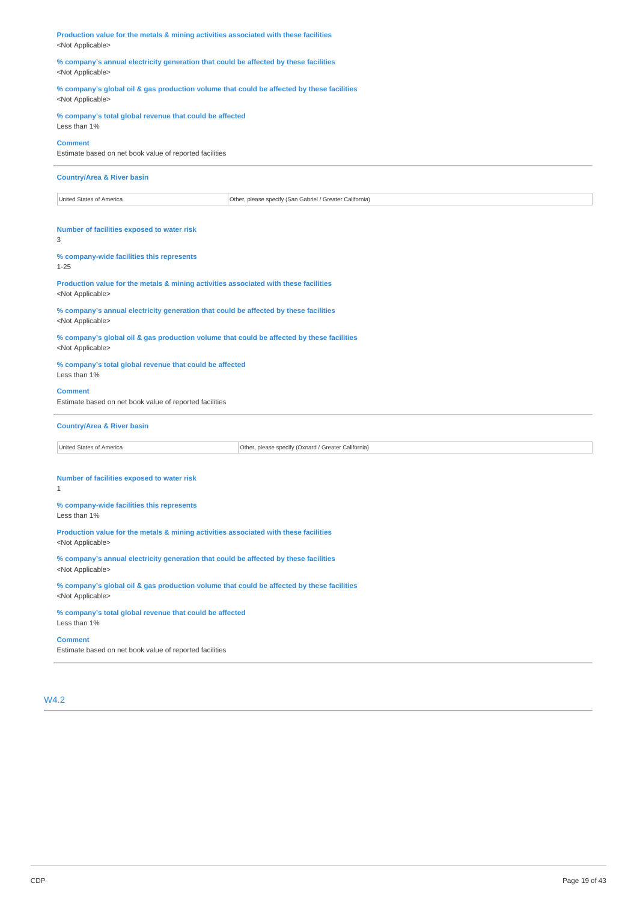**Production value for the metals & mining activities associated with these facilities** <Not Applicable>

**% company's annual electricity generation that could be affected by these facilities** <Not Applicable>

**% company's global oil & gas production volume that could be affected by these facilities** <Not Applicable>

#### **% company's total global revenue that could be affected** Less than 1%

#### **Comment**

Estimate based on net book value of reported facilities

#### **Country/Area & River basin**

United States of America **Other, please specify (San Gabriel / Greater California)** 

## **Number of facilities exposed to water risk**

3

## **% company-wide facilities this represents**

1-25

#### **Production value for the metals & mining activities associated with these facilities** <Not Applicable>

**% company's annual electricity generation that could be affected by these facilities** <Not Applicable>

**% company's global oil & gas production volume that could be affected by these facilities** <Not Applicable>

**% company's total global revenue that could be affected** Less than 1%

#### **Comment**

Estimate based on net book value of reported facilities

#### **Country/Area & River basin**

United States of America **Other, please specify (Oxnard / Greater California)** 

#### **Number of facilities exposed to water risk** 1

#### **% company-wide facilities this represents** Less than 1%

**Production value for the metals & mining activities associated with these facilities** <Not Applicable>

**% company's annual electricity generation that could be affected by these facilities** <Not Applicable>

**% company's global oil & gas production volume that could be affected by these facilities** <Not Applicable>

#### **% company's total global revenue that could be affected** Less than 1%

**Comment**

Estimate based on net book value of reported facilities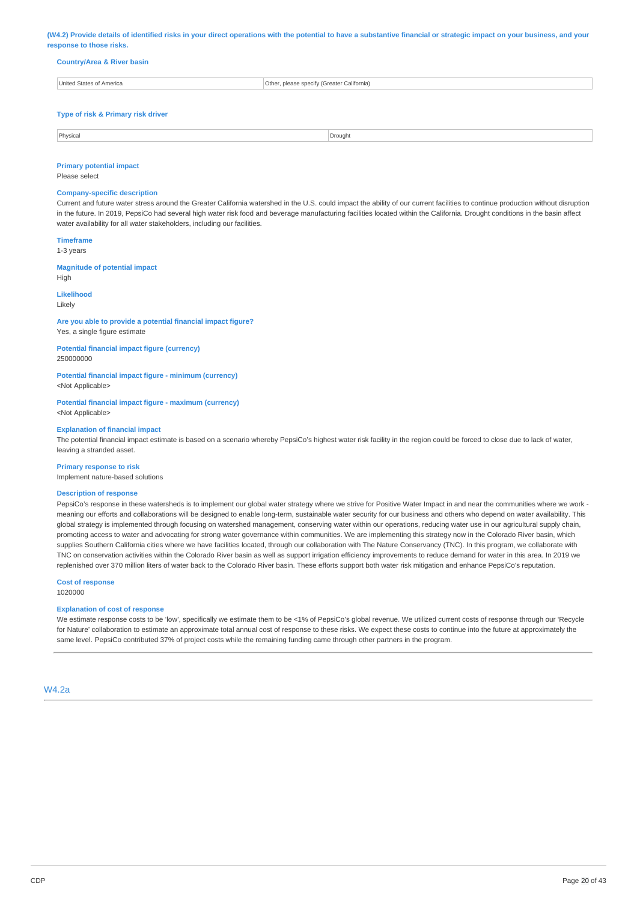(W4.2) Provide details of identified risks in your direct operations with the potential to have a substantive financial or strategic impact on your business, and your **response to those risks.**

| <b>Country/Area &amp; River basin</b> |  |  |
|---------------------------------------|--|--|

| <b>United States</b><br>America | Other, please specify (Greater California) |
|---------------------------------|--------------------------------------------|
|                                 |                                            |

#### **Type of risk & Primary risk driver**

| Physical | Drought |
|----------|---------|
|          |         |

#### **Primary potential impact**

Please select

### **Company-specific description**

Current and future water stress around the Greater California watershed in the U.S. could impact the ability of our current facilities to continue production without disruption in the future. In 2019, PepsiCo had several high water risk food and beverage manufacturing facilities located within the California. Drought conditions in the basin affect water availability for all water stakeholders, including our facilities.

#### **Timeframe**

1-3 years

#### **Magnitude of potential impact** High

**Likelihood**

### Likely

**Are you able to provide a potential financial impact figure?** Yes, a single figure estimate

**Potential financial impact figure (currency)** 250000000

**Potential financial impact figure - minimum (currency)**

<Not Applicable>

**Potential financial impact figure - maximum (currency)** <Not Applicable>

#### **Explanation of financial impact**

The potential financial impact estimate is based on a scenario whereby PepsiCo's highest water risk facility in the region could be forced to close due to lack of water, leaving a stranded asset.

#### **Primary response to risk**

Implement nature-based solutions

#### **Description of response**

PepsiCo's response in these watersheds is to implement our global water strategy where we strive for Positive Water Impact in and near the communities where we work meaning our efforts and collaborations will be designed to enable long-term, sustainable water security for our business and others who depend on water availability. This global strategy is implemented through focusing on watershed management, conserving water within our operations, reducing water use in our agricultural supply chain, promoting access to water and advocating for strong water governance within communities. We are implementing this strategy now in the Colorado River basin, which supplies Southern California cities where we have facilities located, through our collaboration with The Nature Conservancy (TNC). In this program, we collaborate with TNC on conservation activities within the Colorado River basin as well as support irrigation efficiency improvements to reduce demand for water in this area. In 2019 we replenished over 370 million liters of water back to the Colorado River basin. These efforts support both water risk mitigation and enhance PepsiCo's reputation.

## **Cost of response**

1020000

#### **Explanation of cost of response**

We estimate response costs to be 'low', specifically we estimate them to be <1% of PepsiCo's global revenue. We utilized current costs of response through our 'Recycle for Nature' collaboration to estimate an approximate total annual cost of response to these risks. We expect these costs to continue into the future at approximately the same level. PepsiCo contributed 37% of project costs while the remaining funding came through other partners in the program.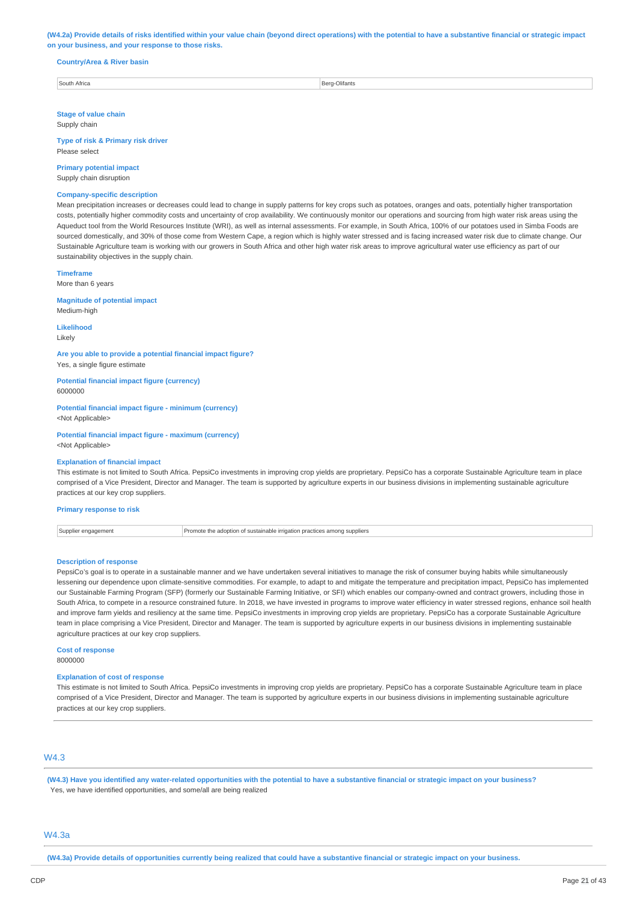(W4.2a) Provide details of risks identified within your value chain (beyond direct operations) with the potential to have a substantive financial or strategic impact **on your business, and your response to those risks.**

#### **Country/Area & River basin**

South Africa **Berg-Olifants** 

**Stage of value chain** Supply chain

**Type of risk & Primary risk driver** Please select

**Primary potential impact** Supply chain disruption

#### **Company-specific description**

Mean precipitation increases or decreases could lead to change in supply patterns for key crops such as potatoes, oranges and oats, potentially higher transportation costs, potentially higher commodity costs and uncertainty of crop availability. We continuously monitor our operations and sourcing from high water risk areas using the Aqueduct tool from the World Resources Institute (WRI), as well as internal assessments. For example, in South Africa, 100% of our potatoes used in Simba Foods are sourced domestically, and 30% of those come from Western Cape, a region which is highly water stressed and is facing increased water risk due to climate change. Our Sustainable Agriculture team is working with our growers in South Africa and other high water risk areas to improve agricultural water use efficiency as part of our sustainability objectives in the supply chain.

**Timeframe**

More than 6 years

**Magnitude of potential impact**

Medium-high

**Likelihood** Likely

**Are you able to provide a potential financial impact figure?** Yes, a single figure estimate

**Potential financial impact figure (currency)** 6000000

**Potential financial impact figure - minimum (currency)** <Not Applicable>

**Potential financial impact figure - maximum (currency)** <Not Applicable>

#### **Explanation of financial impact**

This estimate is not limited to South Africa. PepsiCo investments in improving crop yields are proprietary. PepsiCo has a corporate Sustainable Agriculture team in place comprised of a Vice President, Director and Manager. The team is supported by agriculture experts in our business divisions in implementing sustainable agriculture practices at our key crop suppliers.

**Primary response to risk**

Supplier engagement **Promote the adoption of sustainable irrigation practices among suppliers** 

#### **Description of response**

PepsiCo's goal is to operate in a sustainable manner and we have undertaken several initiatives to manage the risk of consumer buying habits while simultaneously lessening our dependence upon climate-sensitive commodities. For example, to adapt to and mitigate the temperature and precipitation impact, PepsiCo has implemented our Sustainable Farming Program (SFP) (formerly our Sustainable Farming Initiative, or SFI) which enables our company-owned and contract growers, including those in South Africa, to compete in a resource constrained future. In 2018, we have invested in programs to improve water efficiency in water stressed regions, enhance soil health and improve farm yields and resiliency at the same time. PepsiCo investments in improving crop yields are proprietary. PepsiCo has a corporate Sustainable Agriculture team in place comprising a Vice President, Director and Manager. The team is supported by agriculture experts in our business divisions in implementing sustainable agriculture practices at our key crop suppliers.

## **Cost of response**

8000000

#### **Explanation of cost of response**

This estimate is not limited to South Africa. PepsiCo investments in improving crop yields are proprietary. PepsiCo has a corporate Sustainable Agriculture team in place comprised of a Vice President, Director and Manager. The team is supported by agriculture experts in our business divisions in implementing sustainable agriculture practices at our key crop suppliers.

## W4.3

(W4.3) Have you identified any water-related opportunities with the potential to have a substantive financial or strategic impact on your business? Yes, we have identified opportunities, and some/all are being realized

## W4.3a

(W4.3a) Provide details of opportunities currently being realized that could have a substantive financial or strategic impact on your business.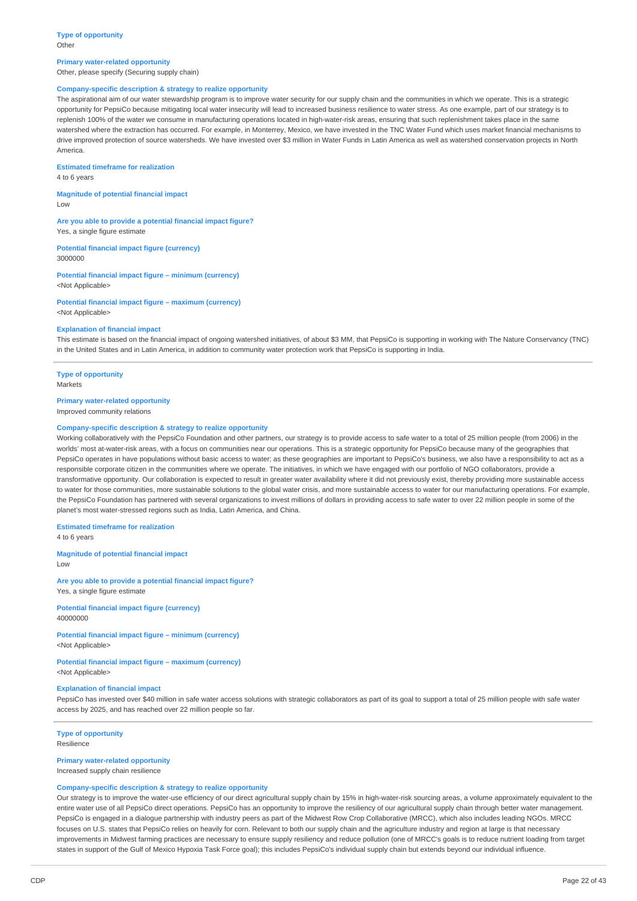#### **Type of opportunity Other**

#### **Primary water-related opportunity** Other, please specify (Securing supply chain)

## **Company-specific description & strategy to realize opportunity**

The aspirational aim of our water stewardship program is to improve water security for our supply chain and the communities in which we operate. This is a strategic opportunity for PepsiCo because mitigating local water insecurity will lead to increased business resilience to water stress. As one example, part of our strategy is to replenish 100% of the water we consume in manufacturing operations located in high-water-risk areas, ensuring that such replenishment takes place in the same watershed where the extraction has occurred. For example, in Monterrey, Mexico, we have invested in the TNC Water Fund which uses market financial mechanisms to drive improved protection of source watersheds. We have invested over \$3 million in Water Funds in Latin America as well as watershed conservation projects in North America.

**Estimated timeframe for realization**

4 to 6 years

**Magnitude of potential financial impact** Low

**Are you able to provide a potential financial impact figure?** Yes, a single figure estimate

**Potential financial impact figure (currency)** 3000000

**Potential financial impact figure – minimum (currency)** <Not Applicable>

**Potential financial impact figure – maximum (currency)** <Not Applicable>

#### **Explanation of financial impact**

This estimate is based on the financial impact of ongoing watershed initiatives, of about \$3 MM, that PepsiCo is supporting in working with The Nature Conservancy (TNC) in the United States and in Latin America, in addition to community water protection work that PepsiCo is supporting in India.

# **Type of opportunity**

Markets

## **Primary water-related opportunity**

Improved community relations

#### **Company-specific description & strategy to realize opportunity**

Working collaboratively with the PepsiCo Foundation and other partners, our strategy is to provide access to safe water to a total of 25 million people (from 2006) in the worlds' most at-water-risk areas, with a focus on communities near our operations. This is a strategic opportunity for PepsiCo because many of the geographies that PepsiCo operates in have populations without basic access to water; as these geographies are important to PepsiCo's business, we also have a responsibility to act as a responsible corporate citizen in the communities where we operate. The initiatives, in which we have engaged with our portfolio of NGO collaborators, provide a transformative opportunity. Our collaboration is expected to result in greater water availability where it did not previously exist, thereby providing more sustainable access to water for those communities, more sustainable solutions to the global water crisis, and more sustainable access to water for our manufacturing operations. For example, the PepsiCo Foundation has partnered with several organizations to invest millions of dollars in providing access to safe water to over 22 million people in some of the planet's most water-stressed regions such as India, Latin America, and China.

**Estimated timeframe for realization**

4 to 6 years

**Magnitude of potential financial impact**  $\overline{L}$ 

**Are you able to provide a potential financial impact figure?** Yes, a single figure estimate

**Potential financial impact figure (currency)** 40000000

**Potential financial impact figure – minimum (currency)** <Not Applicable>

**Potential financial impact figure – maximum (currency)** <Not Applicable>

#### **Explanation of financial impact**

PepsiCo has invested over \$40 million in safe water access solutions with strategic collaborators as part of its goal to support a total of 25 million people with safe water access by 2025, and has reached over 22 million people so far.

#### **Type of opportunity** Resilience

### **Primary water-related opportunity**

Increased supply chain resilience

## **Company-specific description & strategy to realize opportunity**

Our strategy is to improve the water-use efficiency of our direct agricultural supply chain by 15% in high-water-risk sourcing areas, a volume approximately equivalent to the entire water use of all PepsiCo direct operations. PepsiCo has an opportunity to improve the resiliency of our agricultural supply chain through better water management. PepsiCo is engaged in a dialogue partnership with industry peers as part of the Midwest Row Crop Collaborative (MRCC), which also includes leading NGOs. MRCC focuses on U.S. states that PepsiCo relies on heavily for corn. Relevant to both our supply chain and the agriculture industry and region at large is that necessar improvements in Midwest farming practices are necessary to ensure supply resiliency and reduce pollution (one of MRCC's goals is to reduce nutrient loading from target states in support of the Gulf of Mexico Hypoxia Task Force goal); this includes PepsiCo's individual supply chain but extends beyond our individual influence.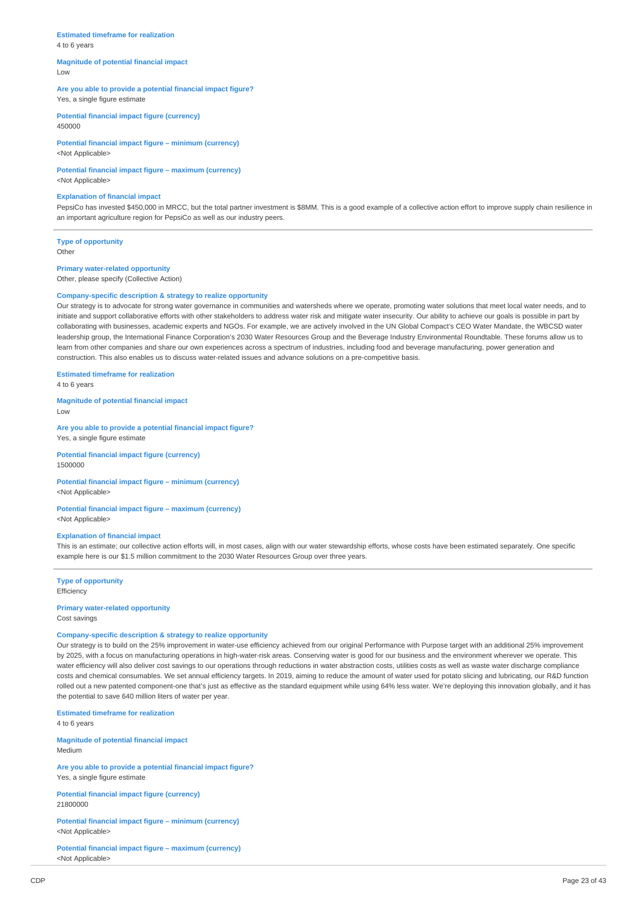## **Estimated timeframe for realization**

4 to 6 years

#### **Magnitude of potential financial impact** Low

#### **Are you able to provide a potential financial impact figure?** Yes, a single figure estimate

**Potential financial impact figure (currency)** 450000

**Potential financial impact figure – minimum (currency)** <Not Applicable>

## **Potential financial impact figure – maximum (currency)**

<Not Applicable>

#### **Explanation of financial impact**

PepsiCo has invested \$450,000 in MRCC, but the total partner investment is \$8MM. This is a good example of a collective action effort to improve supply chain resilience in an important agriculture region for PepsiCo as well as our industry peers.

**Type of opportunity Other** 

## **Primary water-related opportunity**

Other, please specify (Collective Action)

#### **Company-specific description & strategy to realize opportunity**

Our strategy is to advocate for strong water governance in communities and watersheds where we operate, promoting water solutions that meet local water needs, and to initiate and support collaborative efforts with other stakeholders to address water risk and mitigate water insecurity. Our ability to achieve our goals is possible in part by collaborating with businesses, academic experts and NGOs. For example, we are actively involved in the UN Global Compact's CEO Water Mandate, the WBCSD water leadership group, the International Finance Corporation's 2030 Water Resources Group and the Beverage Industry Environmental Roundtable. These forums allow us to learn from other companies and share our own experiences across a spectrum of industries, including food and beverage manufacturing, power generation and construction. This also enables us to discuss water-related issues and advance solutions on a pre-competitive basis.

**Estimated timeframe for realization**

4 to 6 years

**Magnitude of potential financial impact** Low

**Are you able to provide a potential financial impact figure?** Yes, a single figure estimate

**Potential financial impact figure (currency)** 1500000

## **Potential financial impact figure – minimum (currency)**

<Not Applicable>

#### **Potential financial impact figure – maximum (currency)** <Not Applicable>

#### **Explanation of financial impact**

This is an estimate; our collective action efforts will, in most cases, align with our water stewardship efforts, whose costs have been estimated separately. One specific example here is our \$1.5 million commitment to the 2030 Water Resources Group over three years.

## **Type of opportunity** Efficiency

# **Primary water-related opportunity**

Cost savings

#### **Company-specific description & strategy to realize opportunity**

Our strategy is to build on the 25% improvement in water-use efficiency achieved from our original Performance with Purpose target with an additional 25% improvement by 2025, with a focus on manufacturing operations in high-water-risk areas. Conserving water is good for our business and the environment wherever we operate. This water efficiency will also deliver cost savings to our operations through reductions in water abstraction costs, utilities costs as well as waste water discharge compliance costs and chemical consumables. We set annual efficiency targets. In 2019, aiming to reduce the amount of water used for potato slicing and lubricating, our R&D function rolled out a new patented component-one that's just as effective as the standard equipment while using 64% less water. We're deploying this innovation globally, and it has the potential to save 640 million liters of water per year.

**Estimated timeframe for realization** 4 to 6 years

**Magnitude of potential financial impact** Medium

**Are you able to provide a potential financial impact figure?** Yes, a single figure estimate

**Potential financial impact figure (currency)** 21800000

**Potential financial impact figure – minimum (currency)** <Not Applicable>

**Potential financial impact figure – maximum (currency)** <Not Applicable>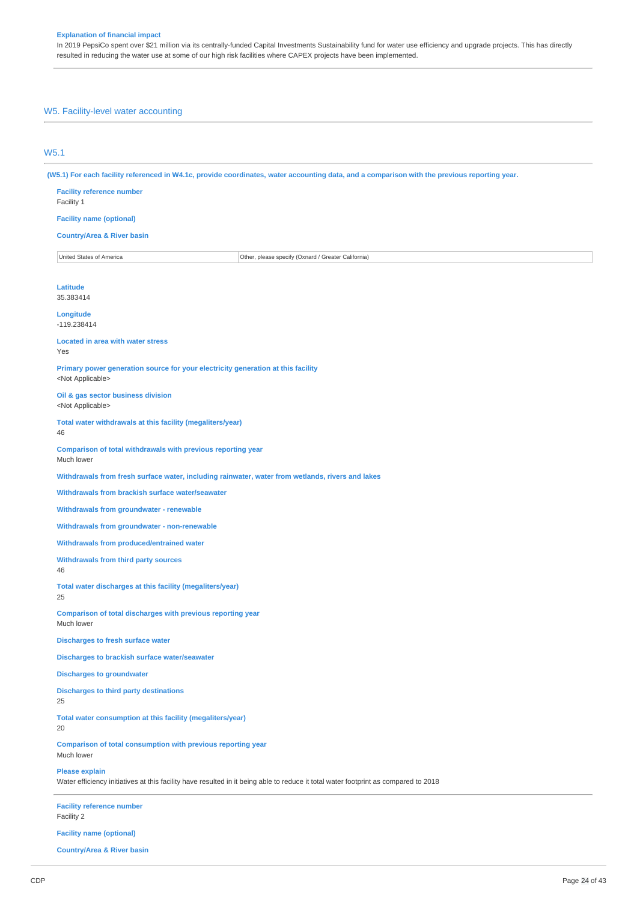In 2019 PepsiCo spent over \$21 million via its centrally-funded Capital Investments Sustainability fund for water use efficiency and upgrade projects. This has directly resulted in reducing the water use at some of our high risk facilities where CAPEX projects have been implemented.

## W5. Facility-level water accounting

## W5.1

(W5.1) For each facility referenced in W4.1c, provide coordinates, water accounting data, and a comparison with the previous reporting year.

| <b>Facility reference number</b><br>Facility 1                                                                                                               |  |
|--------------------------------------------------------------------------------------------------------------------------------------------------------------|--|
| <b>Facility name (optional)</b>                                                                                                                              |  |
| <b>Country/Area &amp; River basin</b>                                                                                                                        |  |
| United States of America<br>Other, please specify (Oxnard / Greater California)                                                                              |  |
|                                                                                                                                                              |  |
| <b>Latitude</b><br>35.383414                                                                                                                                 |  |
| Longitude<br>$-119.238414$                                                                                                                                   |  |
| <b>Located in area with water stress</b><br>Yes                                                                                                              |  |
| Primary power generation source for your electricity generation at this facility<br><not applicable=""></not>                                                |  |
| Oil & gas sector business division<br><not applicable=""></not>                                                                                              |  |
| Total water withdrawals at this facility (megaliters/year)<br>46                                                                                             |  |
| Comparison of total withdrawals with previous reporting year<br>Much lower                                                                                   |  |
| Withdrawals from fresh surface water, including rainwater, water from wetlands, rivers and lakes                                                             |  |
| Withdrawals from brackish surface water/seawater                                                                                                             |  |
| <b>Withdrawals from groundwater - renewable</b>                                                                                                              |  |
| <b>Withdrawals from groundwater - non-renewable</b>                                                                                                          |  |
| Withdrawals from produced/entrained water                                                                                                                    |  |
| <b>Withdrawals from third party sources</b><br>46                                                                                                            |  |
| Total water discharges at this facility (megaliters/year)<br>25                                                                                              |  |
| Comparison of total discharges with previous reporting year<br>Much lower                                                                                    |  |
| <b>Discharges to fresh surface water</b>                                                                                                                     |  |
| Discharges to brackish surface water/seawater                                                                                                                |  |
| <b>Discharges to groundwater</b>                                                                                                                             |  |
| <b>Discharges to third party destinations</b><br>25                                                                                                          |  |
| Total water consumption at this facility (megaliters/year)<br>20                                                                                             |  |
| Comparison of total consumption with previous reporting year<br>Much lower                                                                                   |  |
| <b>Please explain</b><br>Water efficiency initiatives at this facility have resulted in it being able to reduce it total water footprint as compared to 2018 |  |
| <b>Facility reference number</b><br>Facility 2                                                                                                               |  |

**Facility name (optional)**

**Country/Area & River basin**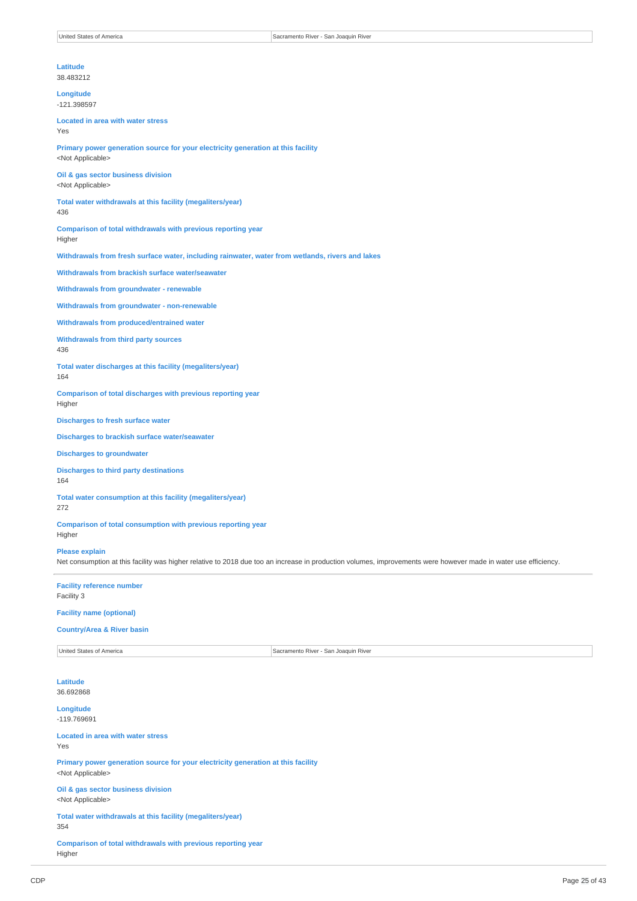### **Latitude**

38.483212

**Longitude** -121.398597

#### **Located in area with water stress** Yes

**Primary power generation source for your electricity generation at this facility** <Not Applicable>

**Oil & gas sector business division** <Not Applicable>

**Total water withdrawals at this facility (megaliters/year)** 436

**Comparison of total withdrawals with previous reporting year** Higher

**Withdrawals from fresh surface water, including rainwater, water from wetlands, rivers and lakes**

**Withdrawals from brackish surface water/seawater**

**Withdrawals from groundwater - renewable**

**Withdrawals from groundwater - non-renewable**

**Withdrawals from produced/entrained water**

**Withdrawals from third party sources**

436

**Total water discharges at this facility (megaliters/year)**

164

**Comparison of total discharges with previous reporting year** Higher

**Discharges to fresh surface water**

**Discharges to brackish surface water/seawater**

**Discharges to groundwater**

#### **Discharges to third party destinations** 164

**Total water consumption at this facility (megaliters/year)** 272

**Comparison of total consumption with previous reporting year** Higher

## **Please explain**

Net consumption at this facility was higher relative to 2018 due too an increase in production volumes, improvements were however made in water use efficiency.

**Facility reference number** Facility 3

**Facility name (optional)**

#### **Country/Area & River basin**

United States of America Sacramento River - San Joaquin River

**Latitude** 36.692868

**Longitude** -119.769691

**Located in area with water stress** Yes

**Primary power generation source for your electricity generation at this facility** <Not Applicable>

**Oil & gas sector business division** <Not Applicable>

**Total water withdrawals at this facility (megaliters/year)** 354

**Comparison of total withdrawals with previous reporting year** Higher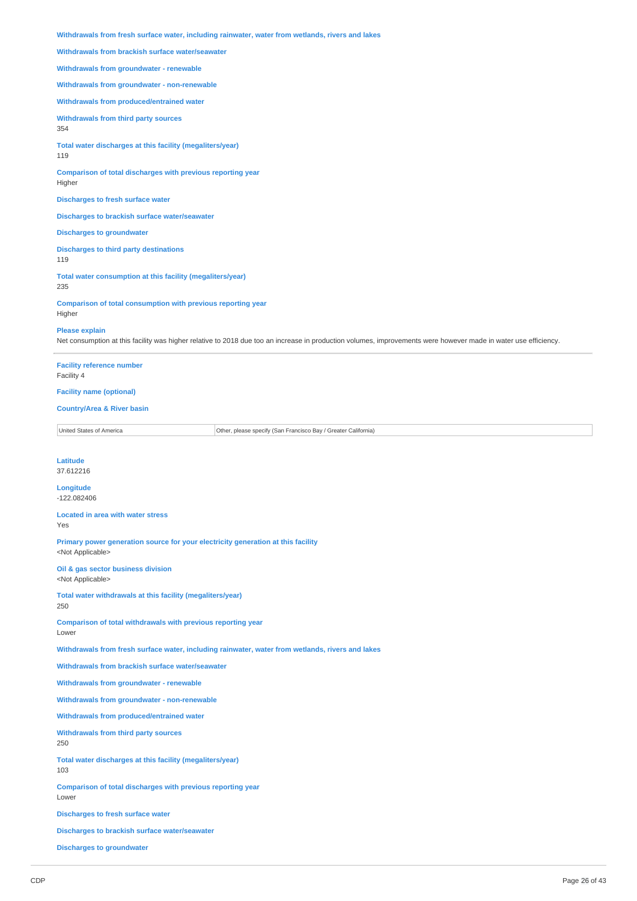**Withdrawals from fresh surface water, including rainwater, water from wetlands, rivers and lakes**

**Withdrawals from brackish surface water/seawater**

**Withdrawals from groundwater - renewable**

**Withdrawals from groundwater - non-renewable**

**Withdrawals from produced/entrained water**

**Withdrawals from third party sources**

354

**Total water discharges at this facility (megaliters/year)** 119

**Comparison of total discharges with previous reporting year** Higher

**Discharges to fresh surface water**

**Discharges to brackish surface water/seawater**

**Discharges to groundwater**

**Discharges to third party destinations** 119

**Total water consumption at this facility (megaliters/year)** 235

**Comparison of total consumption with previous reporting year** Higher

#### **Please explain**

Net consumption at this facility was higher relative to 2018 due too an increase in production volumes, improvements were however made in water use efficiency.

**Facility reference number** Facility 4

**Facility name (optional)**

#### **Country/Area & River basin**

United States of America **Other, please specify (San Francisco Bay / Greater California)** 

**Latitude** 37.612216

**Longitude** -122.082406

**Located in area with water stress** Yes

**Primary power generation source for your electricity generation at this facility** <Not Applicable>

**Oil & gas sector business division** <Not Applicable>

**Total water withdrawals at this facility (megaliters/year)** 250

**Comparison of total withdrawals with previous reporting year** Lower

**Withdrawals from fresh surface water, including rainwater, water from wetlands, rivers and lakes**

**Withdrawals from brackish surface water/seawater**

**Withdrawals from groundwater - renewable**

**Withdrawals from groundwater - non-renewable**

**Withdrawals from produced/entrained water**

**Withdrawals from third party sources** 250

**Total water discharges at this facility (megaliters/year)** 103

**Comparison of total discharges with previous reporting year** Lower

**Discharges to fresh surface water**

**Discharges to brackish surface water/seawater**

**Discharges to groundwater**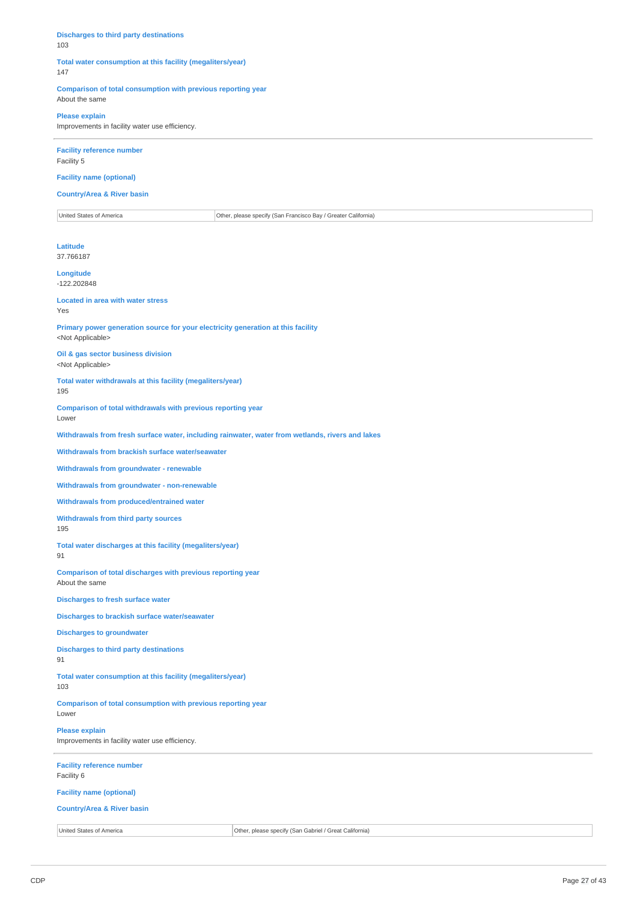#### **Discharges to third party destinations** 103

## **Total water consumption at this facility (megaliters/year)** 147

**Comparison of total consumption with previous reporting year** About the same

#### **Please explain**

Improvements in facility water use efficiency.

#### **Facility reference number** Facility 5

### **Facility name (optional)**

**Country/Area & River basin**

United States of America **Other, please specify (San Francisco Bay / Greater California)** 

**Latitude** 37.766187

**Longitude**

-122.202848

**Located in area with water stress** Yes

**Primary power generation source for your electricity generation at this facility** <Not Applicable>

**Oil & gas sector business division** <Not Applicable>

**Total water withdrawals at this facility (megaliters/year)** 195

**Comparison of total withdrawals with previous reporting year**

```
Lower
```
**Withdrawals from fresh surface water, including rainwater, water from wetlands, rivers and lakes**

**Withdrawals from brackish surface water/seawater**

**Withdrawals from groundwater - renewable**

**Withdrawals from groundwater - non-renewable**

**Withdrawals from produced/entrained water**

**Withdrawals from third party sources** 195

**Total water discharges at this facility (megaliters/year)**

## 91

**Comparison of total discharges with previous reporting year** About the same

**Discharges to fresh surface water**

**Discharges to brackish surface water/seawater**

**Discharges to groundwater**

**Discharges to third party destinations**

91

**Total water consumption at this facility (megaliters/year)**

103

**Comparison of total consumption with previous reporting year** Lower

## **Please explain**

Improvements in facility water use efficiency.

#### **Facility reference number** Facility 6

# **Facility name (optional)**

**Country/Area & River basin**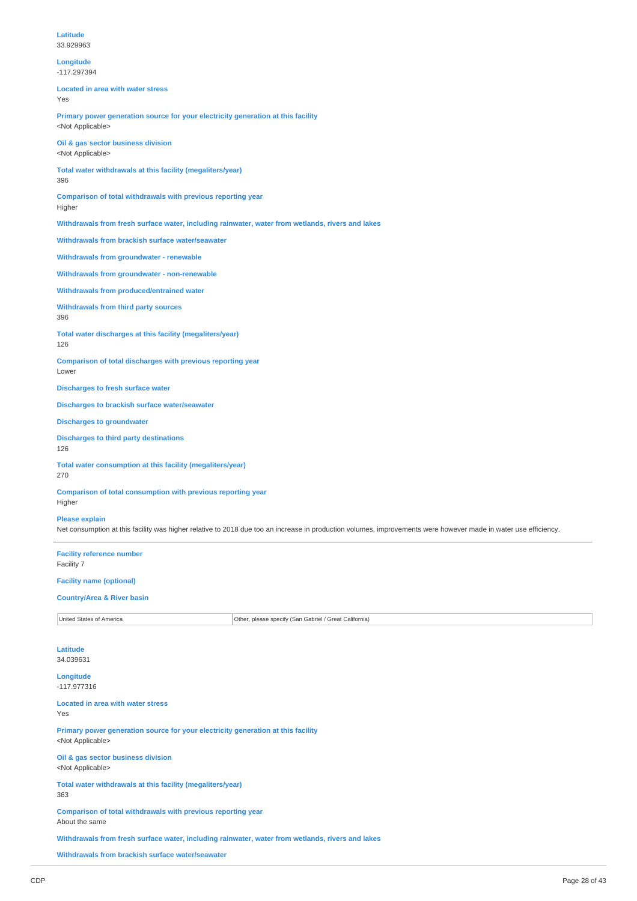#### **Longitude** -117.297394

**Located in area with water stress** Yes

**Primary power generation source for your electricity generation at this facility** <Not Applicable>

**Oil & gas sector business division** <Not Applicable>

**Total water withdrawals at this facility (megaliters/year)** 396

**Comparison of total withdrawals with previous reporting year** Higher

**Withdrawals from fresh surface water, including rainwater, water from wetlands, rivers and lakes**

**Withdrawals from brackish surface water/seawater**

**Withdrawals from groundwater - renewable**

**Withdrawals from groundwater - non-renewable**

**Withdrawals from produced/entrained water**

**Withdrawals from third party sources**

396

**Total water discharges at this facility (megaliters/year)** 126

**Comparison of total discharges with previous reporting year** Lower

**Discharges to fresh surface water**

**Discharges to brackish surface water/seawater**

**Discharges to groundwater**

**Discharges to third party destinations** 126

**Total water consumption at this facility (megaliters/year)** 270

**Comparison of total consumption with previous reporting year** Higher

#### **Please explain**

Net consumption at this facility was higher relative to 2018 due too an increase in production volumes, improvements were however made in water use efficiency.

**Facility reference number** Facility 7

## **Facility name (optional)**

#### **Country/Area & River basin**

United States of America **Other, please specify (San Gabriel / Great California**)

**Latitude** 34.039631

**Longitude** -117.977316

**Located in area with water stress**

Yes

**Primary power generation source for your electricity generation at this facility** <Not Applicable>

**Oil & gas sector business division** <Not Applicable>

**Total water withdrawals at this facility (megaliters/year)** 363

**Comparison of total withdrawals with previous reporting year** About the same

**Withdrawals from fresh surface water, including rainwater, water from wetlands, rivers and lakes**

**Withdrawals from brackish surface water/seawater**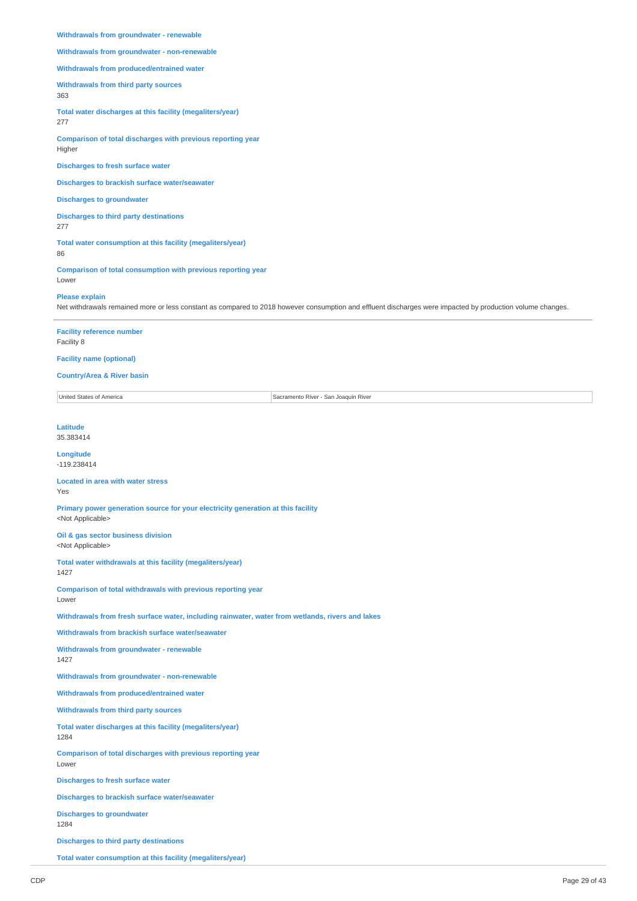#### **Withdrawals from groundwater - renewable**

**Withdrawals from groundwater - non-renewable**

## **Withdrawals from produced/entrained water**

**Withdrawals from third party sources**

363

**Total water discharges at this facility (megaliters/year)**

277

**Comparison of total discharges with previous reporting year** Higher

**Discharges to fresh surface water**

**Discharges to brackish surface water/seawater**

**Discharges to groundwater**

**Discharges to third party destinations** 277

**Total water consumption at this facility (megaliters/year)** 86

**Comparison of total consumption with previous reporting year** Lower

#### **Please explain**

Net withdrawals remained more or less constant as compared to 2018 however consumption and effluent discharges were impacted by production volume changes.

**Facility reference number**

Facility 8

**Facility name (optional)**

#### **Country/Area & River basin**

United States of America Sacramento River - San Joaquin River - San Joaquin River - San Joaquin River - San Joaquin River

**Latitude**

35.383414

#### **Longitude** -119.238414

#### **Located in area with water stress** Yes

**Primary power generation source for your electricity generation at this facility** <Not Applicable>

**Oil & gas sector business division** <Not Applicable>

**Total water withdrawals at this facility (megaliters/year)** 1427

**Comparison of total withdrawals with previous reporting year**

## Lower

**Withdrawals from fresh surface water, including rainwater, water from wetlands, rivers and lakes**

**Withdrawals from brackish surface water/seawater**

**Withdrawals from groundwater - renewable** 1427

**Withdrawals from groundwater - non-renewable**

**Withdrawals from produced/entrained water**

**Withdrawals from third party sources**

**Total water discharges at this facility (megaliters/year)** 1284

**Comparison of total discharges with previous reporting year** Lower

**Discharges to fresh surface water**

**Discharges to brackish surface water/seawater**

**Discharges to groundwater** 1284

**Discharges to third party destinations**

**Total water consumption at this facility (megaliters/year)**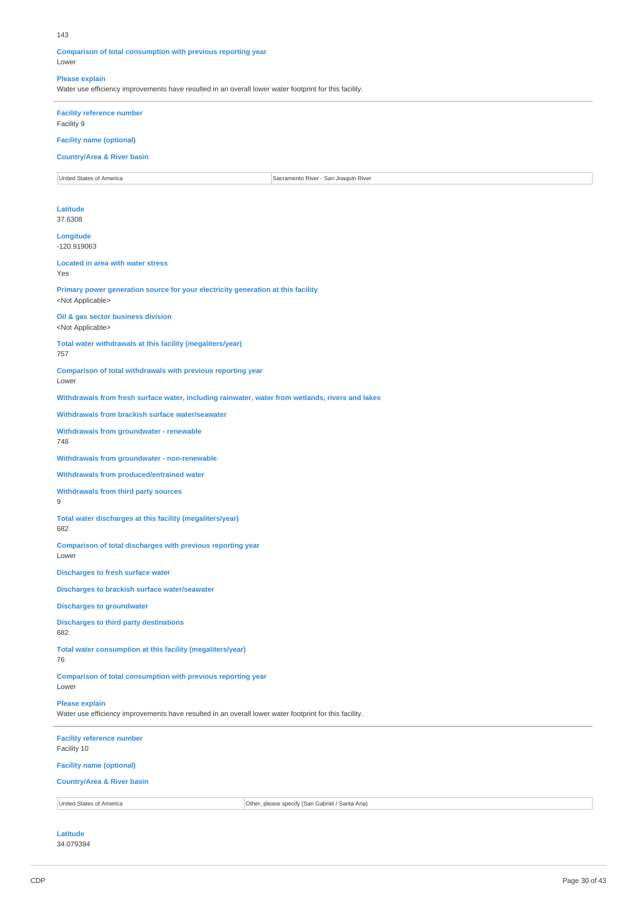#### 143

#### **Comparison of total consumption with previous reporting year** Lower

#### **Please explain**

Water use efficiency improvements have resulted in an overall lower water footprint for this facility.

## **Facility reference number**

Facility 9

## **Facility name (optional)**

## **Country/Area & River basin**

United States of America Sacramento River - San Joaquin River - San Joaquin River - San Joaquin River - San Joaquin River

#### **Latitude** 37.6308

**Longitude**

-120.919063

**Located in area with water stress** Yes

**Primary power generation source for your electricity generation at this facility** <Not Applicable>

**Oil & gas sector business division** <Not Applicable>

**Total water withdrawals at this facility (megaliters/year)** 757

**Comparison of total withdrawals with previous reporting year**

Lower

**Withdrawals from fresh surface water, including rainwater, water from wetlands, rivers and lakes**

**Withdrawals from brackish surface water/seawater**

**Withdrawals from groundwater - renewable** 748

**Withdrawals from groundwater - non-renewable**

**Withdrawals from produced/entrained water**

### **Withdrawals from third party sources**

9

**Total water discharges at this facility (megaliters/year)**

## 682

**Comparison of total discharges with previous reporting year** Lower

**Discharges to fresh surface water**

**Discharges to brackish surface water/seawater**

**Discharges to groundwater**

#### **Discharges to third party destinations** 682

**Total water consumption at this facility (megaliters/year)** 76

**Comparison of total consumption with previous reporting year**

Lower

## **Please explain**

Water use efficiency improvements have resulted in an overall lower water footprint for this facility.

**Facility reference number** Facility 10 **Facility name (optional) Country/Area & River basin** United States of America **Other, please specify (San Gabriel / Santa Ana)** 

#### **Latitude** 34.079394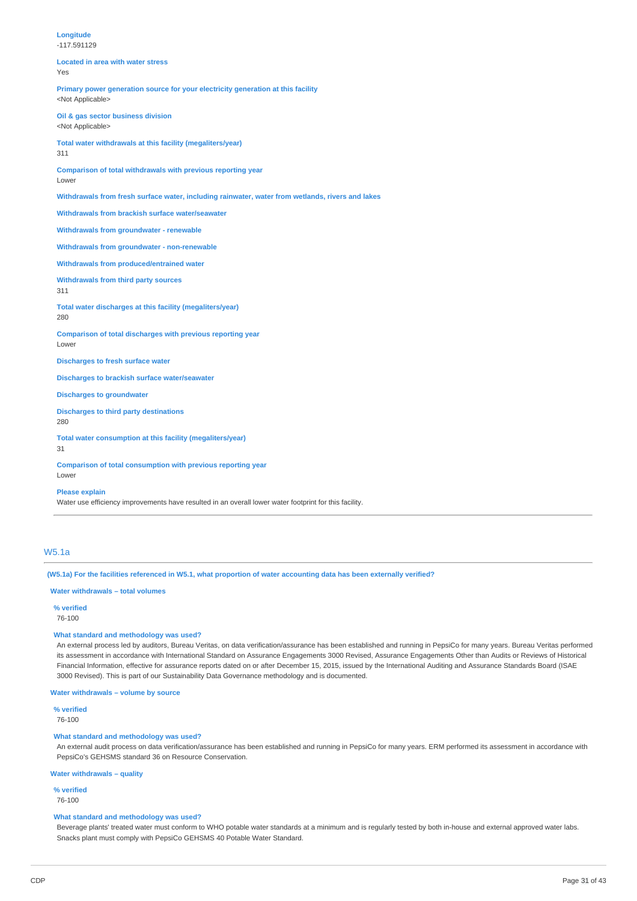| Longitude<br>$-117.591129$                                                                                    |
|---------------------------------------------------------------------------------------------------------------|
| <b>Located in area with water stress</b><br>Yes                                                               |
| Primary power generation source for your electricity generation at this facility<br><not applicable=""></not> |
| Oil & gas sector business division<br><not applicable=""></not>                                               |
| Total water withdrawals at this facility (megaliters/year)<br>311                                             |
| Comparison of total withdrawals with previous reporting year<br>Lower                                         |
| Withdrawals from fresh surface water, including rainwater, water from wetlands, rivers and lakes              |
| Withdrawals from brackish surface water/seawater                                                              |
| Withdrawals from groundwater - renewable                                                                      |
| Withdrawals from groundwater - non-renewable                                                                  |
| Withdrawals from produced/entrained water                                                                     |
| <b>Withdrawals from third party sources</b><br>311                                                            |
| Total water discharges at this facility (megaliters/year)<br>280                                              |
| Comparison of total discharges with previous reporting year<br>Lower                                          |
| <b>Discharges to fresh surface water</b>                                                                      |
| <b>Discharges to brackish surface water/seawater</b>                                                          |
| <b>Discharges to groundwater</b>                                                                              |
| <b>Discharges to third party destinations</b><br>280                                                          |
| Total water consumption at this facility (megaliters/year)<br>31                                              |

**Comparison of total consumption with previous reporting year** Lower

#### **Please explain**

Water use efficiency improvements have resulted in an overall lower water footprint for this facility.

## W5.1a

(W5.1a) For the facilities referenced in W5.1, what proportion of water accounting data has been externally verified?

## **Water withdrawals – total volumes**

**% verified** 76-100

#### **What standard and methodology was used?**

An external process led by auditors, Bureau Veritas, on data verification/assurance has been established and running in PepsiCo for many years. Bureau Veritas performed its assessment in accordance with International Standard on Assurance Engagements 3000 Revised, Assurance Engagements Other than Audits or Reviews of Historical Financial Information, effective for assurance reports dated on or after December 15, 2015, issued by the International Auditing and Assurance Standards Board (ISAE 3000 Revised). This is part of our Sustainability Data Governance methodology and is documented.

**Water withdrawals – volume by source**

**% verified**

## 76-100

### **What standard and methodology was used?**

An external audit process on data verification/assurance has been established and running in PepsiCo for many years. ERM performed its assessment in accordance with PepsiCo's GEHSMS standard 36 on Resource Conservation.

**Water withdrawals – quality**

## **% verified**

76-100

### **What standard and methodology was used?**

Beverage plants' treated water must conform to WHO potable water standards at a minimum and is regularly tested by both in-house and external approved water labs. Snacks plant must comply with PepsiCo GEHSMS 40 Potable Water Standard.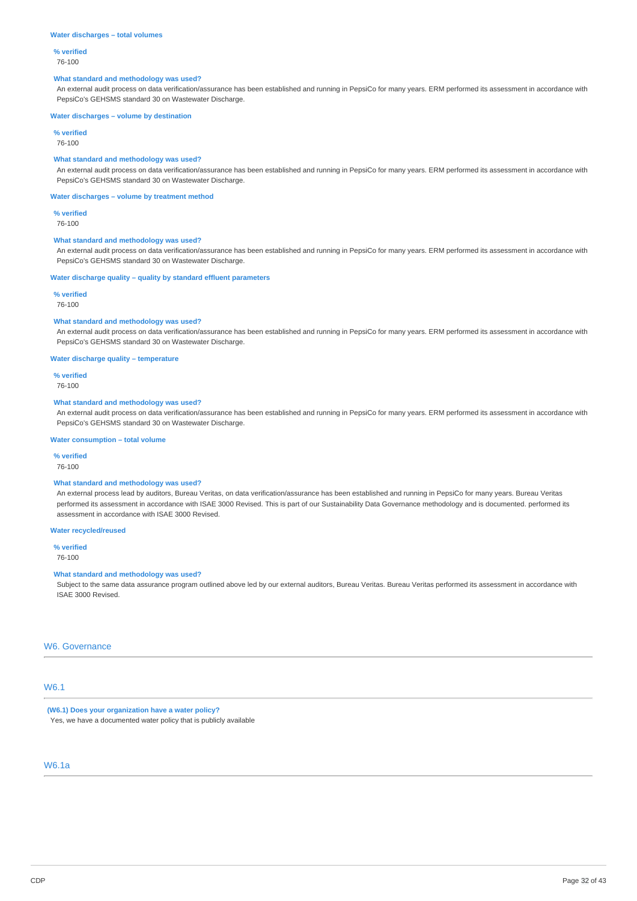#### **Water discharges – total volumes**

## **% verified**

76-100

### **What standard and methodology was used?**

An external audit process on data verification/assurance has been established and running in PepsiCo for many years. ERM performed its assessment in accordance with PepsiCo's GEHSMS standard 30 on Wastewater Discharge.

#### **Water discharges – volume by destination**

**% verified**

76-100

### **What standard and methodology was used?**

An external audit process on data verification/assurance has been established and running in PepsiCo for many years. ERM performed its assessment in accordance with PepsiCo's GEHSMS standard 30 on Wastewater Discharge.

#### **Water discharges – volume by treatment method**

**% verified**

76-100

#### **What standard and methodology was used?**

An external audit process on data verification/assurance has been established and running in PepsiCo for many years. ERM performed its assessment in accordance with PepsiCo's GEHSMS standard 30 on Wastewater Discharge.

#### **Water discharge quality – quality by standard effluent parameters**

#### **% verified**

76-100

#### **What standard and methodology was used?**

An external audit process on data verification/assurance has been established and running in PepsiCo for many years. ERM performed its assessment in accordance with PepsiCo's GEHSMS standard 30 on Wastewater Discharge.

#### **Water discharge quality – temperature**

## **% verified**

76-100

#### **What standard and methodology was used?**

An external audit process on data verification/assurance has been established and running in PepsiCo for many years. ERM performed its assessment in accordance with PepsiCo's GEHSMS standard 30 on Wastewater Discharge.

#### **Water consumption – total volume**

**% verified**

#### 76-100

## **What standard and methodology was used?**

An external process lead by auditors, Bureau Veritas, on data verification/assurance has been established and running in PepsiCo for many years. Bureau Veritas performed its assessment in accordance with ISAE 3000 Revised. This is part of our Sustainability Data Governance methodology and is documented. performed its assessment in accordance with ISAE 3000 Revised.

### **Water recycled/reused**

**% verified** 76-100

## **What standard and methodology was used?**

Subject to the same data assurance program outlined above led by our external auditors, Bureau Veritas. Bureau Veritas performed its assessment in accordance with ISAE 3000 Revised.

## W6. Governance

## W6.1

**(W6.1) Does your organization have a water policy?** Yes, we have a documented water policy that is publicly available

## W6.1a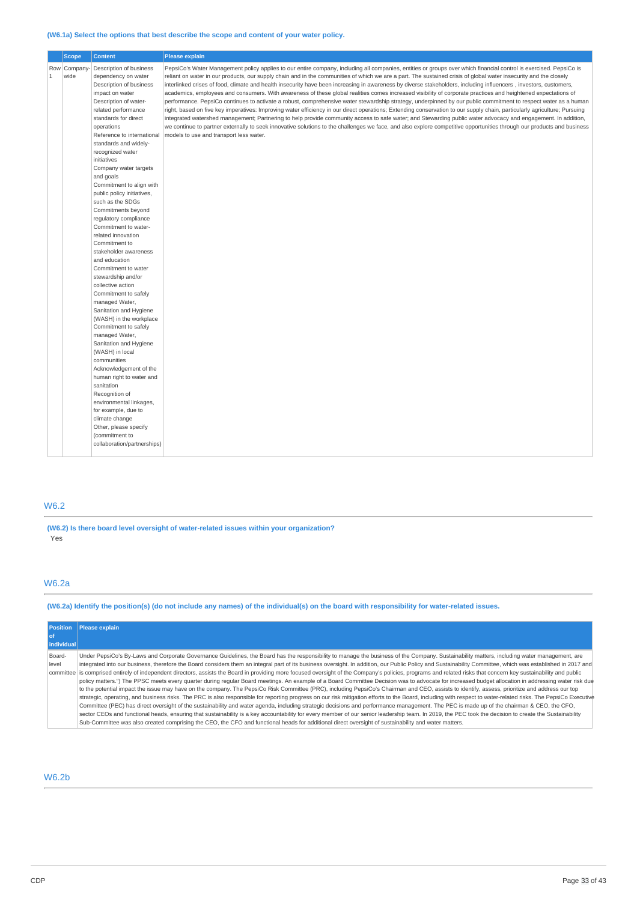## **(W6.1a) Select the options that best describe the scope and content of your water policy.**

|                                     | <b>Scope</b> | <b>Content</b>                                                                                                                                                                                                                                                                                                                                                                                                                                                                                                                                                                                                                                                                                                                                                                                                                                                                                                                                                                                                                                                      | Please explain                                                                                                                                                                                                                                                                                                                                                                                                                                                                                                                                                                                                                                                                                                                                                                                                                                                                                                                                                                                                                                                                                                                                                                                                                                                                                                                                                                                                      |
|-------------------------------------|--------------|---------------------------------------------------------------------------------------------------------------------------------------------------------------------------------------------------------------------------------------------------------------------------------------------------------------------------------------------------------------------------------------------------------------------------------------------------------------------------------------------------------------------------------------------------------------------------------------------------------------------------------------------------------------------------------------------------------------------------------------------------------------------------------------------------------------------------------------------------------------------------------------------------------------------------------------------------------------------------------------------------------------------------------------------------------------------|---------------------------------------------------------------------------------------------------------------------------------------------------------------------------------------------------------------------------------------------------------------------------------------------------------------------------------------------------------------------------------------------------------------------------------------------------------------------------------------------------------------------------------------------------------------------------------------------------------------------------------------------------------------------------------------------------------------------------------------------------------------------------------------------------------------------------------------------------------------------------------------------------------------------------------------------------------------------------------------------------------------------------------------------------------------------------------------------------------------------------------------------------------------------------------------------------------------------------------------------------------------------------------------------------------------------------------------------------------------------------------------------------------------------|
| Row Company<br>$\mathbf{1}$<br>wide |              | Description of business<br>dependency on water<br>Description of business<br>impact on water<br>Description of water-<br>related performance<br>standards for direct<br>operations<br>Reference to international<br>standards and widely-<br>recognized water<br>initiatives<br>Company water targets<br>and goals<br>Commitment to align with<br>public policy initiatives,<br>such as the SDGs<br>Commitments beyond<br>regulatory compliance<br>Commitment to water-<br>related innovation<br>Commitment to<br>stakeholder awareness<br>and education<br>Commitment to water<br>stewardship and/or<br>collective action<br>Commitment to safely<br>managed Water,<br>Sanitation and Hygiene<br>(WASH) in the workplace<br>Commitment to safely<br>managed Water,<br>Sanitation and Hygiene<br>(WASH) in local<br>communities<br>Acknowledgement of the<br>human right to water and<br>sanitation<br>Recognition of<br>environmental linkages,<br>for example, due to<br>climate change<br>Other, please specify<br>(commitment to<br>collaboration/partnerships) | PepsiCo's Water Management policy applies to our entire company, including all companies, entities or groups over which financial control is exercised. PepsiCo is<br>reliant on water in our products, our supply chain and in the communities of which we are a part. The sustained crisis of global water insecurity and the closely<br>interlinked crises of food, climate and health insecurity have been increasing in awareness by diverse stakeholders, including influencers, investors, customers,<br>academics, employees and consumers. With awareness of these global realities comes increased visibility of corporate practices and heightened expectations of<br>performance. PepsiCo continues to activate a robust, comprehensive water stewardship strategy, underpinned by our public commitment to respect water as a human<br>right, based on five key imperatives: Improving water efficiency in our direct operations; Extending conservation to our supply chain, particularly agriculture; Pursuing<br>integrated watershed management; Partnering to help provide community access to safe water; and Stewarding public water advocacy and engagement. In addition,<br>we continue to partner externally to seek innovative solutions to the challenges we face, and also explore competitive opportunities through our products and business<br>models to use and transport less water. |

## W6.2

**(W6.2) Is there board level oversight of water-related issues within your organization?** .<br>Yes

## W6.2a

(W6.2a) Identify the position(s) (do not include any names) of the individual(s) on the board with responsibility for water-related issues.

| <b>Position</b> | Please explain                                                                                                                                                                                                   |
|-----------------|------------------------------------------------------------------------------------------------------------------------------------------------------------------------------------------------------------------|
| l of            |                                                                                                                                                                                                                  |
| individual      |                                                                                                                                                                                                                  |
| Board-          | Under PepsiCo's By-Laws and Corporate Governance Guidelines, the Board has the responsibility to manage the business of the Company. Sustainability matters, including water management, are                     |
| level           | integrated into our business, therefore the Board considers them an integral part of its business oversight. In addition, our Public Policy and Sustainability Committee, which was established in 2017 and      |
|                 | committee is comprised entirely of independent directors, assists the Board in providing more focused oversight of the Company's policies, programs and related risks that concern key sustainability and public |
|                 | policy matters.") The PPSC meets every quarter during reqular Board meetings. An example of a Board Committee Decision was to advocate for increased budget allocation in addressing water risk due              |
|                 | to the potential impact the issue may have on the company. The PepsiCo Risk Committee (PRC), including PepsiCo's Chairman and CEO, assists to identify, assess, prioritize and address our top                   |
|                 | strategic, operating, and business risks. The PRC is also responsible for reporting progress on our risk mitigation efforts to the Board, including with respect to water-related risks. The PepsiCo Executive   |
|                 | Committee (PEC) has direct oversight of the sustainability and water agenda, including strategic decisions and performance management. The PEC is made up of the chairman & CEO, the CFO,                        |
|                 | sector CEOs and functional heads, ensuring that sustainability is a key accountability for every member of our senior leadership team. In 2019, the PEC took the decision to create the Sustainability           |
|                 | Sub-Committee was also created comprising the CEO, the CFO and functional heads for additional direct oversight of sustainability and water matters.                                                             |

## W6.2b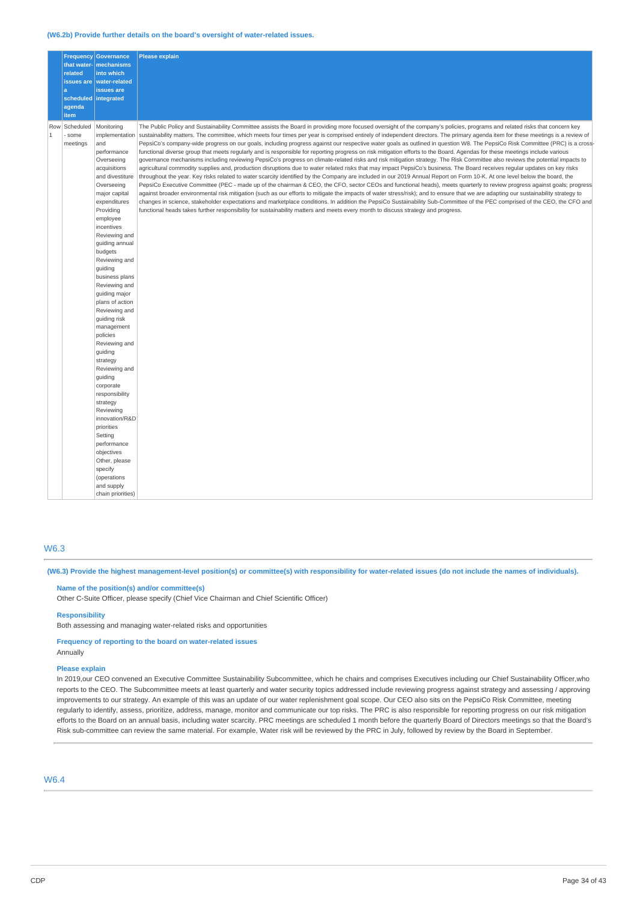#### **(W6.2b) Provide further details on the board's oversight of water-related issues.**

|                     |                               | <b>Frequency Governance</b>                                                                                                                                                                                                                                                                                                                                                                                                                                                                                                                                                                                                                                                             | <b>Please explain</b>                                                                                                                                                                                                                                                                                                                                                                                                                                                                                                                                                                                                                                                                                                                                                                                                                                                                                                                                                                                                                                                                                                                                                                                                                                                                                                                                                                                                                                                                                                                                                                                                                                                                                                                                                                                                                                                                                                                                          |
|---------------------|-------------------------------|-----------------------------------------------------------------------------------------------------------------------------------------------------------------------------------------------------------------------------------------------------------------------------------------------------------------------------------------------------------------------------------------------------------------------------------------------------------------------------------------------------------------------------------------------------------------------------------------------------------------------------------------------------------------------------------------|----------------------------------------------------------------------------------------------------------------------------------------------------------------------------------------------------------------------------------------------------------------------------------------------------------------------------------------------------------------------------------------------------------------------------------------------------------------------------------------------------------------------------------------------------------------------------------------------------------------------------------------------------------------------------------------------------------------------------------------------------------------------------------------------------------------------------------------------------------------------------------------------------------------------------------------------------------------------------------------------------------------------------------------------------------------------------------------------------------------------------------------------------------------------------------------------------------------------------------------------------------------------------------------------------------------------------------------------------------------------------------------------------------------------------------------------------------------------------------------------------------------------------------------------------------------------------------------------------------------------------------------------------------------------------------------------------------------------------------------------------------------------------------------------------------------------------------------------------------------------------------------------------------------------------------------------------------------|
|                     |                               | that water- mechanisms                                                                                                                                                                                                                                                                                                                                                                                                                                                                                                                                                                                                                                                                  |                                                                                                                                                                                                                                                                                                                                                                                                                                                                                                                                                                                                                                                                                                                                                                                                                                                                                                                                                                                                                                                                                                                                                                                                                                                                                                                                                                                                                                                                                                                                                                                                                                                                                                                                                                                                                                                                                                                                                                |
|                     | related                       | into which                                                                                                                                                                                                                                                                                                                                                                                                                                                                                                                                                                                                                                                                              |                                                                                                                                                                                                                                                                                                                                                                                                                                                                                                                                                                                                                                                                                                                                                                                                                                                                                                                                                                                                                                                                                                                                                                                                                                                                                                                                                                                                                                                                                                                                                                                                                                                                                                                                                                                                                                                                                                                                                                |
|                     | issues are                    | <b>water-related</b>                                                                                                                                                                                                                                                                                                                                                                                                                                                                                                                                                                                                                                                                    |                                                                                                                                                                                                                                                                                                                                                                                                                                                                                                                                                                                                                                                                                                                                                                                                                                                                                                                                                                                                                                                                                                                                                                                                                                                                                                                                                                                                                                                                                                                                                                                                                                                                                                                                                                                                                                                                                                                                                                |
|                     | a                             | issues are                                                                                                                                                                                                                                                                                                                                                                                                                                                                                                                                                                                                                                                                              |                                                                                                                                                                                                                                                                                                                                                                                                                                                                                                                                                                                                                                                                                                                                                                                                                                                                                                                                                                                                                                                                                                                                                                                                                                                                                                                                                                                                                                                                                                                                                                                                                                                                                                                                                                                                                                                                                                                                                                |
|                     |                               | scheduled integrated                                                                                                                                                                                                                                                                                                                                                                                                                                                                                                                                                                                                                                                                    |                                                                                                                                                                                                                                                                                                                                                                                                                                                                                                                                                                                                                                                                                                                                                                                                                                                                                                                                                                                                                                                                                                                                                                                                                                                                                                                                                                                                                                                                                                                                                                                                                                                                                                                                                                                                                                                                                                                                                                |
|                     | agenda                        |                                                                                                                                                                                                                                                                                                                                                                                                                                                                                                                                                                                                                                                                                         |                                                                                                                                                                                                                                                                                                                                                                                                                                                                                                                                                                                                                                                                                                                                                                                                                                                                                                                                                                                                                                                                                                                                                                                                                                                                                                                                                                                                                                                                                                                                                                                                                                                                                                                                                                                                                                                                                                                                                                |
|                     | item                          |                                                                                                                                                                                                                                                                                                                                                                                                                                                                                                                                                                                                                                                                                         |                                                                                                                                                                                                                                                                                                                                                                                                                                                                                                                                                                                                                                                                                                                                                                                                                                                                                                                                                                                                                                                                                                                                                                                                                                                                                                                                                                                                                                                                                                                                                                                                                                                                                                                                                                                                                                                                                                                                                                |
| Row<br>$\mathbf{1}$ | Scheduled<br>some<br>meetings | Monitoring<br>implementation<br>and<br>performance<br>Overseeing<br>acquisitions<br>and divestiture<br>Overseeing<br>major capital<br>expenditures<br>Providing<br>employee<br>incentives<br>Reviewing and<br>guiding annual<br>budgets<br>Reviewing and<br>quiding<br>business plans<br>Reviewing and<br>guiding major<br>plans of action<br>Reviewing and<br>guiding risk<br>management<br>policies<br>Reviewing and<br>guiding<br>strategy<br>Reviewing and<br>guiding<br>corporate<br>responsibility<br>strategy<br>Reviewing<br>innovation/R&D<br>priorities<br>Setting<br>performance<br>objectives<br>Other, please<br>specify<br>(operations<br>and supply<br>chain priorities) | The Public Policy and Sustainability Committee assists the Board in providing more focused oversight of the company's policies, programs and related risks that concern key<br>sustainability matters. The committee, which meets four times per year is comprised entirely of independent directors. The primary agenda item for these meetings is a review of<br>PepsiCo's company-wide progress on our goals, including progress against our respective water goals as outlined in question W8. The PepsiCo Risk Committee (PRC) is a cross-<br>functional diverse group that meets regularly and is responsible for reporting progress on risk mitigation efforts to the Board. Agendas for these meetings include various<br>governance mechanisms including reviewing PepsiCo's progress on climate-related risks and risk mitigation strategy. The Risk Committee also reviews the potential impacts to<br>agricultural commodity supplies and, production disruptions due to water related risks that may impact PepsiCo's business. The Board receives regular updates on key risks<br>throughout the year. Key risks related to water scarcity identified by the Company are included in our 2019 Annual Report on Form 10-K. At one level below the board, the<br>PepsiCo Executive Committee (PEC - made up of the chairman & CEO, the CFO, sector CEOs and functional heads), meets quarterly to review progress against goals; progress<br>against broader environmental risk mitigation (such as our efforts to mitigate the impacts of water stress/risk); and to ensure that we are adapting our sustainability strategy to<br>changes in science, stakeholder expectations and marketplace conditions. In addition the PepsiCo Sustainability Sub-Committee of the PEC comprised of the CEO, the CFO and<br>functional heads takes further responsibility for sustainability matters and meets every month to discuss strategy and progress. |

#### W6.3

(W6.3) Provide the highest management-level position(s) or committee(s) with responsibility for water-related issues (do not include the names of individuals).

**Name of the position(s) and/or committee(s)**

Other C-Suite Officer, please specify (Chief Vice Chairman and Chief Scientific Officer)

**Responsibility**

Both assessing and managing water-related risks and opportunities

**Frequency of reporting to the board on water-related issues** Annually

#### **Please explain**

In 2019,our CEO convened an Executive Committee Sustainability Subcommittee, which he chairs and comprises Executives including our Chief Sustainability Officer,who reports to the CEO. The Subcommittee meets at least quarterly and water security topics addressed include reviewing progress against strategy and assessing / approving improvements to our strategy. An example of this was an update of our water replenishment goal scope. Our CEO also sits on the PepsiCo Risk Committee, meeting regularly to identify, assess, prioritize, address, manage, monitor and communicate our top risks. The PRC is also responsible for reporting progress on our risk mitigation efforts to the Board on an annual basis, including water scarcity. PRC meetings are scheduled 1 month before the quarterly Board of Directors meetings so that the Board's Risk sub-committee can review the same material. For example, Water risk will be reviewed by the PRC in July, followed by review by the Board in September.

## W6.4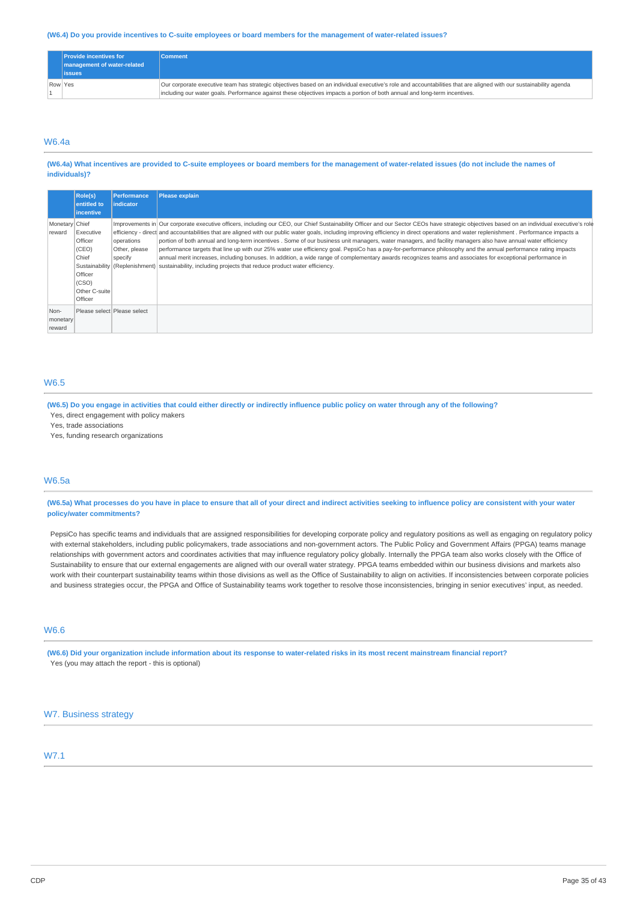#### (W6.4) Do you provide incentives to C-suite employees or board members for the management of water-related issues?

|         | <b>Provide incentives for</b><br>management of water-related<br><b>issues</b> | <b>Comment</b>                                                                                                                                                                                                                                                                                   |
|---------|-------------------------------------------------------------------------------|--------------------------------------------------------------------------------------------------------------------------------------------------------------------------------------------------------------------------------------------------------------------------------------------------|
| Row Yes |                                                                               | Our corporate executive team has strategic objectives based on an individual executive's role and accountabilities that are aligned with our sustainability agenda<br>including our water goals. Performance against these objectives impacts a portion of both annual and long-term incentives. |

## W6.4a

#### (W6.4a) What incentives are provided to C-suite employees or board members for the management of water-related issues (do not include the names of **individuals)?**

|                            | Role(s)<br>entitled to<br><i>incentive</i>                                             | <b>Performance</b><br><i>indicator</i> | <b>Please explain</b>                                                                                                                                                                                                                                                                                                                                                                                                                                                                                                                                                                                                                                                                                                                                                                                                                                                                                                                                                                                 |
|----------------------------|----------------------------------------------------------------------------------------|----------------------------------------|-------------------------------------------------------------------------------------------------------------------------------------------------------------------------------------------------------------------------------------------------------------------------------------------------------------------------------------------------------------------------------------------------------------------------------------------------------------------------------------------------------------------------------------------------------------------------------------------------------------------------------------------------------------------------------------------------------------------------------------------------------------------------------------------------------------------------------------------------------------------------------------------------------------------------------------------------------------------------------------------------------|
| Monetary Chief<br>reward   | Executive<br>Officer<br>(CEO)<br>Chief<br>Officer<br>(CSO)<br>Other C-suite<br>Officer | operations<br>Other, please<br>specify | Improvements in Our corporate executive officers, including our CEO, our Chief Sustainability Officer and our Sector CEOs have strategic objectives based on an individual executive's role<br>efficiency - direct and accountabilities that are aligned with our public water goals, including improving efficiency in direct operations and water replenishment. Performance impacts a<br>portion of both annual and long-term incentives. Some of our business unit managers, water managers, and facility managers also have annual water efficiency<br>performance targets that line up with our 25% water use efficiency goal. PepsiCo has a pay-for-performance philosophy and the annual performance rating impacts<br>annual merit increases, including bonuses. In addition, a wide range of complementary awards recognizes teams and associates for exceptional performance in<br>Sustainability (Replenishment) sustainability, including projects that reduce product water efficiency. |
| Non-<br>monetary<br>reward |                                                                                        | Please select Please select            |                                                                                                                                                                                                                                                                                                                                                                                                                                                                                                                                                                                                                                                                                                                                                                                                                                                                                                                                                                                                       |

## W6.5

(W6.5) Do you engage in activities that could either directly or indirectly influence public policy on water through any of the following?

Yes, direct engagement with policy makers Yes, trade associations

## Yes, funding research organizations

## W6.5a

(W6.5a) What processes do you have in place to ensure that all of your direct and indirect activities seeking to influence policy are consistent with your water **policy/water commitments?**

PepsiCo has specific teams and individuals that are assigned responsibilities for developing corporate policy and regulatory positions as well as engaging on regulatory policy with external stakeholders, including public policymakers, trade associations and non-government actors. The Public Policy and Government Affairs (PPGA) teams manage relationships with government actors and coordinates activities that may influence regulatory policy globally. Internally the PPGA team also works closely with the Office of Sustainability to ensure that our external engagements are aligned with our overall water strategy. PPGA teams embedded within our business divisions and markets also work with their counterpart sustainability teams within those divisions as well as the Office of Sustainability to align on activities. If inconsistencies between corporate policies and business strategies occur, the PPGA and Office of Sustainability teams work together to resolve those inconsistencies, bringing in senior executives' input, as needed.

## W6.6

(W6.6) Did your organization include information about its response to water-related risks in its most recent mainstream financial report? Yes (you may attach the report - this is optional)

### W7. Business strategy

## W7.1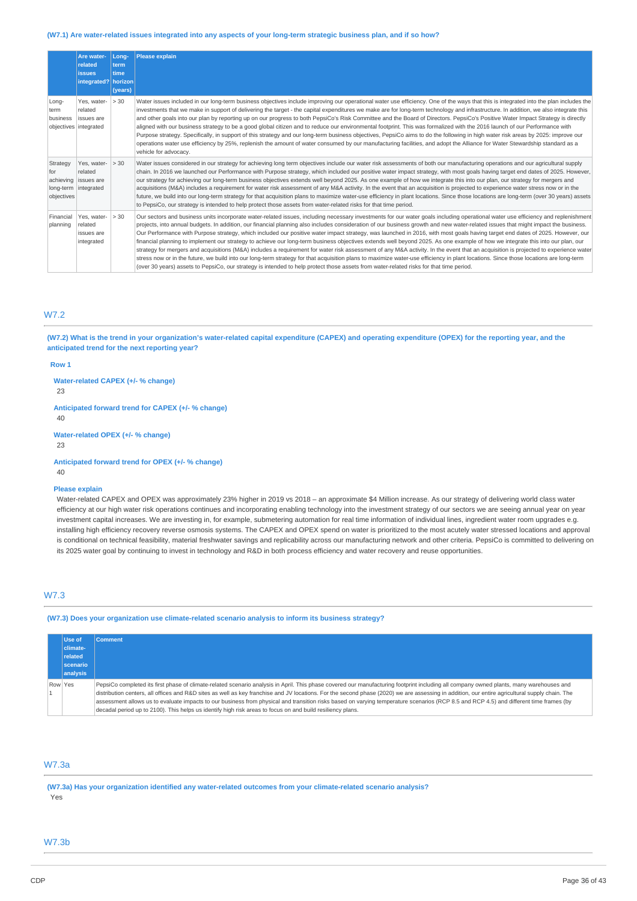#### (W7.1) Are water-related issues integrated into any aspects of your long-term strategic business plan, and if so how?

|                                            | Are water-<br>related<br><b>issues</b><br>integrated?   horizon | Long-<br>term<br>time<br>(years) | <b>Please explain</b>                                                                                                                                                                                                                                                                                                                                                                                                                                                                                                                                                                                                                                                                                                                                                                                                                                                                                                                                                                                                                                                                                                                                                                                                                                                 |
|--------------------------------------------|-----------------------------------------------------------------|----------------------------------|-----------------------------------------------------------------------------------------------------------------------------------------------------------------------------------------------------------------------------------------------------------------------------------------------------------------------------------------------------------------------------------------------------------------------------------------------------------------------------------------------------------------------------------------------------------------------------------------------------------------------------------------------------------------------------------------------------------------------------------------------------------------------------------------------------------------------------------------------------------------------------------------------------------------------------------------------------------------------------------------------------------------------------------------------------------------------------------------------------------------------------------------------------------------------------------------------------------------------------------------------------------------------|
| Long-<br>term<br>business                  | Yes, water-<br>related<br>issues are<br>objectives integrated   | > 30                             | Water issues included in our long-term business objectives include improving our operational water use efficiency. One of the ways that this is integrated into the plan includes the<br>investments that we make in support of delivering the target - the capital expenditures we make are for long-term technology and infrastructure. In addition, we also integrate this<br>and other goals into our plan by reporting up on our progress to both PepsiCo's Risk Committee and the Board of Directors. PepsiCo's Positive Water Impact Strategy is directly<br>aligned with our business strategy to be a good global citizen and to reduce our environmental footprint. This was formalized with the 2016 launch of our Performance with<br>Purpose strategy. Specifically, in support of this strategy and our long-term business objectives, PepsiCo aims to do the following in high water risk areas by 2025: improve our<br>operations water use efficiency by 25%, replenish the amount of water consumed by our manufacturing facilities, and adopt the Alliance for Water Stewardship standard as a<br>vehicle for advocacy.                                                                                                                            |
| Strategy<br>for<br>achieving<br>objectives | Yes, water-<br>related<br>issues are<br>long-term integrated    | > 30                             | Water issues considered in our strategy for achieving long term objectives include our water risk assessments of both our manufacturing operations and our agricultural supply<br>chain. In 2016 we launched our Performance with Purpose strategy, which included our positive water impact strategy, with most goals having target end dates of 2025. However,<br>our strategy for achieving our long-term business objectives extends well beyond 2025. As one example of how we integrate this into our plan, our strategy for mergers and<br>acquisitions (M&A) includes a requirement for water risk assessment of any M&A activity. In the event that an acquisition is projected to experience water stress now or in the<br>future, we build into our long-term strategy for that acquisition plans to maximize water-use efficiency in plant locations. Since those locations are long-term (over 30 years) assets<br>to PepsiCo, our strategy is intended to help protect those assets from water-related risks for that time period.                                                                                                                                                                                                                      |
| Financial<br>planning                      | Yes, water-<br>related<br>issues are<br>integrated              | > 30                             | Our sectors and business units incorporate water-related issues, including necessary investments for our water goals including operational water use efficiency and replenishment<br>projects, into annual budgets. In addition, our financial planning also includes consideration of our business growth and new water-related issues that might impact the business.<br>Our Performance with Purpose strategy, which included our positive water impact strategy, was launched in 2016, with most goals having target end dates of 2025. However, our<br>financial planning to implement our strategy to achieve our long-term business objectives extends well beyond 2025. As one example of how we integrate this into our plan, our<br>strategy for mergers and acquisitions (M&A) includes a requirement for water risk assessment of any M&A activity. In the event that an acquisition is projected to experience water<br>stress now or in the future, we build into our long-term strategy for that acquisition plans to maximize water-use efficiency in plant locations. Since those locations are long-term<br>(over 30 years) assets to PepsiCo, our strategy is intended to help protect those assets from water-related risks for that time period. |

## W7.2

(W7.2) What is the trend in your organization's water-related capital expenditure (CAPEX) and operating expenditure (OPEX) for the reporting year, and the **anticipated trend for the next reporting year?**

#### **Row 1**

**Water-related CAPEX (+/- % change)**

23

**Anticipated forward trend for CAPEX (+/- % change)** 40

**Water-related OPEX (+/- % change)**

23

**Anticipated forward trend for OPEX (+/- % change)** 40

#### **Please explain**

Water-related CAPEX and OPEX was approximately 23% higher in 2019 vs 2018 – an approximate \$4 Million increase. As our strategy of delivering world class water efficiency at our high water risk operations continues and incorporating enabling technology into the investment strategy of our sectors we are seeing annual year on year investment capital increases. We are investing in, for example, submetering automation for real time information of individual lines, ingredient water room upgrades e.g. installing high efficiency recovery reverse osmosis systems. The CAPEX and OPEX spend on water is prioritized to the most acutely water stressed locations and approval is conditional on technical feasibility, material freshwater savings and replicability across our manufacturing network and other criteria. PepsiCo is committed to delivering on its 2025 water goal by continuing to invest in technology and R&D in both process efficiency and water recovery and reuse opportunities.

## W7.3

**(W7.3) Does your organization use climate-related scenario analysis to inform its business strategy?**

|         | Use of   | <b>Comment</b>                                                                                                                                                                                 |
|---------|----------|------------------------------------------------------------------------------------------------------------------------------------------------------------------------------------------------|
|         | climate- |                                                                                                                                                                                                |
|         | related  |                                                                                                                                                                                                |
|         | scenario |                                                                                                                                                                                                |
|         | analysis |                                                                                                                                                                                                |
| Row Yes |          | PepsiCo completed its first phase of climate-related scenario analysis in April. This phase covered our manufacturing footprint including all company owned plants, many warehouses and        |
|         |          | distribution centers, all offices and R&D sites as well as key franchise and JV locations. For the second phase (2020) we are assessing in addition, our entire agricultural supply chain. The |
|         |          | assessment allows us to evaluate impacts to our business from physical and transition risks based on varying temperature scenarios (RCP 8.5 and RCP 4.5) and different time frames (by         |
|         |          | decadal period up to 2100). This helps us identify high risk areas to focus on and build resiliency plans.                                                                                     |

## W7.3a

**(W7.3a) Has your organization identified any water-related outcomes from your climate-related scenario analysis?** Yes

### W7.3b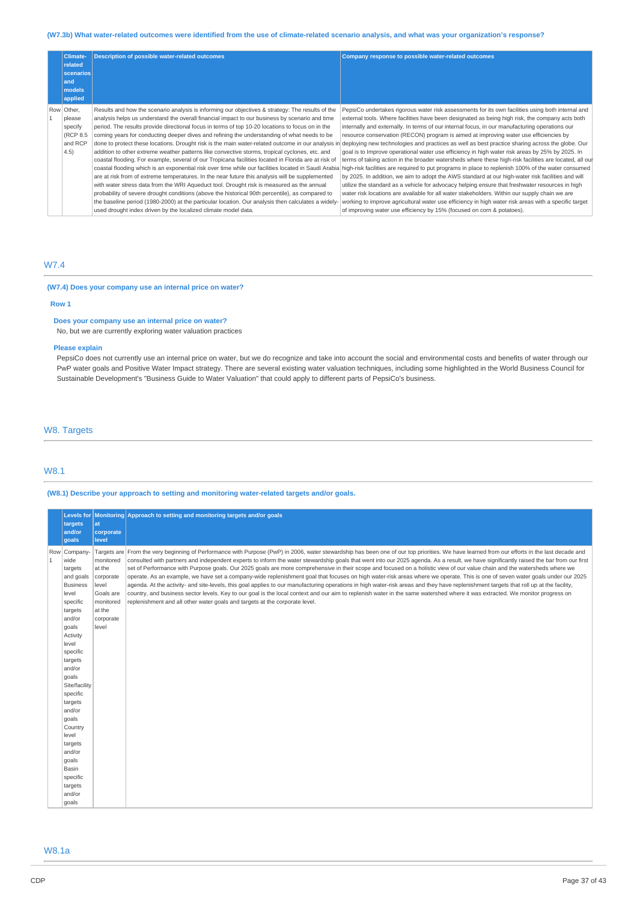## (W7.3b) What water-related outcomes were identified from the use of climate-related scenario analysis, and what was your organization's response?

| Climate-<br>related<br>scenarios<br>and<br>models<br>applied     | <b>Description of possible water-related outcomes</b>                                                                                                                                                                                                                                                                                                                                                                                                                                                                                                                                                                                                                                                                                                                                                                                                                                                                                                                                                                                                                                                                                                                                                                                                                                                    | Company response to possible water-related outcomes                                                                                                                                                                                                                                                                                                                                                                                                                                                                                                                                                                                                                                                                                                                                                                                                                                                                                                                                                                                                                                                                                                                                                                                                                                                              |
|------------------------------------------------------------------|----------------------------------------------------------------------------------------------------------------------------------------------------------------------------------------------------------------------------------------------------------------------------------------------------------------------------------------------------------------------------------------------------------------------------------------------------------------------------------------------------------------------------------------------------------------------------------------------------------------------------------------------------------------------------------------------------------------------------------------------------------------------------------------------------------------------------------------------------------------------------------------------------------------------------------------------------------------------------------------------------------------------------------------------------------------------------------------------------------------------------------------------------------------------------------------------------------------------------------------------------------------------------------------------------------|------------------------------------------------------------------------------------------------------------------------------------------------------------------------------------------------------------------------------------------------------------------------------------------------------------------------------------------------------------------------------------------------------------------------------------------------------------------------------------------------------------------------------------------------------------------------------------------------------------------------------------------------------------------------------------------------------------------------------------------------------------------------------------------------------------------------------------------------------------------------------------------------------------------------------------------------------------------------------------------------------------------------------------------------------------------------------------------------------------------------------------------------------------------------------------------------------------------------------------------------------------------------------------------------------------------|
| Row Other,<br>please<br>specify<br>(RCP 8.5)<br>and RCP<br>(4.5) | Results and how the scenario analysis is informing our objectives & strategy: The results of the<br>analysis helps us understand the overall financial impact to our business by scenario and time<br>period. The results provide directional focus in terms of top 10-20 locations to focus on in the<br>coming years for conducting deeper dives and refining the understanding of what needs to be<br>done to protect these locations. Drought risk is the main water-related outcome in our analysis in<br>addition to other extreme weather patterns like convective storms, tropical cyclones, etc. and<br>coastal flooding. For example, several of our Tropicana facilities located in Florida are at risk of<br>coastal flooding which is an exponential risk over time while our facilities located in Saudi Arabia<br>are at risk from of extreme temperatures. In the near future this analysis will be supplemented<br>with water stress data from the WRI Aqueduct tool. Drought risk is measured as the annual<br>probability of severe drought conditions (above the historical 90th percentile), as compared to<br>the baseline period (1980-2000) at the particular location. Our analysis then calculates a widely-<br>used drought index driven by the localized climate model data. | PepsiCo undertakes rigorous water risk assessments for its own facilities using both internal and<br>external tools. Where facilities have been designated as being high risk, the company acts both<br>internally and externally. In terms of our internal focus, in our manufacturing operations our<br>resource conservation (RECON) program is aimed at improving water use efficiencies by<br>deploying new technologies and practices as well as best practice sharing across the globe. Our<br>goal is to Improve operational water use efficiency in high water risk areas by 25% by 2025. In<br>terms of taking action in the broader watersheds where these high-risk facilities are located, all our<br>high-risk facilities are required to put programs in place to replenish 100% of the water consumed<br>by 2025. In addition, we aim to adopt the AWS standard at our high-water risk facilities and will<br>utilize the standard as a vehicle for advocacy helping ensure that freshwater resources in high<br>water risk locations are available for all water stakeholders. Within our supply chain we are<br>working to improve agricultural water use efficiency in high water risk areas with a specific target<br>of improving water use efficiency by 15% (focused on corn & potatoes). |

## W7.4

## **(W7.4) Does your company use an internal price on water?**

#### **Row 1**

## **Does your company use an internal price on water?**

No, but we are currently exploring water valuation practices

#### **Please explain**

PepsiCo does not currently use an internal price on water, but we do recognize and take into account the social and environmental costs and benefits of water through our PwP water goals and Positive Water Impact strategy. There are several existing water valuation techniques, including some highlighted in the World Business Council for Sustainable Development's "Business Guide to Water Valuation" that could apply to different parts of PepsiCo's business.

## W8. Targets

### W8.1

**(W8.1) Describe your approach to setting and monitoring water-related targets and/or goals.**

|                     | <b>Levels for</b><br>targets<br>and/or<br>qoals                                                                                                                                                                                                                                                                                               | at<br>corporate<br>level                                                                            | Monitoring Approach to setting and monitoring targets and/or goals                                                                                                                                                                                                                                                                                                                                                                                                                                                                                                                                                                                                                                                                                                                                                                                                                                                                                                                                                                                                                                                                                                                                             |
|---------------------|-----------------------------------------------------------------------------------------------------------------------------------------------------------------------------------------------------------------------------------------------------------------------------------------------------------------------------------------------|-----------------------------------------------------------------------------------------------------|----------------------------------------------------------------------------------------------------------------------------------------------------------------------------------------------------------------------------------------------------------------------------------------------------------------------------------------------------------------------------------------------------------------------------------------------------------------------------------------------------------------------------------------------------------------------------------------------------------------------------------------------------------------------------------------------------------------------------------------------------------------------------------------------------------------------------------------------------------------------------------------------------------------------------------------------------------------------------------------------------------------------------------------------------------------------------------------------------------------------------------------------------------------------------------------------------------------|
| Row<br>$\mathbf{1}$ | Company-<br>wide<br>targets<br>and goals<br><b>Business</b><br>level<br>specific<br>targets<br>and/or<br>goals<br>Activity<br>level<br>specific<br>targets<br>and/or<br>goals<br>Site/facility<br>specific<br>targets<br>and/or<br>goals<br>Country<br>level<br>targets<br>and/or<br>goals<br>Basin<br>specific<br>targets<br>and/or<br>goals | monitored<br>at the<br>corporate<br>level<br>Goals are<br>monitored<br>at the<br>corporate<br>level | Targets are From the very beginning of Performance with Purpose (PwP) in 2006, water stewardship has been one of our top priorities. We have learned from our efforts in the last decade and<br>consulted with partners and independent experts to inform the water stewardship goals that went into our 2025 agenda. As a result, we have significantly raised the bar from our first<br>set of Performance with Purpose goals. Our 2025 goals are more comprehensive in their scope and focused on a holistic view of our value chain and the watersheds where we<br>operate. As an example, we have set a company-wide replenishment goal that focuses on high water-risk areas where we operate. This is one of seven water goals under our 2025<br>agenda. At the activity- and site-levels, this goal applies to our manufacturing operations in high water-risk areas and they have replenishment targets that roll up at the facility,<br>country, and business sector levels. Key to our goal is the local context and our aim to replenish water in the same watershed where it was extracted. We monitor progress on<br>replenishment and all other water goals and targets at the corporate level. |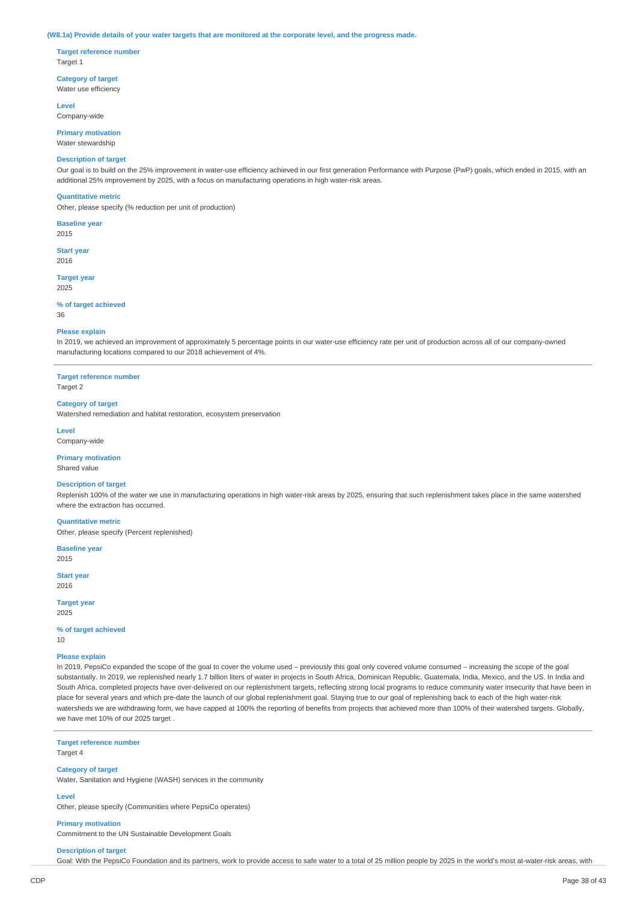#### (W8.1a) Provide details of your water targets that are monitored at the corporate level, and the progress made.

**Target reference number** Target 1

**Category of target** Water use efficiency

**Level**

Company-wide

**Primary motivation** Water stewardship

### **Description of target**

Our goal is to build on the 25% improvement in water-use efficiency achieved in our first generation Performance with Purpose (PwP) goals, which ended in 2015, with an additional 25% improvement by 2025, with a focus on manufacturing operations in high water-risk areas.

#### **Quantitative metric**

Other, please specify (% reduction per unit of production)

**Baseline year** 2015

**Start year** 2016

**Target year** 2025

**% of target achieved** 36

### **Please explain**

In 2019, we achieved an improvement of approximately 5 percentage points in our water-use efficiency rate per unit of production across all of our company-owned manufacturing locations compared to our 2018 achievement of 4%.

**Target reference number** Target 2

#### **Category of target**

Watershed remediation and habitat restoration, ecosystem preservation

**Level**

Company-wide

**Primary motivation** Shared value

#### **Description of target**

Replenish 100% of the water we use in manufacturing operations in high water-risk areas by 2025, ensuring that such replenishment takes place in the same watershed where the extraction has occurred.

**Quantitative metric**

Other, please specify (Percent replenished)

**Baseline year** 2015

**Start year** 2016

**Target year**

2025

**% of target achieved** 10

#### **Please explain**

In 2019, PepsiCo expanded the scope of the goal to cover the volume used – previously this goal only covered volume consumed – increasing the scope of the goal substantially. In 2019, we replenished nearly 1.7 billion liters of water in projects in South Africa, Dominican Republic, Guatemala, India, Mexico, and the US. In India and South Africa, completed projects have over-delivered on our replenishment targets, reflecting strong local programs to reduce community water insecurity that have been in place for several years and which pre-date the launch of our global replenishment goal. Staying true to our goal of replenishing back to each of the high water-risk watersheds we are withdrawing form, we have capped at 100% the reporting of benefits from projects that achieved more than 100% of their watershed targets. Globally, we have met 10% of our 2025 target .

**Target reference number**

Target 4

### **Category of target**

Water, Sanitation and Hygiene (WASH) services in the community

#### **Level**

Other, please specify (Communities where PepsiCo operates)

**Primary motivation**

Commitment to the UN Sustainable Development Goals

## **Description of target**

Goal: With the PepsiCo Foundation and its partners, work to provide access to safe water to a total of 25 million people by 2025 in the world's most at-water-risk areas, with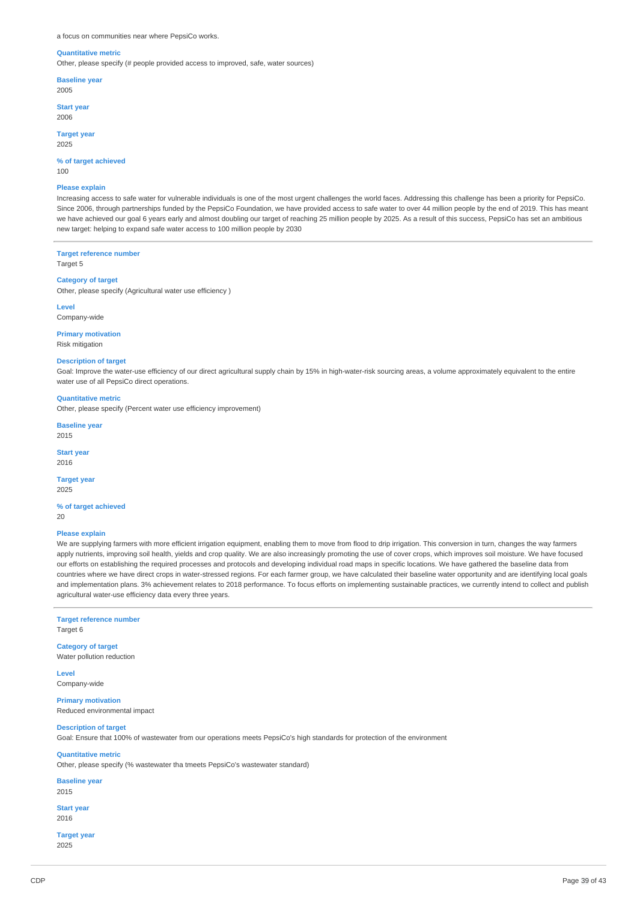#### a focus on communities near where PepsiCo works.

#### **Quantitative metric**

Other, please specify (# people provided access to improved, safe, water sources)

**Baseline year** 2005

**Start year**

2006

**Target year** 2025

**% of target achieved** 100

#### **Please explain**

Increasing access to safe water for vulnerable individuals is one of the most urgent challenges the world faces. Addressing this challenge has been a priority for PepsiCo. Since 2006, through partnerships funded by the PepsiCo Foundation, we have provided access to safe water to over 44 million people by the end of 2019. This has meant we have achieved our goal 6 years early and almost doubling our target of reaching 25 million people by 2025. As a result of this success, PepsiCo has set an ambitious new target: helping to expand safe water access to 100 million people by 2030

**Target reference number**

Target 5

#### **Category of target**

Other, please specify (Agricultural water use efficiency )

**Level**

## Company-wide

**Primary motivation**

Risk mitigation

## **Description of target**

Goal: Improve the water-use efficiency of our direct agricultural supply chain by 15% in high-water-risk sourcing areas, a volume approximately equivalent to the entire water use of all PepsiCo direct operations.

#### **Quantitative metric**

Other, please specify (Percent water use efficiency improvement)

## **Baseline year**

2015

**Start year**

2016

#### **Target year** 2025

**% of target achieved**

20

#### **Please explain**

We are supplying farmers with more efficient irrigation equipment, enabling them to move from flood to drip irrigation. This conversion in turn, changes the way farmers apply nutrients, improving soil health, yields and crop quality. We are also increasingly promoting the use of cover crops, which improves soil moisture. We have focused our efforts on establishing the required processes and protocols and developing individual road maps in specific locations. We have gathered the baseline data from countries where we have direct crops in water-stressed regions. For each farmer group, we have calculated their baseline water opportunity and are identifying local goals and implementation plans. 3% achievement relates to 2018 performance. To focus efforts on implementing sustainable practices, we currently intend to collect and publish agricultural water-use efficiency data every three years.

## **Target reference number**

Target 6

## **Category of target**

Water pollution reduction

**Level** Company-wide

**Primary motivation** Reduced environmental impact

## **Description of target**

Goal: Ensure that 100% of wastewater from our operations meets PepsiCo's high standards for protection of the environment

## **Quantitative metric**

Other, please specify (% wastewater tha tmeets PepsiCo's wastewater standard)

## **Baseline year**

2015

#### **Start year** 2016

**Target year** 2025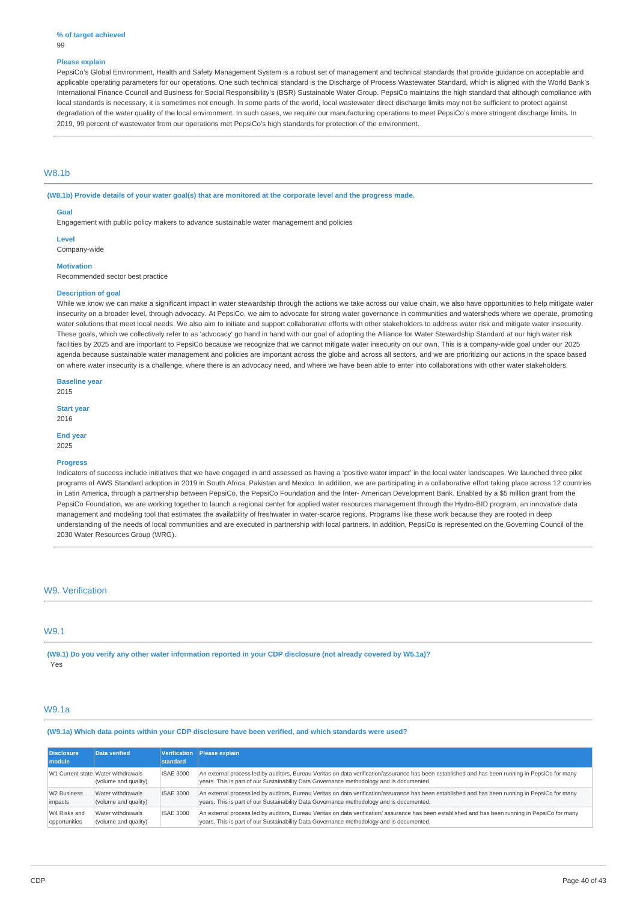#### **% of target achieved**

#### **Please explain**

PepsiCo's Global Environment, Health and Safety Management System is a robust set of management and technical standards that provide guidance on acceptable and applicable operating parameters for our operations. One such technical standard is the Discharge of Process Wastewater Standard, which is aligned with the World Bank's International Finance Council and Business for Social Responsibility's (BSR) Sustainable Water Group. PepsiCo maintains the high standard that although compliance with local standards is necessary, it is sometimes not enough. In some parts of the world, local wastewater direct discharge limits may not be sufficient to protect against degradation of the water quality of the local environment. In such cases, we require our manufacturing operations to meet PepsiCo's more stringent discharge limits. In 2019, 99 percent of wastewater from our operations met PepsiCo's high standards for protection of the environment.

## W8.1b

(W8.1b) Provide details of your water goal(s) that are monitored at the corporate level and the progress made.

#### **Goal**

Engagement with public policy makers to advance sustainable water management and policies

**Level** Company-wide

#### **Motivation**

Recommended sector best practice

#### **Description of goal**

While we know we can make a significant impact in water stewardship through the actions we take across our value chain, we also have opportunities to help mitigate water insecurity on a broader level, through advocacy. At PepsiCo, we aim to advocate for strong water governance in communities and watersheds where we operate, promoting water solutions that meet local needs. We also aim to initiate and support collaborative efforts with other stakeholders to address water risk and mitigate water insecurity. These goals, which we collectively refer to as 'advocacy' go hand in hand with our goal of adopting the Alliance for Water Stewardship Standard at our high water risk facilities by 2025 and are important to PepsiCo because we recognize that we cannot mitigate water insecurity on our own. This is a company-wide goal under our 2025 agenda because sustainable water management and policies are important across the globe and across all sectors, and we are prioritizing our actions in the space based on where water insecurity is a challenge, where there is an advocacy need, and where we have been able to enter into collaborations with other water stakeholders.

**Baseline year** 2015

**Start year** 2016

**End year**

2025

## **Progress**

Indicators of success include initiatives that we have engaged in and assessed as having a 'positive water impact' in the local water landscapes. We launched three pilot programs of AWS Standard adoption in 2019 in South Africa, Pakistan and Mexico. In addition, we are participating in a collaborative effort taking place across 12 countries in Latin America, through a partnership between PepsiCo, the PepsiCo Foundation and the Inter-American Development Bank. Enabled by a \$5 million grant from the PepsiCo Foundation, we are working together to launch a regional center for applied water resources management through the Hydro-BID program, an innovative data management and modeling tool that estimates the availability of freshwater in water-scarce regions. Programs like these work because they are rooted in deep understanding of the needs of local communities and are executed in partnership with local partners. In addition, PepsiCo is represented on the Governing Council of the 2030 Water Resources Group (WRG).

#### W9. Verification

## W9.1

(W9.1) Do you verify any other water information reported in your CDP disclosure (not already covered by W5.1a)? Yes

### W9.1a

**(W9.1a) Which data points within your CDP disclosure have been verified, and which standards were used?**

| <b>Disclosure</b><br>module | Data verified                                              | standard         | Verification   Please explain                                                                                                                                                                                                                |
|-----------------------------|------------------------------------------------------------|------------------|----------------------------------------------------------------------------------------------------------------------------------------------------------------------------------------------------------------------------------------------|
|                             | W1 Current state Water withdrawals<br>(volume and quality) | <b>ISAE 3000</b> | An external process led by auditors, Bureau Veritas on data verification/assurance has been established and has been running in PepsiCo for many<br>years. This is part of our Sustainability Data Governance methodology and is documented. |
| W <sub>2</sub> Business     | Water withdrawals                                          | <b>ISAE 3000</b> | An external process led by auditors, Bureau Veritas on data verification/assurance has been established and has been running in PepsiCo for many                                                                                             |
| impacts                     | (volume and quality)                                       |                  | years. This is part of our Sustainability Data Governance methodology and is documented.                                                                                                                                                     |
| W4 Risks and                | Water withdrawals                                          | <b>ISAE 3000</b> | An external process led by auditors, Bureau Veritas on data verification/ assurance has been established and has been running in PepsiCo for many                                                                                            |
| opportunities               | (volume and quality)                                       |                  | years. This is part of our Sustainability Data Governance methodology and is documented.                                                                                                                                                     |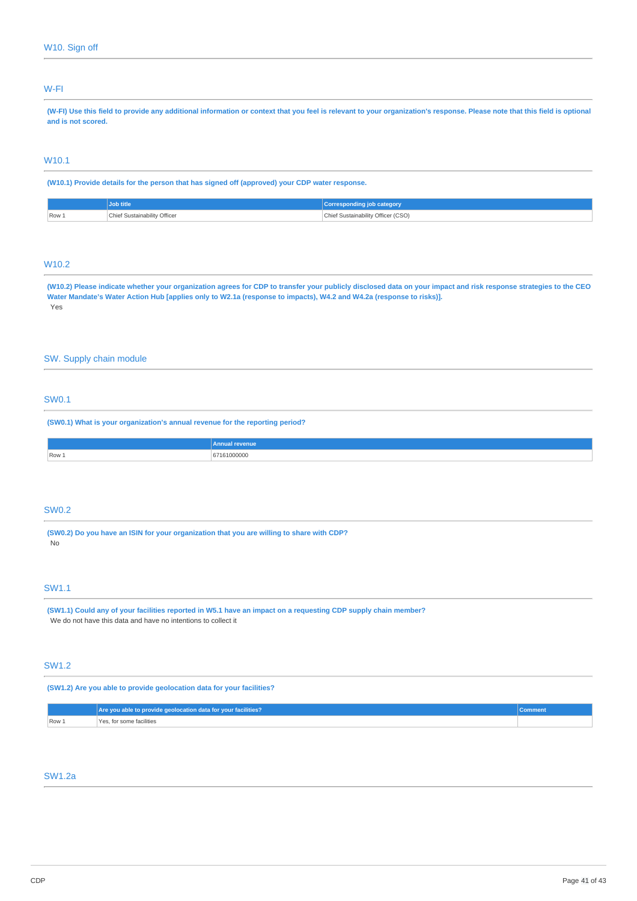## W-FI

(W-FI) Use this field to provide any additional information or context that you feel is relevant to your organization's response. Please note that this field is optional **and is not scored.**

## W10.1

**(W10.1) Provide details for the person that has signed off (approved) your CDP water response.**

|                         | <b>Job title</b>                  | <b>job category</b><br><b>Corresponding</b>    |
|-------------------------|-----------------------------------|------------------------------------------------|
| $\sqrt{$ Row $\sqrt{2}$ | Chief Sustainability Officer<br>. | Chief Sustainability Officer (CSO)<br>.<br>___ |

## W10.2

(W10.2) Please indicate whether your organization agrees for CDP to transfer your publicly disclosed data on your impact and risk response strategies to the CEO Water Mandate's Water Action Hub [applies only to W2.1a (response to impacts), W4.2 and W4.2a (response to risks)]. Yes

## SW. Supply chain module

## SW0.1

**(SW0.1) What is your organization's annual revenue for the reporting period?**

| <b>Innua</b>            | <b>revenue</b> |
|-------------------------|----------------|
| $\sqrt{$ Row $\sqrt{ }$ | 161000000<br>. |

## SW0.2

**(SW0.2) Do you have an ISIN for your organization that you are willing to share with CDP?** No

## SW1.1

(SW1.1) Could any of your facilities reported in W5.1 have an impact on a requesting CDP supply chain member? We do not have this data and have no intentions to collect it

## SW1.2

**(SW1.2) Are you able to provide geolocation data for your facilities?**

|       | Are you able to provide geolocation data for your facilities? |  |
|-------|---------------------------------------------------------------|--|
| Row 1 | Yes, for some facilities                                      |  |

## SW1.2a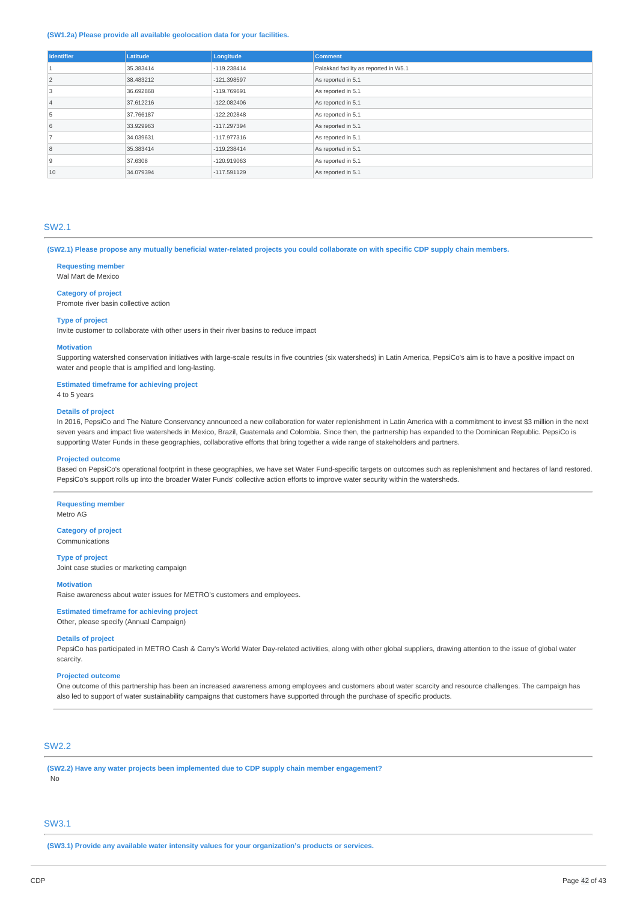#### **(SW1.2a) Please provide all available geolocation data for your facilities.**

| <b>Identifier</b> | <b>Latitude</b> | Longitude     | <b>Comment</b>                        |
|-------------------|-----------------|---------------|---------------------------------------|
|                   | 35.383414       | $-119.238414$ | Palakkad facility as reported in W5.1 |
| 2                 | 38.483212       | -121.398597   | As reported in 5.1                    |
| 3                 | 36.692868       | -119.769691   | As reported in 5.1                    |
| $\overline{4}$    | 37.612216       | $-122.082406$ | As reported in 5.1                    |
| 5                 | 37.766187       | $-122.202848$ | As reported in 5.1                    |
| 6                 | 33.929963       | -117.297394   | As reported in 5.1                    |
|                   | 34.039631       | $-117.977316$ | As reported in 5.1                    |
| 8                 | 35.383414       | $-119.238414$ | As reported in 5.1                    |
| $\overline{9}$    | 37,6308         | $-120.919063$ | As reported in 5.1                    |
| 10                | 34.079394       | $-117.591129$ | As reported in 5.1                    |

### SW2.1

(SW2.1) Please propose any mutually beneficial water-related projects you could collaborate on with specific CDP supply chain members.

**Requesting member**

Wal Mart de Mexico

#### **Category of project**

Promote river basin collective action

#### **Type of project**

Invite customer to collaborate with other users in their river basins to reduce impact

#### **Motivation**

Supporting watershed conservation initiatives with large-scale results in five countries (six watersheds) in Latin America, PepsiCo's aim is to have a positive impact on water and people that is amplified and long-lasting.

#### **Estimated timeframe for achieving project**

4 to 5 years

#### **Details of project**

In 2016, PepsiCo and The Nature Conservancy announced a new collaboration for water replenishment in Latin America with a commitment to invest \$3 million in the next seven years and impact five watersheds in Mexico, Brazil, Guatemala and Colombia. Since then, the partnership has expanded to the Dominican Republic. PepsiCo is supporting Water Funds in these geographies, collaborative efforts that bring together a wide range of stakeholders and partners.

#### **Projected outcome**

Based on PepsiCo's operational footprint in these geographies, we have set Water Fund-specific targets on outcomes such as replenishment and hectares of land restored. PepsiCo's support rolls up into the broader Water Funds' collective action efforts to improve water security within the watersheds.

**Requesting member** Metro AG

#### **Category of project** Communications

**Type of project**

Joint case studies or marketing campaign

#### **Motivation**

Raise awareness about water issues for METRO's customers and employees.

### **Estimated timeframe for achieving project**

Other, please specify (Annual Campaign)

#### **Details of project**

PepsiCo has participated in METRO Cash & Carry's World Water Day-related activities, along with other global suppliers, drawing attention to the issue of global water scarcity.

#### **Projected outcome**

One outcome of this partnership has been an increased awareness among employees and customers about water scarcity and resource challenges. The campaign has also led to support of water sustainability campaigns that customers have supported through the purchase of specific products.

## SW2.2

**(SW2.2) Have any water projects been implemented due to CDP supply chain member engagement?** No

## SW3.1

**(SW3.1) Provide any available water intensity values for your organization's products or services.**